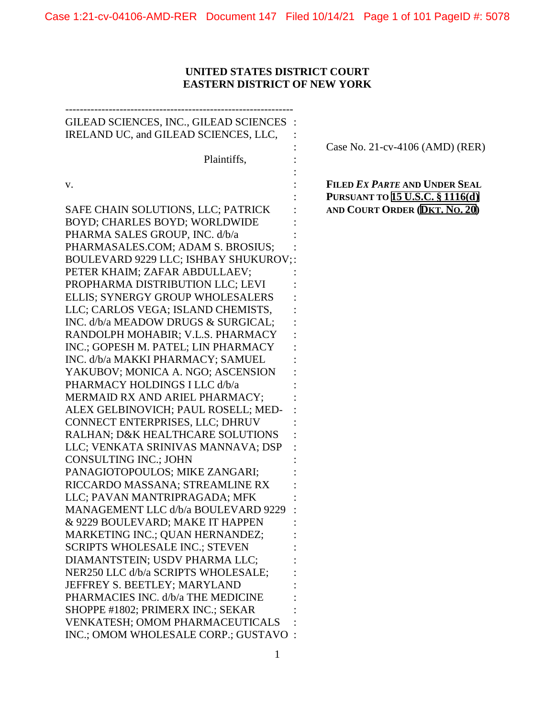# **UNITED STATES DISTRICT COURT EASTERN DISTRICT OF NEW YORK**

| GILEAD SCIENCES, INC., GILEAD SCIENCES : |                                        |
|------------------------------------------|----------------------------------------|
| IRELAND UC, and GILEAD SCIENCES, LLC,    |                                        |
|                                          | Case No. 21-cv-4106 (AMD) (RER)        |
| Plaintiffs,                              |                                        |
|                                          |                                        |
| v.                                       | FILED EX PARTE AND UNDER SEAL          |
|                                          | <b>PURSUANT TO 15 U.S.C. § 1116(d)</b> |
| SAFE CHAIN SOLUTIONS, LLC; PATRICK       | AND COURT ORDER (DKT. No. 20)          |
| BOYD; CHARLES BOYD; WORLDWIDE            |                                        |
| PHARMA SALES GROUP, INC. d/b/a           |                                        |
| PHARMASALES.COM; ADAM S. BROSIUS;        |                                        |
| BOULEVARD 9229 LLC; ISHBAY SHUKUROV;:    |                                        |
| PETER KHAIM; ZAFAR ABDULLAEV;            |                                        |
| PROPHARMA DISTRIBUTION LLC; LEVI         |                                        |
| ELLIS; SYNERGY GROUP WHOLESALERS         |                                        |
| LLC; CARLOS VEGA; ISLAND CHEMISTS,       |                                        |
| INC. d/b/a MEADOW DRUGS & SURGICAL;      |                                        |
| RANDOLPH MOHABIR; V.L.S. PHARMACY        |                                        |
| INC.; GOPESH M. PATEL; LIN PHARMACY      |                                        |
| INC. d/b/a MAKKI PHARMACY; SAMUEL        |                                        |
| YAKUBOV; MONICA A. NGO; ASCENSION        |                                        |
| PHARMACY HOLDINGS I LLC d/b/a            |                                        |
| MERMAID RX AND ARIEL PHARMACY;           |                                        |
| ALEX GELBINOVICH; PAUL ROSELL; MED-      |                                        |
| CONNECT ENTERPRISES, LLC; DHRUV          |                                        |
| RALHAN; D&K HEALTHCARE SOLUTIONS         |                                        |
| LLC; VENKATA SRINIVAS MANNAVA; DSP       |                                        |
| <b>CONSULTING INC.; JOHN</b>             |                                        |
| PANAGIOTOPOULOS; MIKE ZANGARI;           |                                        |
| RICCARDO MASSANA; STREAMLINE RX          |                                        |
| LLC; PAVAN MANTRIPRAGADA; MFK            |                                        |
| MANAGEMENT LLC d/b/a BOULEVARD 9229      |                                        |
| & 9229 BOULEVARD; MAKE IT HAPPEN         |                                        |
| MARKETING INC.; QUAN HERNANDEZ;          |                                        |
| <b>SCRIPTS WHOLESALE INC.; STEVEN</b>    |                                        |
| DIAMANTSTEIN; USDV PHARMA LLC;           |                                        |
| NER250 LLC d/b/a SCRIPTS WHOLESALE;      |                                        |
| JEFFREY S. BEETLEY; MARYLAND             |                                        |
| PHARMACIES INC. d/b/a THE MEDICINE       |                                        |
| SHOPPE #1802; PRIMERX INC.; SEKAR        |                                        |
| VENKATESH; OMOM PHARMACEUTICALS          |                                        |
| INC.; OMOM WHOLESALE CORP.; GUSTAVO:     |                                        |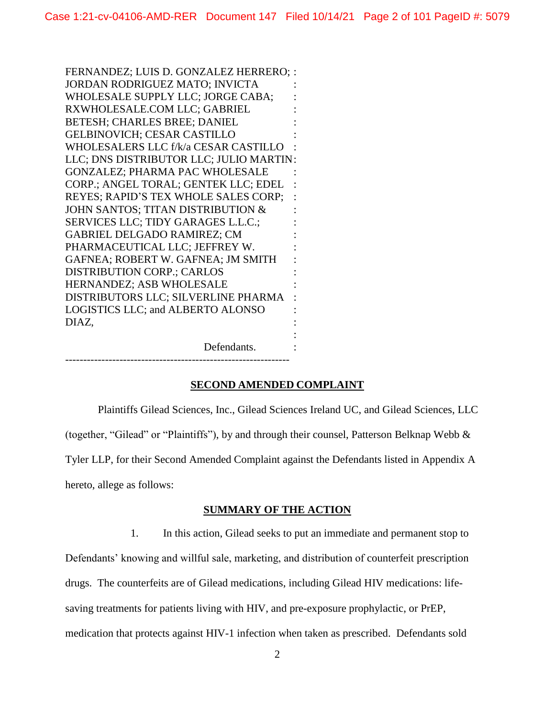FERNANDEZ; LUIS D. GONZALEZ HERRERO; : JORDAN RODRIGUEZ MATO; INVICTA WHOLESALE SUPPLY LLC; JORGE CABA; RXWHOLESALE.COM LLC; GABRIEL BETESH; CHARLES BREE; DANIEL GELBINOVICH; CESAR CASTILLO WHOLESALERS LLC f/k/a CESAR CASTILLO : LLC; DNS DISTRIBUTOR LLC; JULIO MARTIN : GONZALEZ; PHARMA PAC WHOLESALE CORP.; ANGEL TORAL; GENTEK LLC; EDEL : REYES; RAPID'S TEX WHOLE SALES CORP; JOHN SANTOS; TITAN DISTRIBUTION & SERVICES LLC; TIDY GARAGES L.L.C.; GABRIEL DELGADO RAMIREZ; CM PHARMACEUTICAL LLC; JEFFREY W. GAFNEA; ROBERT W. GAFNEA; JM SMITH DISTRIBUTION CORP.; CARLOS HERNANDEZ; ASB WHOLESALE DISTRIBUTORS LLC; SILVERLINE PHARMA LOGISTICS LLC; and ALBERTO ALONSO DIAZ, : : : : : : : : : : : : : : : : : : :

--------------------------------------------------------------

Defendants.

# **SECOND AMENDED COMPLAINT**

Plaintiffs Gilead Sciences, Inc., Gilead Sciences Ireland UC, and Gilead Sciences, LLC (together, "Gilead" or "Plaintiffs"), by and through their counsel, Patterson Belknap Webb & Tyler LLP, for their Second Amended Complaint against the Defendants listed in Appendix A hereto, allege as follows:

# **SUMMARY OF THE ACTION**

1. In this action, Gilead seeks to put an immediate and permanent stop to Defendants' knowing and willful sale, marketing, and distribution of counterfeit prescription drugs. The counterfeits are of Gilead medications, including Gilead HIV medications: lifesaving treatments for patients living with HIV, and pre-exposure prophylactic, or PrEP, medication that protects against HIV-1 infection when taken as prescribed. Defendants sold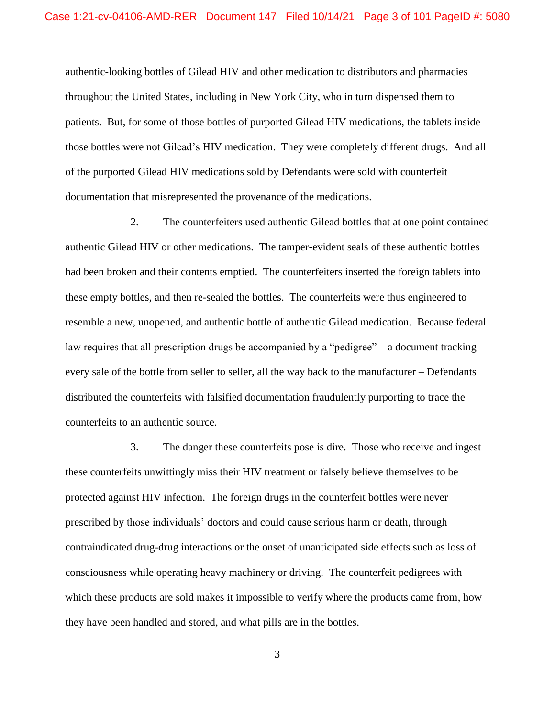authentic-looking bottles of Gilead HIV and other medication to distributors and pharmacies throughout the United States, including in New York City, who in turn dispensed them to patients. But, for some of those bottles of purported Gilead HIV medications, the tablets inside those bottles were not Gilead's HIV medication. They were completely different drugs. And all of the purported Gilead HIV medications sold by Defendants were sold with counterfeit documentation that misrepresented the provenance of the medications.

2. The counterfeiters used authentic Gilead bottles that at one point contained authentic Gilead HIV or other medications. The tamper-evident seals of these authentic bottles had been broken and their contents emptied. The counterfeiters inserted the foreign tablets into these empty bottles, and then re-sealed the bottles. The counterfeits were thus engineered to resemble a new, unopened, and authentic bottle of authentic Gilead medication. Because federal law requires that all prescription drugs be accompanied by a "pedigree" – a document tracking every sale of the bottle from seller to seller, all the way back to the manufacturer – Defendants distributed the counterfeits with falsified documentation fraudulently purporting to trace the counterfeits to an authentic source.

3. The danger these counterfeits pose is dire. Those who receive and ingest these counterfeits unwittingly miss their HIV treatment or falsely believe themselves to be protected against HIV infection. The foreign drugs in the counterfeit bottles were never prescribed by those individuals' doctors and could cause serious harm or death, through contraindicated drug-drug interactions or the onset of unanticipated side effects such as loss of consciousness while operating heavy machinery or driving. The counterfeit pedigrees with which these products are sold makes it impossible to verify where the products came from, how they have been handled and stored, and what pills are in the bottles.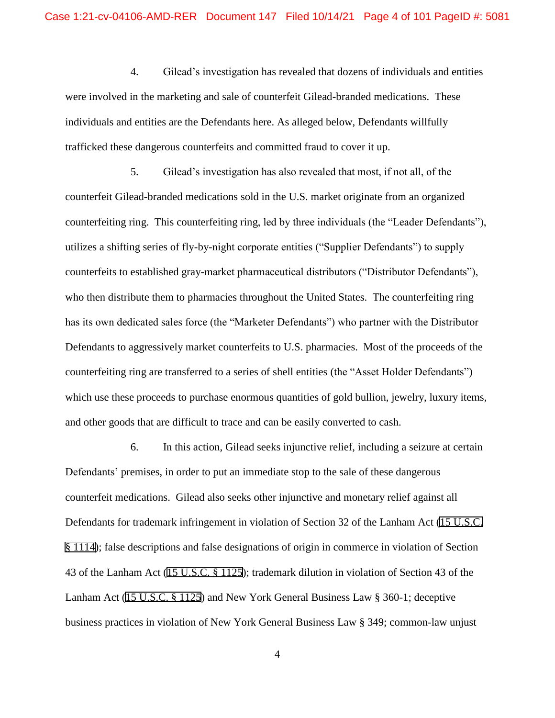4. Gilead's investigation has revealed that dozens of individuals and entities were involved in the marketing and sale of counterfeit Gilead-branded medications. These individuals and entities are the Defendants here. As alleged below, Defendants willfully trafficked these dangerous counterfeits and committed fraud to cover it up.

5. Gilead's investigation has also revealed that most, if not all, of the counterfeit Gilead-branded medications sold in the U.S. market originate from an organized counterfeiting ring. This counterfeiting ring, led by three individuals (the "Leader Defendants"), utilizes a shifting series of fly-by-night corporate entities ("Supplier Defendants") to supply counterfeits to established gray-market pharmaceutical distributors ("Distributor Defendants"), who then distribute them to pharmacies throughout the United States. The counterfeiting ring has its own dedicated sales force (the "Marketer Defendants") who partner with the Distributor Defendants to aggressively market counterfeits to U.S. pharmacies. Most of the proceeds of the counterfeiting ring are transferred to a series of shell entities (the "Asset Holder Defendants") which use these proceeds to purchase enormous quantities of gold bullion, jewelry, luxury items, and other goods that are difficult to trace and can be easily converted to cash.

6. In this action, Gilead seeks injunctive relief, including a seizure at certain Defendants' premises, in order to put an immediate stop to the sale of these dangerous counterfeit medications. Gilead also seeks other injunctive and monetary relief against all Defendants for trademark infringement in violation of Section 32 of the Lanham Act (15 U.S.C. § 1114); false descriptions and false designations of origin in commerce in violation of Section 43 of the Lanham Act (15 U.S.C. § 1125); trademark dilution in violation of Section 43 of the Lanham Act (15 U.S.C. § 1125) and New York General Business Law § 360-1; deceptive business practices in violation of New York General Business Law § 349; common-law unjust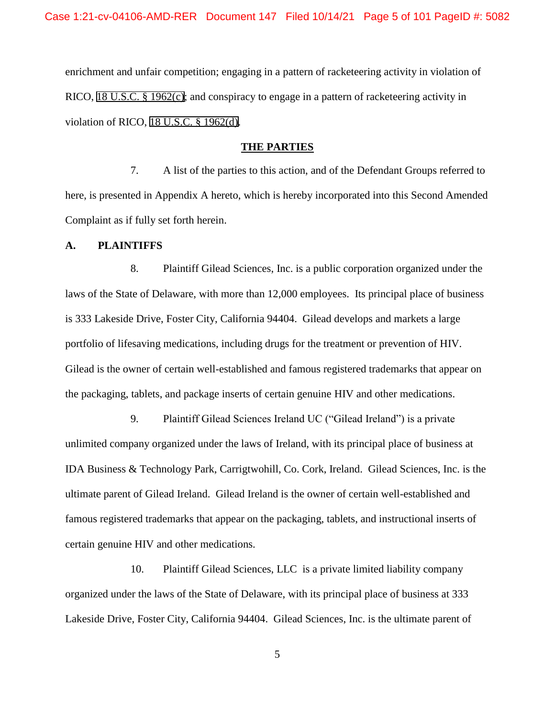enrichment and unfair competition; engaging in a pattern of racketeering activity in violation of RICO, 18 U.S.C. § 1962(c); and conspiracy to engage in a pattern of racketeering activity in violation of RICO, 18 U.S.C. § 1962(d).

#### **THE PARTIES**

7. A list of the parties to this action, and of the Defendant Groups referred to here, is presented in Appendix A hereto, which is hereby incorporated into this Second Amended Complaint as if fully set forth herein.

#### **A. PLAINTIFFS**

8. Plaintiff Gilead Sciences, Inc. is a public corporation organized under the laws of the State of Delaware, with more than 12,000 employees. Its principal place of business is 333 Lakeside Drive, Foster City, California 94404. Gilead develops and markets a large portfolio of lifesaving medications, including drugs for the treatment or prevention of HIV. Gilead is the owner of certain well-established and famous registered trademarks that appear on the packaging, tablets, and package inserts of certain genuine HIV and other medications.

9. Plaintiff Gilead Sciences Ireland UC ("Gilead Ireland") is a private unlimited company organized under the laws of Ireland, with its principal place of business at IDA Business & Technology Park, Carrigtwohill, Co. Cork, Ireland. Gilead Sciences, Inc. is the ultimate parent of Gilead Ireland. Gilead Ireland is the owner of certain well-established and famous registered trademarks that appear on the packaging, tablets, and instructional inserts of certain genuine HIV and other medications.

10. Plaintiff Gilead Sciences, LLC is a private limited liability company organized under the laws of the State of Delaware, with its principal place of business at 333 Lakeside Drive, Foster City, California 94404. Gilead Sciences, Inc. is the ultimate parent of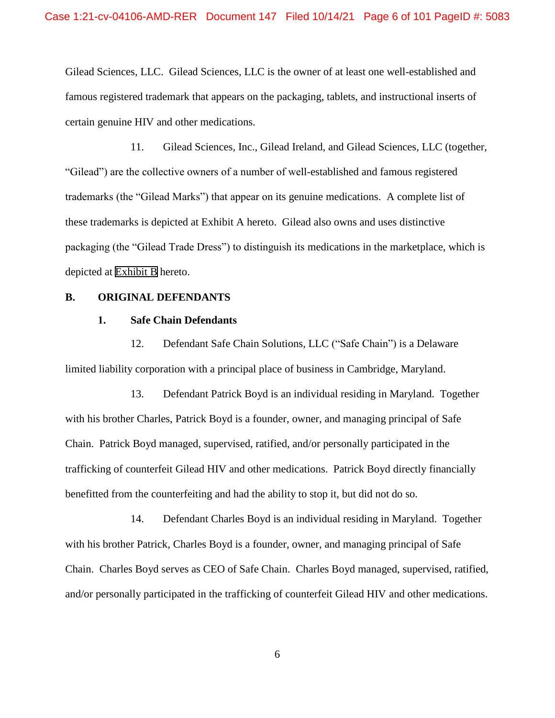Gilead Sciences, LLC. Gilead Sciences, LLC is the owner of at least one well-established and famous registered trademark that appears on the packaging, tablets, and instructional inserts of certain genuine HIV and other medications.

11. Gilead Sciences, Inc., Gilead Ireland, and Gilead Sciences, LLC (together, "Gilead") are the collective owners of a number of well-established and famous registered trademarks (the "Gilead Marks") that appear on its genuine medications. A complete list of these trademarks is depicted at Exhibit A hereto. Gilead also owns and uses distinctive packaging (the "Gilead Trade Dress") to distinguish its medications in the marketplace, which is depicted at Exhibit B hereto.

#### **B. ORIGINAL DEFENDANTS**

#### **1. Safe Chain Defendants**

12. Defendant Safe Chain Solutions, LLC ("Safe Chain") is a Delaware limited liability corporation with a principal place of business in Cambridge, Maryland.

13. Defendant Patrick Boyd is an individual residing in Maryland. Together with his brother Charles, Patrick Boyd is a founder, owner, and managing principal of Safe Chain. Patrick Boyd managed, supervised, ratified, and/or personally participated in the trafficking of counterfeit Gilead HIV and other medications. Patrick Boyd directly financially benefitted from the counterfeiting and had the ability to stop it, but did not do so.

14. Defendant Charles Boyd is an individual residing in Maryland. Together with his brother Patrick, Charles Boyd is a founder, owner, and managing principal of Safe Chain. Charles Boyd serves as CEO of Safe Chain. Charles Boyd managed, supervised, ratified, and/or personally participated in the trafficking of counterfeit Gilead HIV and other medications.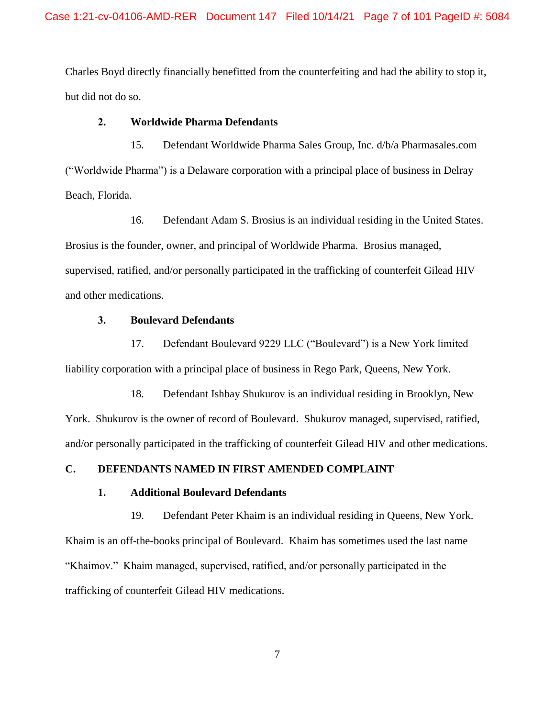Charles Boyd directly financially benefitted from the counterfeiting and had the ability to stop it, but did not do so.

# **2. Worldwide Pharma Defendants**

15. Defendant Worldwide Pharma Sales Group, Inc. d/b/a Pharmasales.com ("Worldwide Pharma") is a Delaware corporation with a principal place of business in Delray Beach, Florida.

16. Defendant Adam S. Brosius is an individual residing in the United States. Brosius is the founder, owner, and principal of Worldwide Pharma. Brosius managed, supervised, ratified, and/or personally participated in the trafficking of counterfeit Gilead HIV and other medications.

# **3. Boulevard Defendants**

17. Defendant Boulevard 9229 LLC ("Boulevard") is a New York limited liability corporation with a principal place of business in Rego Park, Queens, New York.

18. Defendant Ishbay Shukurov is an individual residing in Brooklyn, New York. Shukurov is the owner of record of Boulevard. Shukurov managed, supervised, ratified, and/or personally participated in the trafficking of counterfeit Gilead HIV and other medications.

# **C. DEFENDANTS NAMED IN FIRST AMENDED COMPLAINT**

# **1. Additional Boulevard Defendants**

19. Defendant Peter Khaim is an individual residing in Queens, New York. Khaim is an off-the-books principal of Boulevard. Khaim has sometimes used the last name "Khaimov." Khaim managed, supervised, ratified, and/or personally participated in the trafficking of counterfeit Gilead HIV medications.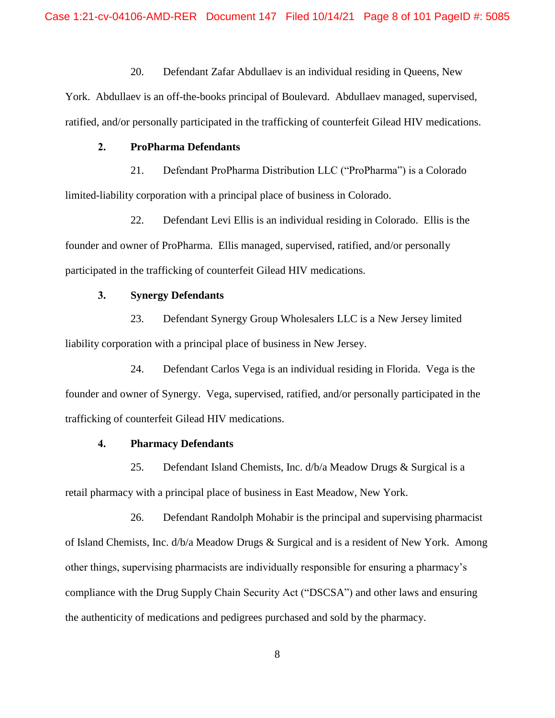20. Defendant Zafar Abdullaev is an individual residing in Queens, New

York. Abdullaev is an off-the-books principal of Boulevard. Abdullaev managed, supervised, ratified, and/or personally participated in the trafficking of counterfeit Gilead HIV medications.

# **2. ProPharma Defendants**

21. Defendant ProPharma Distribution LLC ("ProPharma") is a Colorado limited-liability corporation with a principal place of business in Colorado.

22. Defendant Levi Ellis is an individual residing in Colorado. Ellis is the founder and owner of ProPharma. Ellis managed, supervised, ratified, and/or personally participated in the trafficking of counterfeit Gilead HIV medications.

# **3. Synergy Defendants**

23. Defendant Synergy Group Wholesalers LLC is a New Jersey limited liability corporation with a principal place of business in New Jersey.

24. Defendant Carlos Vega is an individual residing in Florida. Vega is the founder and owner of Synergy. Vega, supervised, ratified, and/or personally participated in the trafficking of counterfeit Gilead HIV medications.

# **4. Pharmacy Defendants**

25. Defendant Island Chemists, Inc. d/b/a Meadow Drugs & Surgical is a retail pharmacy with a principal place of business in East Meadow, New York.

26. Defendant Randolph Mohabir is the principal and supervising pharmacist of Island Chemists, Inc. d/b/a Meadow Drugs & Surgical and is a resident of New York. Among other things, supervising pharmacists are individually responsible for ensuring a pharmacy's compliance with the Drug Supply Chain Security Act ("DSCSA") and other laws and ensuring the authenticity of medications and pedigrees purchased and sold by the pharmacy.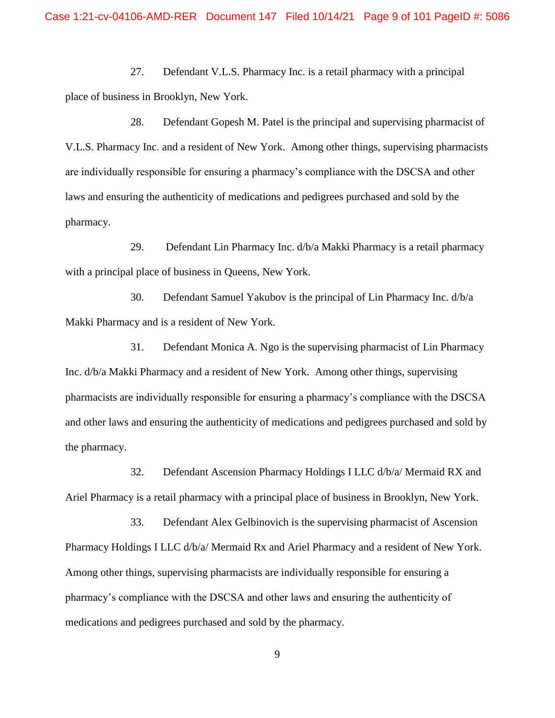27. Defendant V.L.S. Pharmacy Inc. is a retail pharmacy with a principal place of business in Brooklyn, New York.

28. Defendant Gopesh M. Patel is the principal and supervising pharmacist of V.L.S. Pharmacy Inc. and a resident of New York. Among other things, supervising pharmacists are individually responsible for ensuring a pharmacy's compliance with the DSCSA and other laws and ensuring the authenticity of medications and pedigrees purchased and sold by the pharmacy.

29. Defendant Lin Pharmacy Inc. d/b/a Makki Pharmacy is a retail pharmacy with a principal place of business in Queens, New York.

30. Defendant Samuel Yakubov is the principal of Lin Pharmacy Inc. d/b/a Makki Pharmacy and is a resident of New York.

31. Defendant Monica A. Ngo is the supervising pharmacist of Lin Pharmacy Inc. d/b/a Makki Pharmacy and a resident of New York. Among other things, supervising pharmacists are individually responsible for ensuring a pharmacy's compliance with the DSCSA and other laws and ensuring the authenticity of medications and pedigrees purchased and sold by the pharmacy.

32. Defendant Ascension Pharmacy Holdings I LLC d/b/a/ Mermaid RX and Ariel Pharmacy is a retail pharmacy with a principal place of business in Brooklyn, New York.

33. Defendant Alex Gelbinovich is the supervising pharmacist of Ascension Pharmacy Holdings I LLC d/b/a/ Mermaid Rx and Ariel Pharmacy and a resident of New York. Among other things, supervising pharmacists are individually responsible for ensuring a pharmacy's compliance with the DSCSA and other laws and ensuring the authenticity of medications and pedigrees purchased and sold by the pharmacy.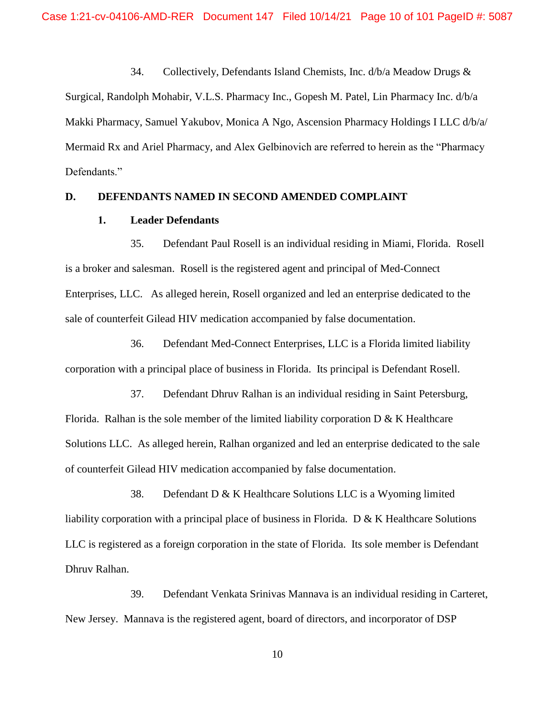34. Collectively, Defendants Island Chemists, Inc. d/b/a Meadow Drugs &

Surgical, Randolph Mohabir, V.L.S. Pharmacy Inc., Gopesh M. Patel, Lin Pharmacy Inc. d/b/a Makki Pharmacy, Samuel Yakubov, Monica A Ngo, Ascension Pharmacy Holdings I LLC d/b/a/ Mermaid Rx and Ariel Pharmacy, and Alex Gelbinovich are referred to herein as the "Pharmacy Defendants."

#### **D. DEFENDANTS NAMED IN SECOND AMENDED COMPLAINT**

#### **1. Leader Defendants**

35. Defendant Paul Rosell is an individual residing in Miami, Florida. Rosell is a broker and salesman. Rosell is the registered agent and principal of Med-Connect Enterprises, LLC. As alleged herein, Rosell organized and led an enterprise dedicated to the sale of counterfeit Gilead HIV medication accompanied by false documentation.

36. Defendant Med-Connect Enterprises, LLC is a Florida limited liability corporation with a principal place of business in Florida. Its principal is Defendant Rosell.

37. Defendant Dhruv Ralhan is an individual residing in Saint Petersburg, Florida. Ralhan is the sole member of the limited liability corporation  $D \& K$  Healthcare Solutions LLC. As alleged herein, Ralhan organized and led an enterprise dedicated to the sale of counterfeit Gilead HIV medication accompanied by false documentation.

38. Defendant D & K Healthcare Solutions LLC is a Wyoming limited liability corporation with a principal place of business in Florida.  $D \& K$  Healthcare Solutions LLC is registered as a foreign corporation in the state of Florida. Its sole member is Defendant Dhruv Ralhan.

39. Defendant Venkata Srinivas Mannava is an individual residing in Carteret, New Jersey. Mannava is the registered agent, board of directors, and incorporator of DSP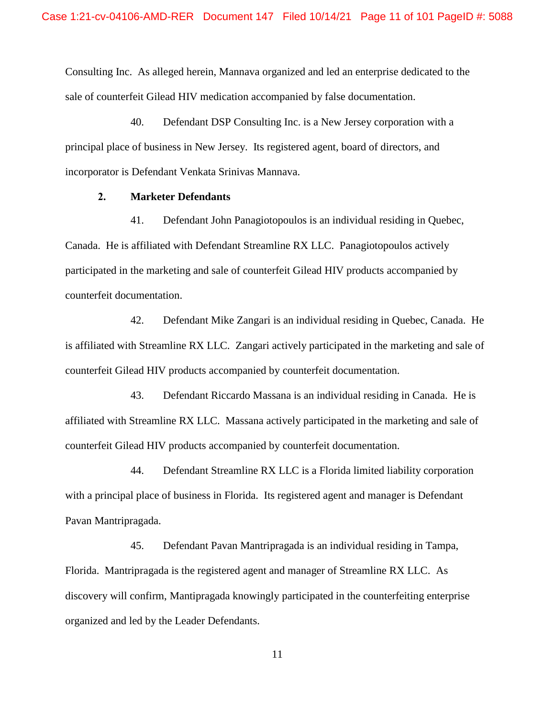Consulting Inc. As alleged herein, Mannava organized and led an enterprise dedicated to the sale of counterfeit Gilead HIV medication accompanied by false documentation.

40. Defendant DSP Consulting Inc. is a New Jersey corporation with a principal place of business in New Jersey. Its registered agent, board of directors, and incorporator is Defendant Venkata Srinivas Mannava.

# **2. Marketer Defendants**

41. Defendant John Panagiotopoulos is an individual residing in Quebec, Canada. He is affiliated with Defendant Streamline RX LLC. Panagiotopoulos actively participated in the marketing and sale of counterfeit Gilead HIV products accompanied by counterfeit documentation.

42. Defendant Mike Zangari is an individual residing in Quebec, Canada. He is affiliated with Streamline RX LLC. Zangari actively participated in the marketing and sale of counterfeit Gilead HIV products accompanied by counterfeit documentation.

43. Defendant Riccardo Massana is an individual residing in Canada. He is affiliated with Streamline RX LLC. Massana actively participated in the marketing and sale of counterfeit Gilead HIV products accompanied by counterfeit documentation.

44. Defendant Streamline RX LLC is a Florida limited liability corporation with a principal place of business in Florida. Its registered agent and manager is Defendant Pavan Mantripragada.

45. Defendant Pavan Mantripragada is an individual residing in Tampa, Florida. Mantripragada is the registered agent and manager of Streamline RX LLC. As discovery will confirm, Mantipragada knowingly participated in the counterfeiting enterprise organized and led by the Leader Defendants.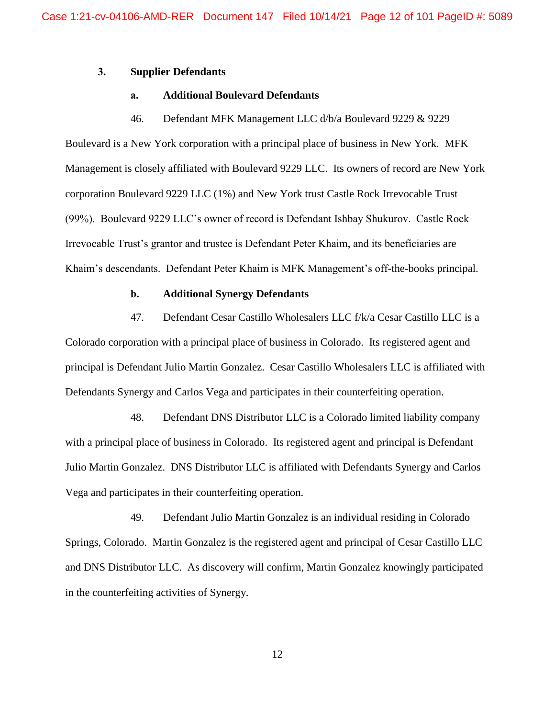# **3. Supplier Defendants**

# **a. Additional Boulevard Defendants**

46. Defendant MFK Management LLC d/b/a Boulevard 9229 & 9229

Boulevard is a New York corporation with a principal place of business in New York. MFK Management is closely affiliated with Boulevard 9229 LLC. Its owners of record are New York corporation Boulevard 9229 LLC (1%) and New York trust Castle Rock Irrevocable Trust (99%). Boulevard 9229 LLC's owner of record is Defendant Ishbay Shukurov. Castle Rock Irrevocable Trust's grantor and trustee is Defendant Peter Khaim, and its beneficiaries are Khaim's descendants. Defendant Peter Khaim is MFK Management's off-the-books principal.

#### **b. Additional Synergy Defendants**

47. Defendant Cesar Castillo Wholesalers LLC f/k/a Cesar Castillo LLC is a Colorado corporation with a principal place of business in Colorado. Its registered agent and principal is Defendant Julio Martin Gonzalez. Cesar Castillo Wholesalers LLC is affiliated with Defendants Synergy and Carlos Vega and participates in their counterfeiting operation.

48. Defendant DNS Distributor LLC is a Colorado limited liability company with a principal place of business in Colorado. Its registered agent and principal is Defendant Julio Martin Gonzalez. DNS Distributor LLC is affiliated with Defendants Synergy and Carlos Vega and participates in their counterfeiting operation.

49. Defendant Julio Martin Gonzalez is an individual residing in Colorado Springs, Colorado. Martin Gonzalez is the registered agent and principal of Cesar Castillo LLC and DNS Distributor LLC. As discovery will confirm, Martin Gonzalez knowingly participated in the counterfeiting activities of Synergy.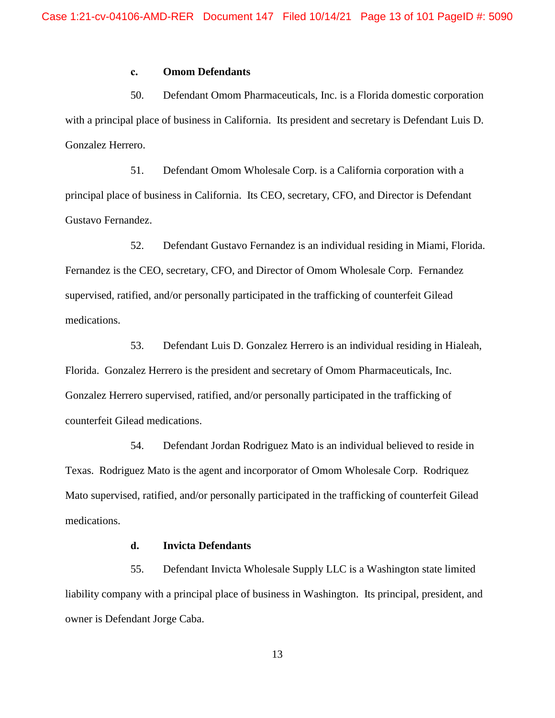#### **c. Omom Defendants**

50. Defendant Omom Pharmaceuticals, Inc. is a Florida domestic corporation with a principal place of business in California. Its president and secretary is Defendant Luis D. Gonzalez Herrero.

51. Defendant Omom Wholesale Corp. is a California corporation with a principal place of business in California. Its CEO, secretary, CFO, and Director is Defendant Gustavo Fernandez.

52. Defendant Gustavo Fernandez is an individual residing in Miami, Florida. Fernandez is the CEO, secretary, CFO, and Director of Omom Wholesale Corp. Fernandez supervised, ratified, and/or personally participated in the trafficking of counterfeit Gilead medications.

53. Defendant Luis D. Gonzalez Herrero is an individual residing in Hialeah, Florida. Gonzalez Herrero is the president and secretary of Omom Pharmaceuticals, Inc. Gonzalez Herrero supervised, ratified, and/or personally participated in the trafficking of counterfeit Gilead medications.

54. Defendant Jordan Rodriguez Mato is an individual believed to reside in Texas. Rodriguez Mato is the agent and incorporator of Omom Wholesale Corp. Rodriquez Mato supervised, ratified, and/or personally participated in the trafficking of counterfeit Gilead medications.

# **d. Invicta Defendants**

55. Defendant Invicta Wholesale Supply LLC is a Washington state limited liability company with a principal place of business in Washington. Its principal, president, and owner is Defendant Jorge Caba.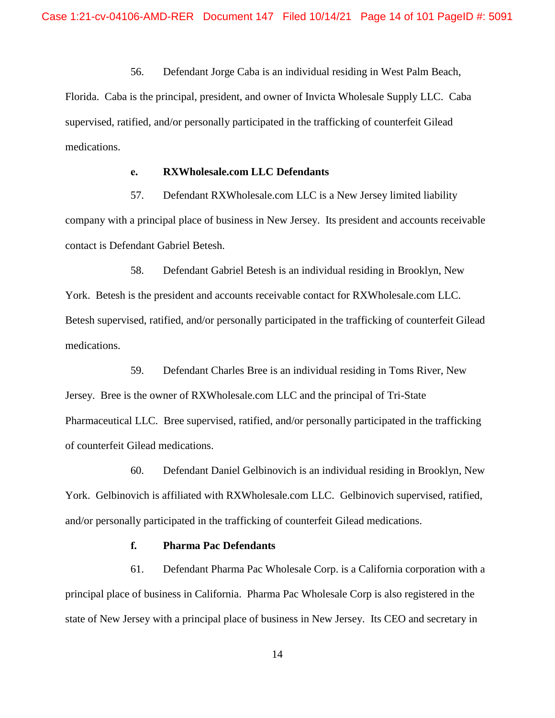56. Defendant Jorge Caba is an individual residing in West Palm Beach,

Florida. Caba is the principal, president, and owner of Invicta Wholesale Supply LLC. Caba supervised, ratified, and/or personally participated in the trafficking of counterfeit Gilead medications.

## **e. RXWholesale.com LLC Defendants**

57. Defendant RXWholesale.com LLC is a New Jersey limited liability company with a principal place of business in New Jersey. Its president and accounts receivable contact is Defendant Gabriel Betesh.

58. Defendant Gabriel Betesh is an individual residing in Brooklyn, New York. Betesh is the president and accounts receivable contact for RXWholesale.com LLC. Betesh supervised, ratified, and/or personally participated in the trafficking of counterfeit Gilead medications.

59. Defendant Charles Bree is an individual residing in Toms River, New Jersey. Bree is the owner of RXWholesale.com LLC and the principal of Tri-State Pharmaceutical LLC. Bree supervised, ratified, and/or personally participated in the trafficking of counterfeit Gilead medications.

60. Defendant Daniel Gelbinovich is an individual residing in Brooklyn, New York. Gelbinovich is affiliated with RXWholesale.com LLC. Gelbinovich supervised, ratified, and/or personally participated in the trafficking of counterfeit Gilead medications.

# **f. Pharma Pac Defendants**

61. Defendant Pharma Pac Wholesale Corp. is a California corporation with a principal place of business in California. Pharma Pac Wholesale Corp is also registered in the state of New Jersey with a principal place of business in New Jersey. Its CEO and secretary in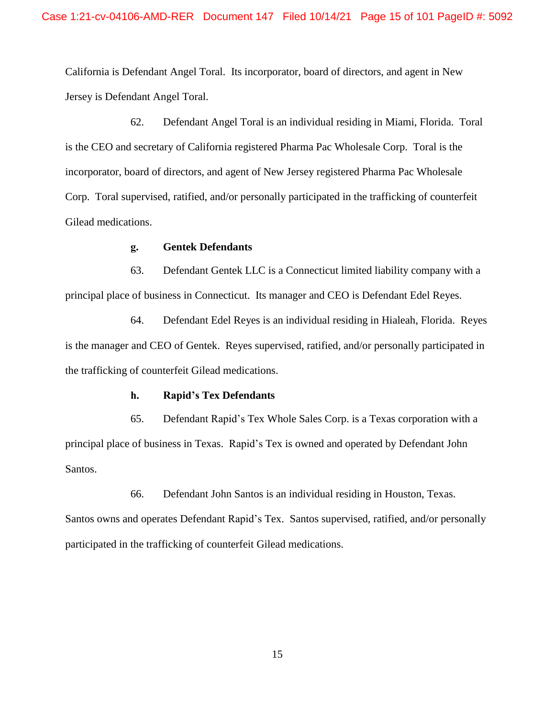California is Defendant Angel Toral. Its incorporator, board of directors, and agent in New Jersey is Defendant Angel Toral.

62. Defendant Angel Toral is an individual residing in Miami, Florida. Toral is the CEO and secretary of California registered Pharma Pac Wholesale Corp. Toral is the incorporator, board of directors, and agent of New Jersey registered Pharma Pac Wholesale Corp. Toral supervised, ratified, and/or personally participated in the trafficking of counterfeit Gilead medications.

#### **g. Gentek Defendants**

63. Defendant Gentek LLC is a Connecticut limited liability company with a principal place of business in Connecticut. Its manager and CEO is Defendant Edel Reyes.

64. Defendant Edel Reyes is an individual residing in Hialeah, Florida. Reyes is the manager and CEO of Gentek. Reyes supervised, ratified, and/or personally participated in the trafficking of counterfeit Gilead medications.

#### **h. Rapid's Tex Defendants**

65. Defendant Rapid's Tex Whole Sales Corp. is a Texas corporation with a principal place of business in Texas. Rapid's Tex is owned and operated by Defendant John Santos.

66. Defendant John Santos is an individual residing in Houston, Texas.

Santos owns and operates Defendant Rapid's Tex. Santos supervised, ratified, and/or personally participated in the trafficking of counterfeit Gilead medications.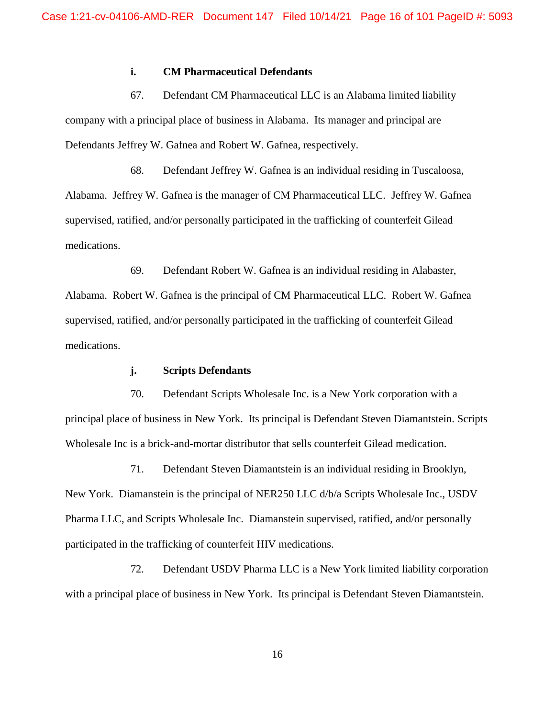# **i. CM Pharmaceutical Defendants**

67. Defendant CM Pharmaceutical LLC is an Alabama limited liability company with a principal place of business in Alabama. Its manager and principal are Defendants Jeffrey W. Gafnea and Robert W. Gafnea, respectively.

68. Defendant Jeffrey W. Gafnea is an individual residing in Tuscaloosa, Alabama. Jeffrey W. Gafnea is the manager of CM Pharmaceutical LLC. Jeffrey W. Gafnea supervised, ratified, and/or personally participated in the trafficking of counterfeit Gilead medications.

69. Defendant Robert W. Gafnea is an individual residing in Alabaster, Alabama. Robert W. Gafnea is the principal of CM Pharmaceutical LLC. Robert W. Gafnea supervised, ratified, and/or personally participated in the trafficking of counterfeit Gilead medications.

# **j. Scripts Defendants**

70. Defendant Scripts Wholesale Inc. is a New York corporation with a principal place of business in New York. Its principal is Defendant Steven Diamantstein. Scripts Wholesale Inc is a brick-and-mortar distributor that sells counterfeit Gilead medication.

71. Defendant Steven Diamantstein is an individual residing in Brooklyn, New York. Diamanstein is the principal of NER250 LLC d/b/a Scripts Wholesale Inc., USDV Pharma LLC, and Scripts Wholesale Inc. Diamanstein supervised, ratified, and/or personally participated in the trafficking of counterfeit HIV medications.

72. Defendant USDV Pharma LLC is a New York limited liability corporation with a principal place of business in New York. Its principal is Defendant Steven Diamantstein.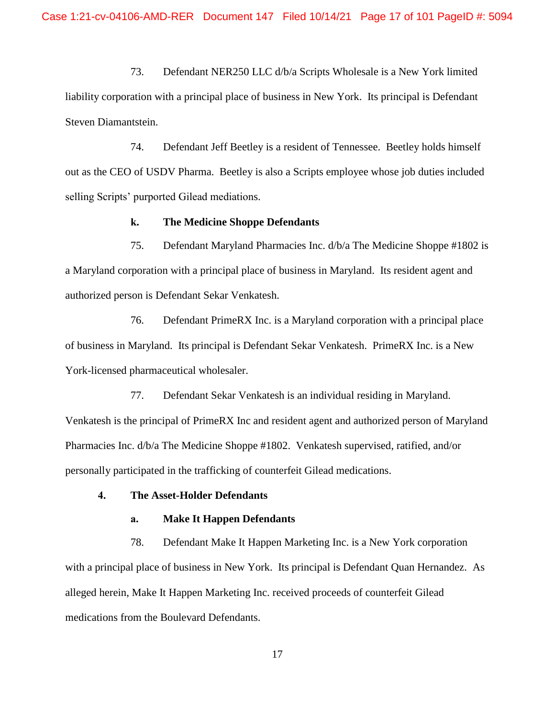73. Defendant NER250 LLC d/b/a Scripts Wholesale is a New York limited liability corporation with a principal place of business in New York. Its principal is Defendant Steven Diamantstein.

74. Defendant Jeff Beetley is a resident of Tennessee. Beetley holds himself out as the CEO of USDV Pharma. Beetley is also a Scripts employee whose job duties included selling Scripts' purported Gilead mediations.

#### **k. The Medicine Shoppe Defendants**

75. Defendant Maryland Pharmacies Inc. d/b/a The Medicine Shoppe #1802 is a Maryland corporation with a principal place of business in Maryland. Its resident agent and authorized person is Defendant Sekar Venkatesh.

76. Defendant PrimeRX Inc. is a Maryland corporation with a principal place of business in Maryland. Its principal is Defendant Sekar Venkatesh. PrimeRX Inc. is a New York-licensed pharmaceutical wholesaler.

77. Defendant Sekar Venkatesh is an individual residing in Maryland. Venkatesh is the principal of PrimeRX Inc and resident agent and authorized person of Maryland Pharmacies Inc. d/b/a The Medicine Shoppe #1802. Venkatesh supervised, ratified, and/or personally participated in the trafficking of counterfeit Gilead medications.

# **4. The Asset-Holder Defendants**

#### **a. Make It Happen Defendants**

78. Defendant Make It Happen Marketing Inc. is a New York corporation with a principal place of business in New York. Its principal is Defendant Quan Hernandez. As alleged herein, Make It Happen Marketing Inc. received proceeds of counterfeit Gilead medications from the Boulevard Defendants.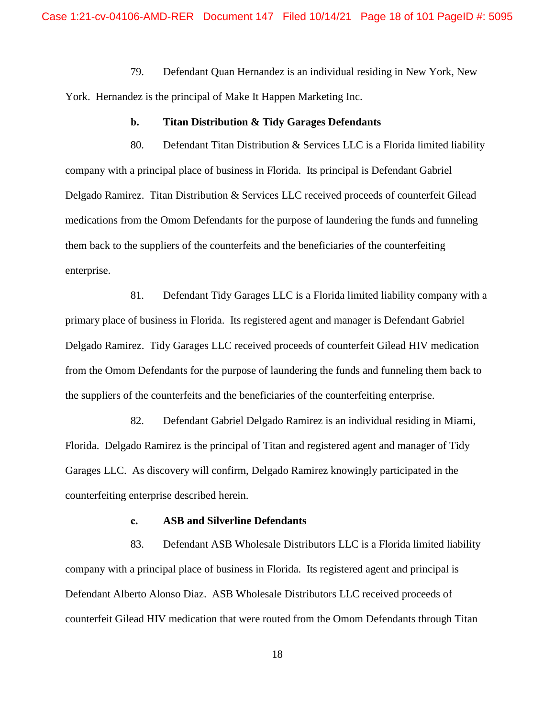79. Defendant Quan Hernandez is an individual residing in New York, New York. Hernandez is the principal of Make It Happen Marketing Inc.

#### **b. Titan Distribution & Tidy Garages Defendants**

80. Defendant Titan Distribution & Services LLC is a Florida limited liability company with a principal place of business in Florida. Its principal is Defendant Gabriel Delgado Ramirez. Titan Distribution & Services LLC received proceeds of counterfeit Gilead medications from the Omom Defendants for the purpose of laundering the funds and funneling them back to the suppliers of the counterfeits and the beneficiaries of the counterfeiting enterprise.

81. Defendant Tidy Garages LLC is a Florida limited liability company with a primary place of business in Florida. Its registered agent and manager is Defendant Gabriel Delgado Ramirez. Tidy Garages LLC received proceeds of counterfeit Gilead HIV medication from the Omom Defendants for the purpose of laundering the funds and funneling them back to the suppliers of the counterfeits and the beneficiaries of the counterfeiting enterprise.

82. Defendant Gabriel Delgado Ramirez is an individual residing in Miami, Florida. Delgado Ramirez is the principal of Titan and registered agent and manager of Tidy Garages LLC. As discovery will confirm, Delgado Ramirez knowingly participated in the counterfeiting enterprise described herein.

#### **c. ASB and Silverline Defendants**

83. Defendant ASB Wholesale Distributors LLC is a Florida limited liability company with a principal place of business in Florida. Its registered agent and principal is Defendant Alberto Alonso Diaz. ASB Wholesale Distributors LLC received proceeds of counterfeit Gilead HIV medication that were routed from the Omom Defendants through Titan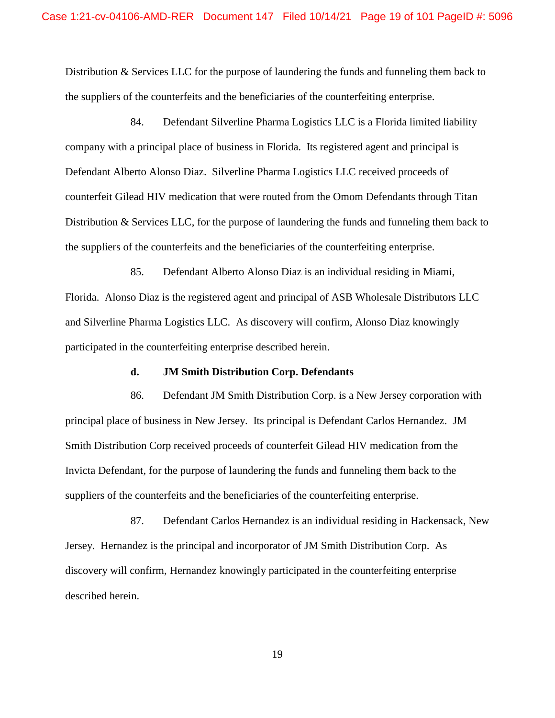Distribution & Services LLC for the purpose of laundering the funds and funneling them back to the suppliers of the counterfeits and the beneficiaries of the counterfeiting enterprise.

84. Defendant Silverline Pharma Logistics LLC is a Florida limited liability company with a principal place of business in Florida. Its registered agent and principal is Defendant Alberto Alonso Diaz. Silverline Pharma Logistics LLC received proceeds of counterfeit Gilead HIV medication that were routed from the Omom Defendants through Titan Distribution & Services LLC, for the purpose of laundering the funds and funneling them back to the suppliers of the counterfeits and the beneficiaries of the counterfeiting enterprise.

85. Defendant Alberto Alonso Diaz is an individual residing in Miami, Florida. Alonso Diaz is the registered agent and principal of ASB Wholesale Distributors LLC and Silverline Pharma Logistics LLC. As discovery will confirm, Alonso Diaz knowingly participated in the counterfeiting enterprise described herein.

#### **d. JM Smith Distribution Corp. Defendants**

86. Defendant JM Smith Distribution Corp. is a New Jersey corporation with principal place of business in New Jersey. Its principal is Defendant Carlos Hernandez. JM Smith Distribution Corp received proceeds of counterfeit Gilead HIV medication from the Invicta Defendant, for the purpose of laundering the funds and funneling them back to the suppliers of the counterfeits and the beneficiaries of the counterfeiting enterprise.

87. Defendant Carlos Hernandez is an individual residing in Hackensack, New Jersey. Hernandez is the principal and incorporator of JM Smith Distribution Corp. As discovery will confirm, Hernandez knowingly participated in the counterfeiting enterprise described herein.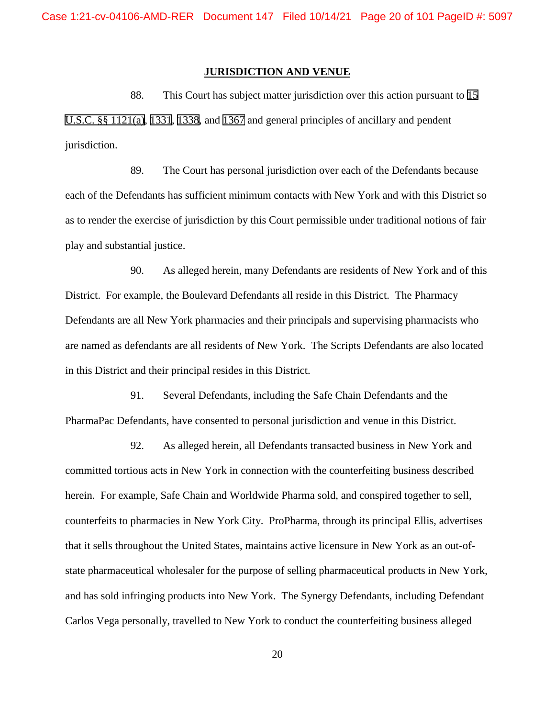#### **JURISDICTION AND VENUE**

88. This Court has subject matter jurisdiction over this action pursuant to 15 U.S.C. §§ 1121(a), 1331, 1338, and 1367 and general principles of ancillary and pendent jurisdiction.

89. The Court has personal jurisdiction over each of the Defendants because each of the Defendants has sufficient minimum contacts with New York and with this District so as to render the exercise of jurisdiction by this Court permissible under traditional notions of fair play and substantial justice.

90. As alleged herein, many Defendants are residents of New York and of this District. For example, the Boulevard Defendants all reside in this District. The Pharmacy Defendants are all New York pharmacies and their principals and supervising pharmacists who are named as defendants are all residents of New York. The Scripts Defendants are also located in this District and their principal resides in this District.

91. Several Defendants, including the Safe Chain Defendants and the PharmaPac Defendants, have consented to personal jurisdiction and venue in this District.

92. As alleged herein, all Defendants transacted business in New York and committed tortious acts in New York in connection with the counterfeiting business described herein. For example, Safe Chain and Worldwide Pharma sold, and conspired together to sell, counterfeits to pharmacies in New York City. ProPharma, through its principal Ellis, advertises that it sells throughout the United States, maintains active licensure in New York as an out-ofstate pharmaceutical wholesaler for the purpose of selling pharmaceutical products in New York, and has sold infringing products into New York. The Synergy Defendants, including Defendant Carlos Vega personally, travelled to New York to conduct the counterfeiting business alleged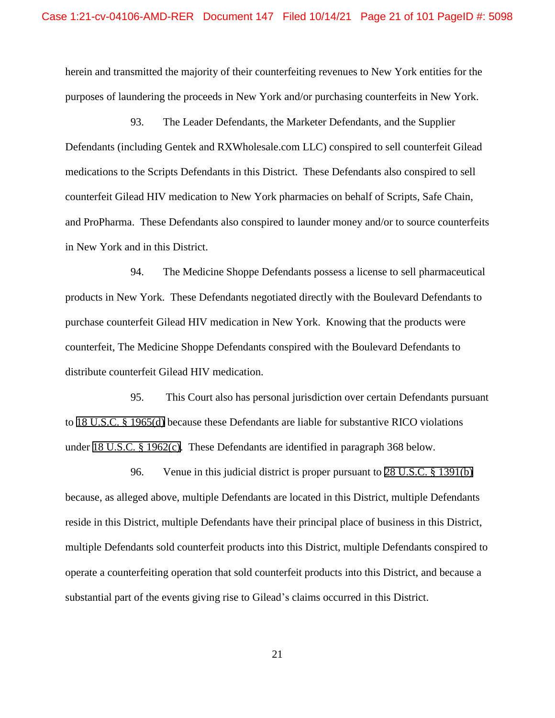herein and transmitted the majority of their counterfeiting revenues to New York entities for the purposes of laundering the proceeds in New York and/or purchasing counterfeits in New York.

93. The Leader Defendants, the Marketer Defendants, and the Supplier Defendants (including Gentek and RXWholesale.com LLC) conspired to sell counterfeit Gilead medications to the Scripts Defendants in this District. These Defendants also conspired to sell counterfeit Gilead HIV medication to New York pharmacies on behalf of Scripts, Safe Chain, and ProPharma. These Defendants also conspired to launder money and/or to source counterfeits in New York and in this District.

94. The Medicine Shoppe Defendants possess a license to sell pharmaceutical products in New York. These Defendants negotiated directly with the Boulevard Defendants to purchase counterfeit Gilead HIV medication in New York. Knowing that the products were counterfeit, The Medicine Shoppe Defendants conspired with the Boulevard Defendants to distribute counterfeit Gilead HIV medication.

95. This Court also has personal jurisdiction over certain Defendants pursuant to 18 U.S.C. § 1965(d) because these Defendants are liable for substantive RICO violations under 18 U.S.C. § 1962(c). These Defendants are identified in paragraph 368 below.

96. Venue in this judicial district is proper pursuant to 28 U.S.C. § 1391(b) because, as alleged above, multiple Defendants are located in this District, multiple Defendants reside in this District, multiple Defendants have their principal place of business in this District, multiple Defendants sold counterfeit products into this District, multiple Defendants conspired to operate a counterfeiting operation that sold counterfeit products into this District, and because a substantial part of the events giving rise to Gilead's claims occurred in this District.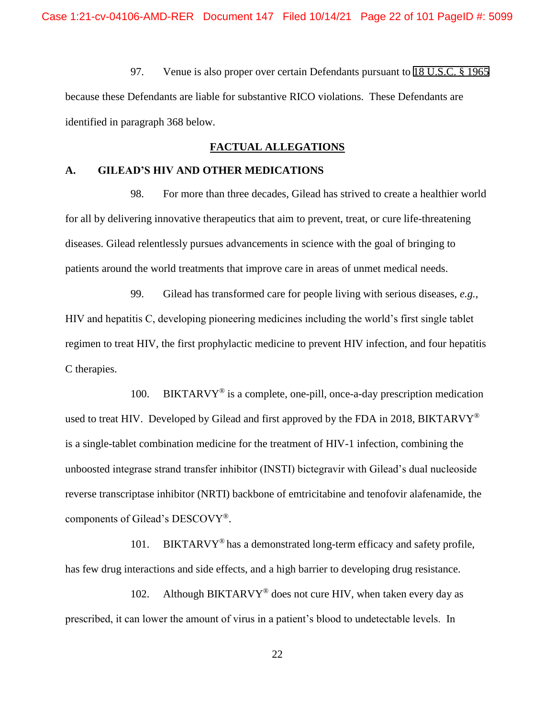97. Venue is also proper over certain Defendants pursuant to 18 U.S.C. § 1965 because these Defendants are liable for substantive RICO violations. These Defendants are identified in paragraph 368 below.

#### **FACTUAL ALLEGATIONS**

#### **A. GILEAD'S HIV AND OTHER MEDICATIONS**

98. For more than three decades, Gilead has strived to create a healthier world for all by delivering innovative therapeutics that aim to prevent, treat, or cure life-threatening diseases. Gilead relentlessly pursues advancements in science with the goal of bringing to patients around the world treatments that improve care in areas of unmet medical needs.

99. Gilead has transformed care for people living with serious diseases, *e.g.*, HIV and hepatitis C, developing pioneering medicines including the world's first single tablet regimen to treat HIV, the first prophylactic medicine to prevent HIV infection, and four hepatitis C therapies.

100. BIKTARVY<sup>®</sup> is a complete, one-pill, once-a-day prescription medication used to treat HIV. Developed by Gilead and first approved by the FDA in 2018, BIKTARVY<sup>®</sup> is a single-tablet combination medicine for the treatment of HIV-1 infection, combining the unboosted integrase strand transfer inhibitor (INSTI) bictegravir with Gilead's dual nucleoside reverse transcriptase inhibitor (NRTI) backbone of emtricitabine and tenofovir alafenamide, the components of Gilead's DESCOVY®.

101. BIKTARVY® has a demonstrated long-term efficacy and safety profile, has few drug interactions and side effects, and a high barrier to developing drug resistance.

102. Although BIKTARVY<sup>®</sup> does not cure HIV, when taken every day as prescribed, it can lower the amount of virus in a patient's blood to undetectable levels. In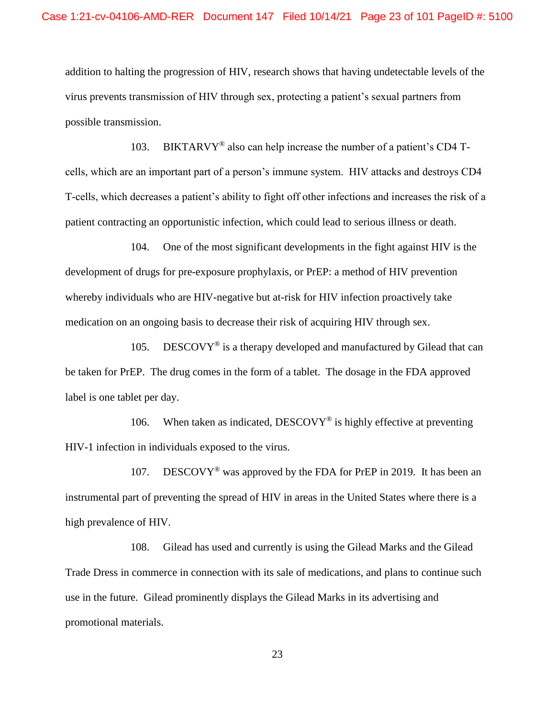addition to halting the progression of HIV, research shows that having undetectable levels of the virus prevents transmission of HIV through sex, protecting a patient's sexual partners from possible transmission.

103. BIKTARVY<sup>®</sup> also can help increase the number of a patient's CD4 Tcells, which are an important part of a person's immune system. HIV attacks and destroys CD4 T-cells, which decreases a patient's ability to fight off other infections and increases the risk of a patient contracting an opportunistic infection, which could lead to serious illness or death.

104. One of the most significant developments in the fight against HIV is the development of drugs for pre-exposure prophylaxis, or PrEP: a method of HIV prevention whereby individuals who are HIV-negative but at-risk for HIV infection proactively take medication on an ongoing basis to decrease their risk of acquiring HIV through sex.

105. DESCOVY<sup>®</sup> is a therapy developed and manufactured by Gilead that can be taken for PrEP. The drug comes in the form of a tablet. The dosage in the FDA approved label is one tablet per day.

106. When taken as indicated, DESCOVY<sup>®</sup> is highly effective at preventing HIV-1 infection in individuals exposed to the virus.

107. DESCOVY<sup>®</sup> was approved by the FDA for PrEP in 2019. It has been an instrumental part of preventing the spread of HIV in areas in the United States where there is a high prevalence of HIV.

108. Gilead has used and currently is using the Gilead Marks and the Gilead Trade Dress in commerce in connection with its sale of medications, and plans to continue such use in the future. Gilead prominently displays the Gilead Marks in its advertising and promotional materials.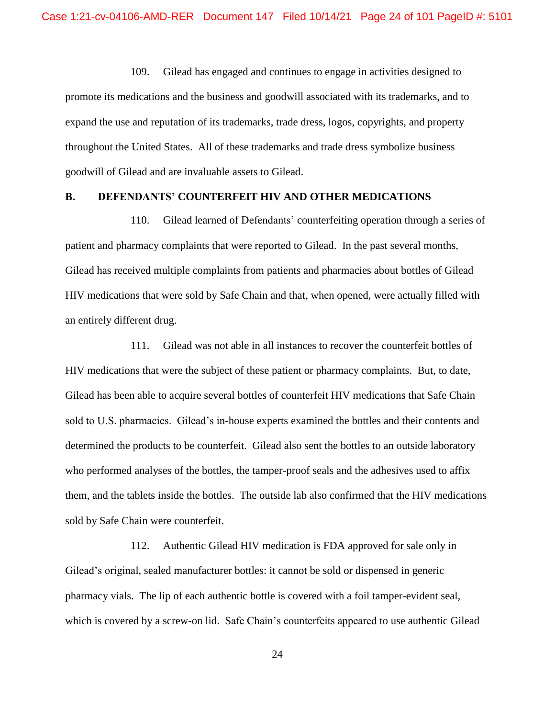109. Gilead has engaged and continues to engage in activities designed to promote its medications and the business and goodwill associated with its trademarks, and to expand the use and reputation of its trademarks, trade dress, logos, copyrights, and property throughout the United States. All of these trademarks and trade dress symbolize business goodwill of Gilead and are invaluable assets to Gilead.

# **B. DEFENDANTS' COUNTERFEIT HIV AND OTHER MEDICATIONS**

110. Gilead learned of Defendants' counterfeiting operation through a series of patient and pharmacy complaints that were reported to Gilead. In the past several months, Gilead has received multiple complaints from patients and pharmacies about bottles of Gilead HIV medications that were sold by Safe Chain and that, when opened, were actually filled with an entirely different drug.

111. Gilead was not able in all instances to recover the counterfeit bottles of HIV medications that were the subject of these patient or pharmacy complaints. But, to date, Gilead has been able to acquire several bottles of counterfeit HIV medications that Safe Chain sold to U.S. pharmacies. Gilead's in-house experts examined the bottles and their contents and determined the products to be counterfeit. Gilead also sent the bottles to an outside laboratory who performed analyses of the bottles, the tamper-proof seals and the adhesives used to affix them, and the tablets inside the bottles. The outside lab also confirmed that the HIV medications sold by Safe Chain were counterfeit.

112. Authentic Gilead HIV medication is FDA approved for sale only in Gilead's original, sealed manufacturer bottles: it cannot be sold or dispensed in generic pharmacy vials. The lip of each authentic bottle is covered with a foil tamper-evident seal, which is covered by a screw-on lid. Safe Chain's counterfeits appeared to use authentic Gilead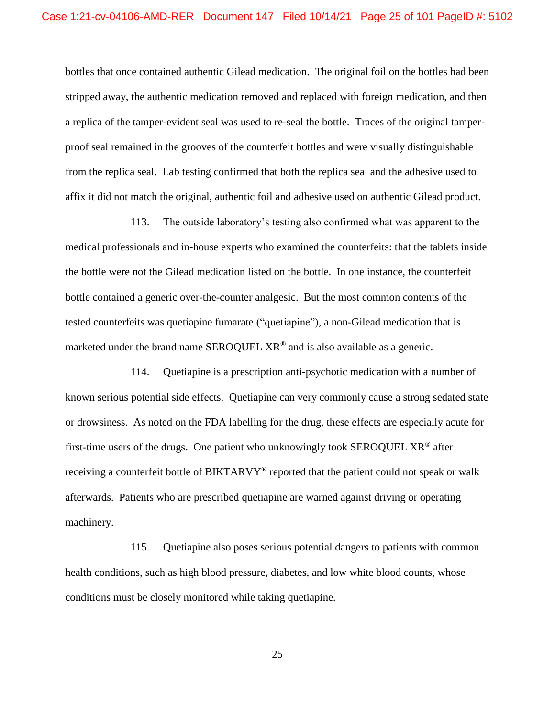bottles that once contained authentic Gilead medication. The original foil on the bottles had been stripped away, the authentic medication removed and replaced with foreign medication, and then a replica of the tamper-evident seal was used to re-seal the bottle. Traces of the original tamperproof seal remained in the grooves of the counterfeit bottles and were visually distinguishable from the replica seal. Lab testing confirmed that both the replica seal and the adhesive used to affix it did not match the original, authentic foil and adhesive used on authentic Gilead product.

113. The outside laboratory's testing also confirmed what was apparent to the medical professionals and in-house experts who examined the counterfeits: that the tablets inside the bottle were not the Gilead medication listed on the bottle. In one instance, the counterfeit bottle contained a generic over-the-counter analgesic. But the most common contents of the tested counterfeits was quetiapine fumarate ("quetiapine"), a non-Gilead medication that is marketed under the brand name SEROQUEL  $XR^{\circledR}$  and is also available as a generic.

114. Quetiapine is a prescription anti-psychotic medication with a number of known serious potential side effects. Quetiapine can very commonly cause a strong sedated state or drowsiness. As noted on the FDA labelling for the drug, these effects are especially acute for first-time users of the drugs. One patient who unknowingly took SEROQUEL  $XR^{\circledast}$  after receiving a counterfeit bottle of BIKTARVY<sup>®</sup> reported that the patient could not speak or walk afterwards. Patients who are prescribed quetiapine are warned against driving or operating machinery.

115. Quetiapine also poses serious potential dangers to patients with common health conditions, such as high blood pressure, diabetes, and low white blood counts, whose conditions must be closely monitored while taking quetiapine.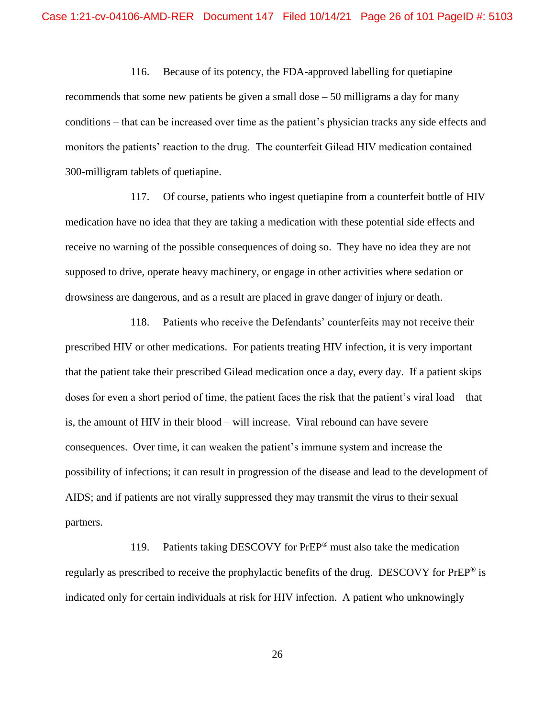116. Because of its potency, the FDA-approved labelling for quetiapine recommends that some new patients be given a small dose – 50 milligrams a day for many conditions – that can be increased over time as the patient's physician tracks any side effects and monitors the patients' reaction to the drug. The counterfeit Gilead HIV medication contained 300-milligram tablets of quetiapine.

117. Of course, patients who ingest quetiapine from a counterfeit bottle of HIV medication have no idea that they are taking a medication with these potential side effects and receive no warning of the possible consequences of doing so. They have no idea they are not supposed to drive, operate heavy machinery, or engage in other activities where sedation or drowsiness are dangerous, and as a result are placed in grave danger of injury or death.

118. Patients who receive the Defendants' counterfeits may not receive their prescribed HIV or other medications. For patients treating HIV infection, it is very important that the patient take their prescribed Gilead medication once a day, every day. If a patient skips doses for even a short period of time, the patient faces the risk that the patient's viral load – that is, the amount of HIV in their blood – will increase. Viral rebound can have severe consequences. Over time, it can weaken the patient's immune system and increase the possibility of infections; it can result in progression of the disease and lead to the development of AIDS; and if patients are not virally suppressed they may transmit the virus to their sexual partners.

119. Patients taking DESCOVY for PrEP® must also take the medication regularly as prescribed to receive the prophylactic benefits of the drug. DESCOVY for PrEP® is indicated only for certain individuals at risk for HIV infection. A patient who unknowingly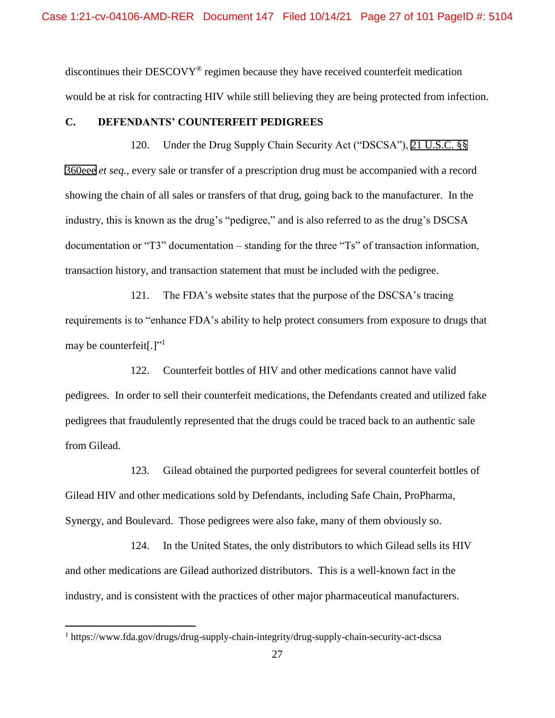discontinues their DESCOVY® regimen because they have received counterfeit medication would be at risk for contracting HIV while still believing they are being protected from infection.

# **C. DEFENDANTS' COUNTERFEIT PEDIGREES**

120. Under the Drug Supply Chain Security Act ("DSCSA"), 21 U.S.C. §§ 360eee *et seq.*, every sale or transfer of a prescription drug must be accompanied with a record showing the chain of all sales or transfers of that drug, going back to the manufacturer. In the industry, this is known as the drug's "pedigree," and is also referred to as the drug's DSCSA documentation or "T3" documentation – standing for the three "Ts" of transaction information, transaction history, and transaction statement that must be included with the pedigree.

121. The FDA's website states that the purpose of the DSCSA's tracing requirements is to "enhance FDA's ability to help protect consumers from exposure to drugs that may be counterfeit[.]"

122. Counterfeit bottles of HIV and other medications cannot have valid pedigrees. In order to sell their counterfeit medications, the Defendants created and utilized fake pedigrees that fraudulently represented that the drugs could be traced back to an authentic sale from Gilead.

123. Gilead obtained the purported pedigrees for several counterfeit bottles of Gilead HIV and other medications sold by Defendants, including Safe Chain, ProPharma, Synergy, and Boulevard. Those pedigrees were also fake, many of them obviously so.

124. In the United States, the only distributors to which Gilead sells its HIV and other medications are Gilead authorized distributors. This is a well-known fact in the industry, and is consistent with the practices of other major pharmaceutical manufacturers.

 $\overline{a}$ 

<sup>1</sup> https://www.fda.gov/drugs/drug-supply-chain-integrity/drug-supply-chain-security-act-dscsa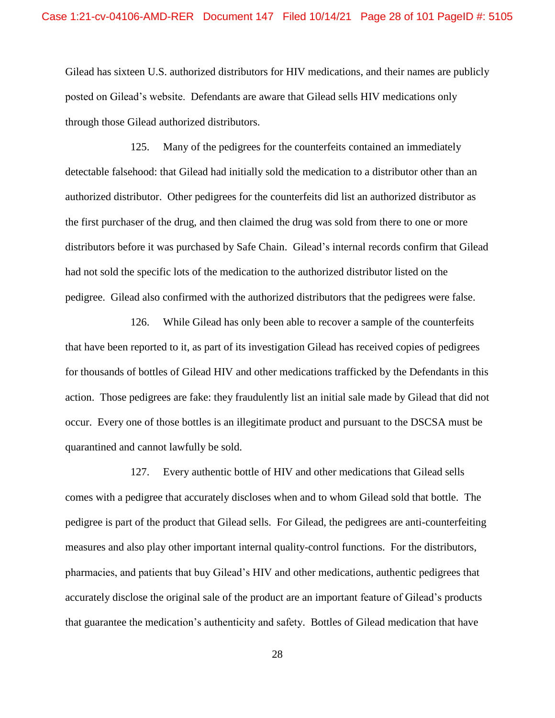Gilead has sixteen U.S. authorized distributors for HIV medications, and their names are publicly posted on Gilead's website. Defendants are aware that Gilead sells HIV medications only through those Gilead authorized distributors.

125. Many of the pedigrees for the counterfeits contained an immediately detectable falsehood: that Gilead had initially sold the medication to a distributor other than an authorized distributor. Other pedigrees for the counterfeits did list an authorized distributor as the first purchaser of the drug, and then claimed the drug was sold from there to one or more distributors before it was purchased by Safe Chain. Gilead's internal records confirm that Gilead had not sold the specific lots of the medication to the authorized distributor listed on the pedigree. Gilead also confirmed with the authorized distributors that the pedigrees were false.

126. While Gilead has only been able to recover a sample of the counterfeits that have been reported to it, as part of its investigation Gilead has received copies of pedigrees for thousands of bottles of Gilead HIV and other medications trafficked by the Defendants in this action. Those pedigrees are fake: they fraudulently list an initial sale made by Gilead that did not occur. Every one of those bottles is an illegitimate product and pursuant to the DSCSA must be quarantined and cannot lawfully be sold.

127. Every authentic bottle of HIV and other medications that Gilead sells comes with a pedigree that accurately discloses when and to whom Gilead sold that bottle. The pedigree is part of the product that Gilead sells. For Gilead, the pedigrees are anti-counterfeiting measures and also play other important internal quality-control functions. For the distributors, pharmacies, and patients that buy Gilead's HIV and other medications, authentic pedigrees that accurately disclose the original sale of the product are an important feature of Gilead's products that guarantee the medication's authenticity and safety. Bottles of Gilead medication that have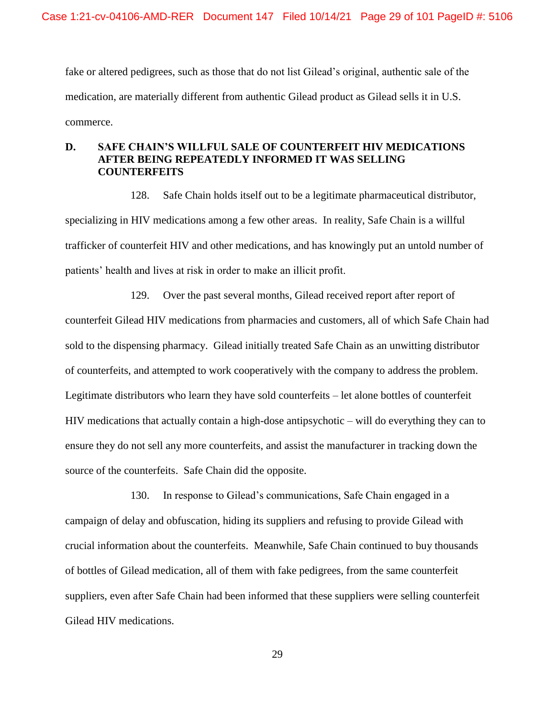fake or altered pedigrees, such as those that do not list Gilead's original, authentic sale of the medication, are materially different from authentic Gilead product as Gilead sells it in U.S. commerce.

# **D. SAFE CHAIN'S WILLFUL SALE OF COUNTERFEIT HIV MEDICATIONS AFTER BEING REPEATEDLY INFORMED IT WAS SELLING COUNTERFEITS**

128. Safe Chain holds itself out to be a legitimate pharmaceutical distributor, specializing in HIV medications among a few other areas. In reality, Safe Chain is a willful trafficker of counterfeit HIV and other medications, and has knowingly put an untold number of patients' health and lives at risk in order to make an illicit profit.

129. Over the past several months, Gilead received report after report of counterfeit Gilead HIV medications from pharmacies and customers, all of which Safe Chain had sold to the dispensing pharmacy. Gilead initially treated Safe Chain as an unwitting distributor of counterfeits, and attempted to work cooperatively with the company to address the problem. Legitimate distributors who learn they have sold counterfeits – let alone bottles of counterfeit HIV medications that actually contain a high-dose antipsychotic – will do everything they can to ensure they do not sell any more counterfeits, and assist the manufacturer in tracking down the source of the counterfeits. Safe Chain did the opposite.

130. In response to Gilead's communications, Safe Chain engaged in a campaign of delay and obfuscation, hiding its suppliers and refusing to provide Gilead with crucial information about the counterfeits. Meanwhile, Safe Chain continued to buy thousands of bottles of Gilead medication, all of them with fake pedigrees, from the same counterfeit suppliers, even after Safe Chain had been informed that these suppliers were selling counterfeit Gilead HIV medications.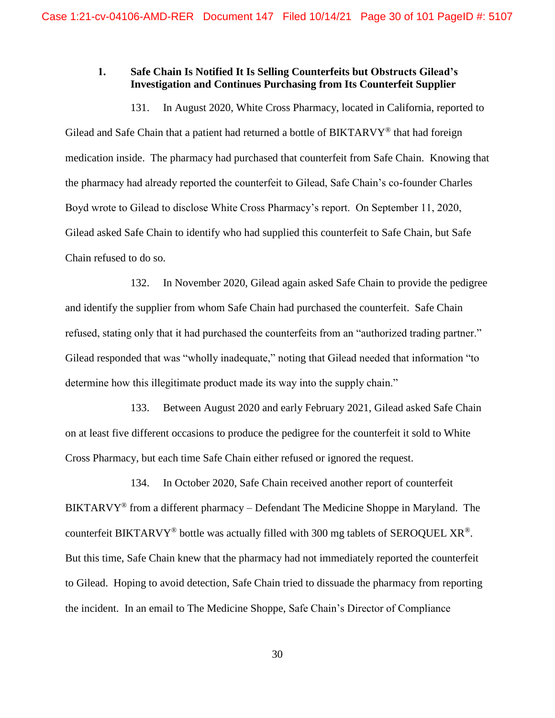# **1. Safe Chain Is Notified It Is Selling Counterfeits but Obstructs Gilead's Investigation and Continues Purchasing from Its Counterfeit Supplier**

131. In August 2020, White Cross Pharmacy, located in California, reported to Gilead and Safe Chain that a patient had returned a bottle of BIKTARVY<sup>®</sup> that had foreign medication inside. The pharmacy had purchased that counterfeit from Safe Chain. Knowing that the pharmacy had already reported the counterfeit to Gilead, Safe Chain's co-founder Charles Boyd wrote to Gilead to disclose White Cross Pharmacy's report. On September 11, 2020, Gilead asked Safe Chain to identify who had supplied this counterfeit to Safe Chain, but Safe Chain refused to do so.

132. In November 2020, Gilead again asked Safe Chain to provide the pedigree and identify the supplier from whom Safe Chain had purchased the counterfeit. Safe Chain refused, stating only that it had purchased the counterfeits from an "authorized trading partner." Gilead responded that was "wholly inadequate," noting that Gilead needed that information "to determine how this illegitimate product made its way into the supply chain."

133. Between August 2020 and early February 2021, Gilead asked Safe Chain on at least five different occasions to produce the pedigree for the counterfeit it sold to White Cross Pharmacy, but each time Safe Chain either refused or ignored the request.

134. In October 2020, Safe Chain received another report of counterfeit BIKTARVY<sup>®</sup> from a different pharmacy – Defendant The Medicine Shoppe in Maryland. The counterfeit BIKTARVY<sup>®</sup> bottle was actually filled with 300 mg tablets of SEROQUEL XR<sup>®</sup>. But this time, Safe Chain knew that the pharmacy had not immediately reported the counterfeit to Gilead. Hoping to avoid detection, Safe Chain tried to dissuade the pharmacy from reporting the incident. In an email to The Medicine Shoppe, Safe Chain's Director of Compliance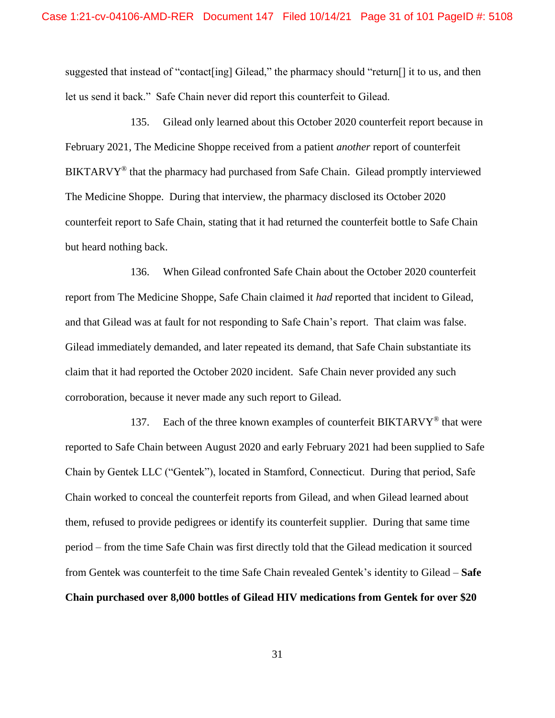suggested that instead of "contact<sup>[ing]</sup> Gilead," the pharmacy should "return<sup>[]</sup> it to us, and then let us send it back." Safe Chain never did report this counterfeit to Gilead.

135. Gilead only learned about this October 2020 counterfeit report because in February 2021, The Medicine Shoppe received from a patient *another* report of counterfeit BIKTARVY<sup>®</sup> that the pharmacy had purchased from Safe Chain. Gilead promptly interviewed The Medicine Shoppe. During that interview, the pharmacy disclosed its October 2020 counterfeit report to Safe Chain, stating that it had returned the counterfeit bottle to Safe Chain but heard nothing back.

136. When Gilead confronted Safe Chain about the October 2020 counterfeit report from The Medicine Shoppe, Safe Chain claimed it *had* reported that incident to Gilead, and that Gilead was at fault for not responding to Safe Chain's report. That claim was false. Gilead immediately demanded, and later repeated its demand, that Safe Chain substantiate its claim that it had reported the October 2020 incident. Safe Chain never provided any such corroboration, because it never made any such report to Gilead.

137. Each of the three known examples of counterfeit BIKTARVY<sup>®</sup> that were reported to Safe Chain between August 2020 and early February 2021 had been supplied to Safe Chain by Gentek LLC ("Gentek"), located in Stamford, Connecticut. During that period, Safe Chain worked to conceal the counterfeit reports from Gilead, and when Gilead learned about them, refused to provide pedigrees or identify its counterfeit supplier. During that same time period – from the time Safe Chain was first directly told that the Gilead medication it sourced from Gentek was counterfeit to the time Safe Chain revealed Gentek's identity to Gilead – **Safe Chain purchased over 8,000 bottles of Gilead HIV medications from Gentek for over \$20**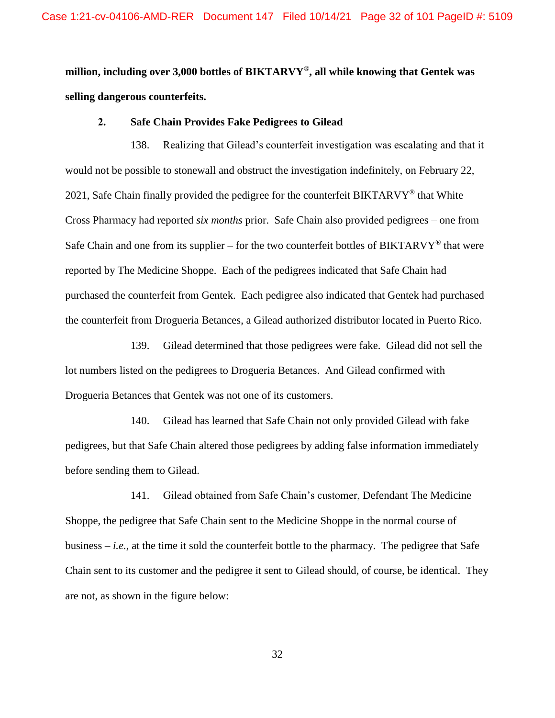**million, including over 3,000 bottles of BIKTARVY**®**, all while knowing that Gentek was selling dangerous counterfeits.**

#### **2. Safe Chain Provides Fake Pedigrees to Gilead**

138. Realizing that Gilead's counterfeit investigation was escalating and that it would not be possible to stonewall and obstruct the investigation indefinitely, on February 22, 2021, Safe Chain finally provided the pedigree for the counterfeit BIKTARVY<sup>®</sup> that White Cross Pharmacy had reported *six months* prior. Safe Chain also provided pedigrees – one from Safe Chain and one from its supplier – for the two counterfeit bottles of BIKTARVY<sup>®</sup> that were reported by The Medicine Shoppe. Each of the pedigrees indicated that Safe Chain had purchased the counterfeit from Gentek. Each pedigree also indicated that Gentek had purchased the counterfeit from Drogueria Betances, a Gilead authorized distributor located in Puerto Rico.

139. Gilead determined that those pedigrees were fake. Gilead did not sell the lot numbers listed on the pedigrees to Drogueria Betances. And Gilead confirmed with Drogueria Betances that Gentek was not one of its customers.

140. Gilead has learned that Safe Chain not only provided Gilead with fake pedigrees, but that Safe Chain altered those pedigrees by adding false information immediately before sending them to Gilead.

141. Gilead obtained from Safe Chain's customer, Defendant The Medicine Shoppe, the pedigree that Safe Chain sent to the Medicine Shoppe in the normal course of business  $-i.e.,$  at the time it sold the counterfeit bottle to the pharmacy. The pedigree that Safe Chain sent to its customer and the pedigree it sent to Gilead should, of course, be identical. They are not, as shown in the figure below: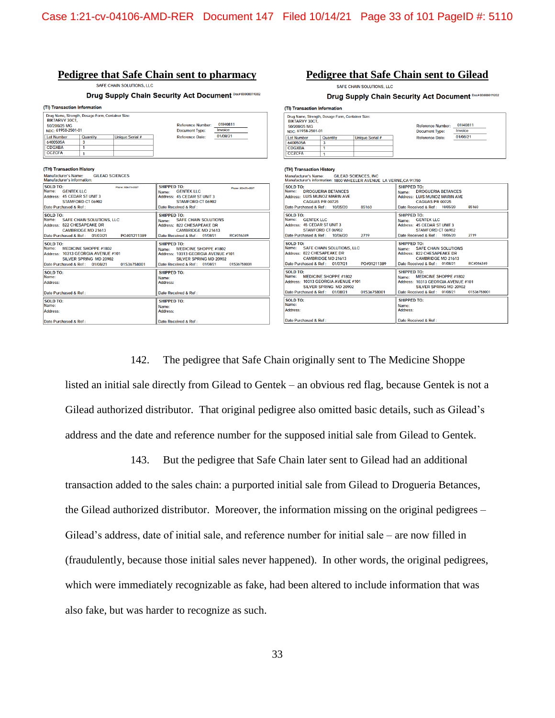#### **Pedigree that Safe Chain sent to pharmacy Pedigree that Safe Chain sent to Gilead**

SAFE CHAIN SOLUTIONS, LLC

Drug Supply Chain Security Act Document Doc# 00000019202

| (TI) Transaction Information                                                                              |                                                                           |                                                                          |                                                                                                                                                               |                     |
|-----------------------------------------------------------------------------------------------------------|---------------------------------------------------------------------------|--------------------------------------------------------------------------|---------------------------------------------------------------------------------------------------------------------------------------------------------------|---------------------|
| Drug Name, Strength, Dosage Form, Container Size:<br>BIKTARVY 30CT.<br>50/200/25 MG<br>NDC: 61958-2501-01 |                                                                           | 01l40811<br><b>Reference Number:</b><br>Invoice<br><b>Document Type:</b> |                                                                                                                                                               |                     |
| <b>Lot Number</b>                                                                                         | Quantity                                                                  | Unique Serial #                                                          | <b>Reference Date:</b>                                                                                                                                        | 01/08/21            |
| 6400505A                                                                                                  | 3                                                                         |                                                                          |                                                                                                                                                               |                     |
| <b>CDGXBA</b>                                                                                             | ī                                                                         |                                                                          |                                                                                                                                                               |                     |
| <b>CCZCFA</b>                                                                                             | 1                                                                         |                                                                          |                                                                                                                                                               |                     |
| (TH) Transaction History<br>Manufacturer's Name:<br>Manufacturer's information:                           | <b>GILFAD SCIENCES</b>                                                    |                                                                          |                                                                                                                                                               |                     |
| SOLD TO:                                                                                                  |                                                                           | Phone: 203-274-3527                                                      | <b>SHIPPED TO:</b>                                                                                                                                            | Phone: 203-274-3527 |
| Name:<br><b>GENTEK LLC</b>                                                                                |                                                                           |                                                                          | <b>GENTEK LLC</b><br>Name:                                                                                                                                    |                     |
| Address: 45 CEDAR ST UNIT 3                                                                               |                                                                           |                                                                          | Address: 45 CEDAR ST UNIT 3                                                                                                                                   |                     |
| Date Purchased & Ref:                                                                                     | STAMFORD CT 06902                                                         |                                                                          | STAMFORD CT 06902<br>Date Received & Ref:                                                                                                                     |                     |
|                                                                                                           |                                                                           |                                                                          |                                                                                                                                                               |                     |
| <b>SOLD TO:</b><br>Name:<br>Address: 822 CHESAPEAKE DR<br>Date Purchased & Ref:                           | <b>SAFE CHAIN SOLUTIONS, LLC</b><br><b>CAMBRIDGE MD 21613</b><br>01/07/21 | PO#01211389                                                              | <b>SHIPPED TO:</b><br><b>SAFE CHAIN SOLUTIONS</b><br>Name:<br><b>Address: 822 CHESAPEAKE DR</b><br><b>CAMBRIDGE MD 21613</b><br>Date Received & Ref: 01/08/21 | RC#016349           |
| <b>SOLD TO:</b><br>Name:<br>Address: 10313 GEORGIA AVENUE #101                                            | <b>MEDICINE SHOPPE #1802</b><br>SILVER SPRING MD 20902                    |                                                                          | <b>SHIPPED TO:</b><br><b>MEDICINE SHOPPE #1802</b><br>Name:<br>Address: 10313 GEORGIA AVENUE #101<br><b>SILVER SPRING MD 20902</b>                            |                     |
| Date Purchased & Ref:                                                                                     | 01/08/21                                                                  | 01S36758001                                                              | Date Received & Ref: 01/08/21                                                                                                                                 | 01S36758001         |
| <b>SOLD TO:</b><br>Name:<br><b>Address:</b>                                                               |                                                                           |                                                                          | <b>SHIPPED TO:</b><br>Name:<br>Address:                                                                                                                       |                     |
| Date Purchased & Ref:                                                                                     |                                                                           |                                                                          | Date Received & Ref:                                                                                                                                          |                     |
| SOLD TO:<br>Name:<br><b>Address:</b>                                                                      |                                                                           |                                                                          | <b>SHIPPED TO:</b><br>Name:<br>Address:                                                                                                                       |                     |
| Date Purchased & Ref :                                                                                    |                                                                           |                                                                          | Date Received & Ref -                                                                                                                                         |                     |

SAFE CHAIN SOLUTIONS, LLC

Drug Supply Chain Security Act Document Doc# 00000019202

| (TI) Transaction Information                                |                                                   |                                                                                                    |                                                   |                     |
|-------------------------------------------------------------|---------------------------------------------------|----------------------------------------------------------------------------------------------------|---------------------------------------------------|---------------------|
| <b>BIKTARVY 30CT.</b><br>50/200/25 MG<br>NDC: 61958-2501-01 | Drug Name, Strength, Dosage Form, Container Size: |                                                                                                    | <b>Reference Number:</b><br><b>Document Type:</b> | 01l40811<br>Invoice |
| <b>Lot Number</b>                                           | Quantity                                          | <b>Unique Serial #</b>                                                                             | <b>Reference Date:</b>                            | 01/08/21            |
| 6400505A                                                    | 3                                                 |                                                                                                    |                                                   |                     |
| <b>CDGXBA</b>                                               |                                                   |                                                                                                    |                                                   |                     |
| <b>CCZCFA</b>                                               |                                                   |                                                                                                    |                                                   |                     |
| (TH) Transaction History                                    |                                                   |                                                                                                    |                                                   |                     |
| <b>Manufacturer's Name:</b>                                 |                                                   | <b>GILEAD SCIENCES, INC.</b><br>Manufacturer's information: 1800 WHEELER AVENUE LA VERNE, CA 91750 |                                                   |                     |
| <b>SOLD TO:</b>                                             |                                                   |                                                                                                    | <b>SHIPPED TO:</b>                                |                     |

| Manufacturer's information: 1800 WHEELER AVENUE LA VERNE.CA 91750                                                                           |                                                                                                                                     |  |  |
|---------------------------------------------------------------------------------------------------------------------------------------------|-------------------------------------------------------------------------------------------------------------------------------------|--|--|
| <b>SOLD TO:</b>                                                                                                                             | <b>SHIPPED TO:</b>                                                                                                                  |  |  |
| Name:                                                                                                                                       | <b>DROGUERIA BETANCES</b>                                                                                                           |  |  |
| <b>DROGUERIA BETANCES</b>                                                                                                                   | Name:                                                                                                                               |  |  |
| <b>Address: LUIS MUNOZ MARIN AVE</b>                                                                                                        | Address: LUIS MUNOZ MARIN AVE                                                                                                       |  |  |
| CAGUAS PR 00725                                                                                                                             | CAGUAS PR 00725                                                                                                                     |  |  |
| Date Purchased & Ref: 10/05/20                                                                                                              | Date Received & Ref: 10/05/20                                                                                                       |  |  |
| 85160                                                                                                                                       | 85160                                                                                                                               |  |  |
| SOLD TO:<br>Name:<br><b>GENTEK LLC</b><br><b>Address: 45 CEDAR ST UNIT 3</b><br>STAMFORD CT 06902<br>Date Purchased & Ref: 10/06/20<br>2719 | <b>SHIPPED TO:</b><br>Name: GENTEK LLC<br>Address: 45 CEDAR ST UNIT 3<br>STAMFORD CT 06902<br>Date Received & Ref: 10/06/20<br>2719 |  |  |
| SOLD TO:                                                                                                                                    | <b>SHIPPED TO:</b>                                                                                                                  |  |  |
| Name: SAFE CHAIN SOLUTIONS, LLC                                                                                                             | Name: SAFE CHAIN SOLUTIONS                                                                                                          |  |  |
| <b>Address: 822 CHESAPEAKE DR</b>                                                                                                           | Address: 822 CHESAPEAKE DR                                                                                                          |  |  |
| <b>CAMBRIDGE MD 21613</b>                                                                                                                   | <b>CAMBRIDGE MD 21613</b>                                                                                                           |  |  |
| Date Purchased & Ref: 01/07/21                                                                                                              | Date Received & Ref: 01/08/21                                                                                                       |  |  |
| PO#01211389                                                                                                                                 | RC#016349                                                                                                                           |  |  |
| SOLD TO:                                                                                                                                    | <b>SHIPPED TO:</b>                                                                                                                  |  |  |
| Name:                                                                                                                                       | <b>MEDICINE SHOPPE #1802</b>                                                                                                        |  |  |
| <b>MEDICINE SHOPPE #1802</b>                                                                                                                | Name:                                                                                                                               |  |  |
| Address: 10313 GEORGIA AVENUE #101                                                                                                          | Address: 10313 GEORGIA AVENUE #101                                                                                                  |  |  |
| SILVER SPRING MD 20902                                                                                                                      | SILVER SPRING MD 20902                                                                                                              |  |  |
| Date Purchased & Ref: 01/08/21                                                                                                              | Date Received & Ref: 01/08/21                                                                                                       |  |  |
| 01S36758001                                                                                                                                 | 01S36758001                                                                                                                         |  |  |
| <b>SOLD TO:</b>                                                                                                                             | <b>SHIPPED TO:</b>                                                                                                                  |  |  |
| Name:                                                                                                                                       | Name:                                                                                                                               |  |  |
| Address:                                                                                                                                    | Address:                                                                                                                            |  |  |
| Date Purchased & Ref:                                                                                                                       | Date Received & Ref:                                                                                                                |  |  |

142. The pedigree that Safe Chain originally sent to The Medicine Shoppe

listed an initial sale directly from Gilead to Gentek – an obvious red flag, because Gentek is not a Gilead authorized distributor. That original pedigree also omitted basic details, such as Gilead's address and the date and reference number for the supposed initial sale from Gilead to Gentek.

143. But the pedigree that Safe Chain later sent to Gilead had an additional transaction added to the sales chain: a purported initial sale from Gilead to Drogueria Betances, the Gilead authorized distributor. Moreover, the information missing on the original pedigrees – Gilead's address, date of initial sale, and reference number for initial sale – are now filled in (fraudulently, because those initial sales never happened). In other words, the original pedigrees, which were immediately recognizable as fake, had been altered to include information that was also fake, but was harder to recognize as such.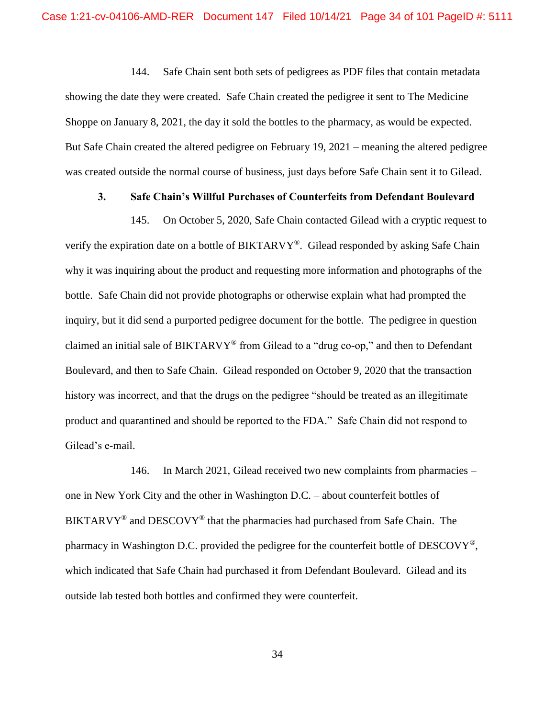144. Safe Chain sent both sets of pedigrees as PDF files that contain metadata showing the date they were created. Safe Chain created the pedigree it sent to The Medicine Shoppe on January 8, 2021, the day it sold the bottles to the pharmacy, as would be expected. But Safe Chain created the altered pedigree on February 19, 2021 – meaning the altered pedigree was created outside the normal course of business, just days before Safe Chain sent it to Gilead.

# **3. Safe Chain's Willful Purchases of Counterfeits from Defendant Boulevard**

145. On October 5, 2020, Safe Chain contacted Gilead with a cryptic request to verify the expiration date on a bottle of BIKTARVY<sup>®</sup>. Gilead responded by asking Safe Chain why it was inquiring about the product and requesting more information and photographs of the bottle. Safe Chain did not provide photographs or otherwise explain what had prompted the inquiry, but it did send a purported pedigree document for the bottle. The pedigree in question claimed an initial sale of BIKTARVY® from Gilead to a "drug co-op," and then to Defendant Boulevard, and then to Safe Chain. Gilead responded on October 9, 2020 that the transaction history was incorrect, and that the drugs on the pedigree "should be treated as an illegitimate product and quarantined and should be reported to the FDA." Safe Chain did not respond to Gilead's e-mail.

146. In March 2021, Gilead received two new complaints from pharmacies – one in New York City and the other in Washington D.C. – about counterfeit bottles of BIKTARVY® and DESCOVY® that the pharmacies had purchased from Safe Chain. The pharmacy in Washington D.C. provided the pedigree for the counterfeit bottle of DESCOVY®, which indicated that Safe Chain had purchased it from Defendant Boulevard. Gilead and its outside lab tested both bottles and confirmed they were counterfeit.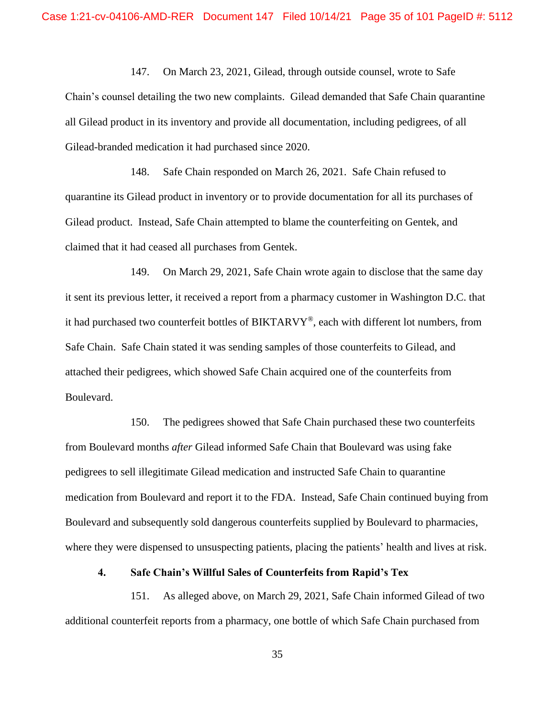147. On March 23, 2021, Gilead, through outside counsel, wrote to Safe Chain's counsel detailing the two new complaints. Gilead demanded that Safe Chain quarantine all Gilead product in its inventory and provide all documentation, including pedigrees, of all Gilead-branded medication it had purchased since 2020.

148. Safe Chain responded on March 26, 2021. Safe Chain refused to quarantine its Gilead product in inventory or to provide documentation for all its purchases of Gilead product. Instead, Safe Chain attempted to blame the counterfeiting on Gentek, and claimed that it had ceased all purchases from Gentek.

149. On March 29, 2021, Safe Chain wrote again to disclose that the same day it sent its previous letter, it received a report from a pharmacy customer in Washington D.C. that it had purchased two counterfeit bottles of BIKTARVY®, each with different lot numbers, from Safe Chain. Safe Chain stated it was sending samples of those counterfeits to Gilead, and attached their pedigrees, which showed Safe Chain acquired one of the counterfeits from Boulevard.

150. The pedigrees showed that Safe Chain purchased these two counterfeits from Boulevard months *after* Gilead informed Safe Chain that Boulevard was using fake pedigrees to sell illegitimate Gilead medication and instructed Safe Chain to quarantine medication from Boulevard and report it to the FDA. Instead, Safe Chain continued buying from Boulevard and subsequently sold dangerous counterfeits supplied by Boulevard to pharmacies, where they were dispensed to unsuspecting patients, placing the patients' health and lives at risk.

#### **4. Safe Chain's Willful Sales of Counterfeits from Rapid's Tex**

151. As alleged above, on March 29, 2021, Safe Chain informed Gilead of two additional counterfeit reports from a pharmacy, one bottle of which Safe Chain purchased from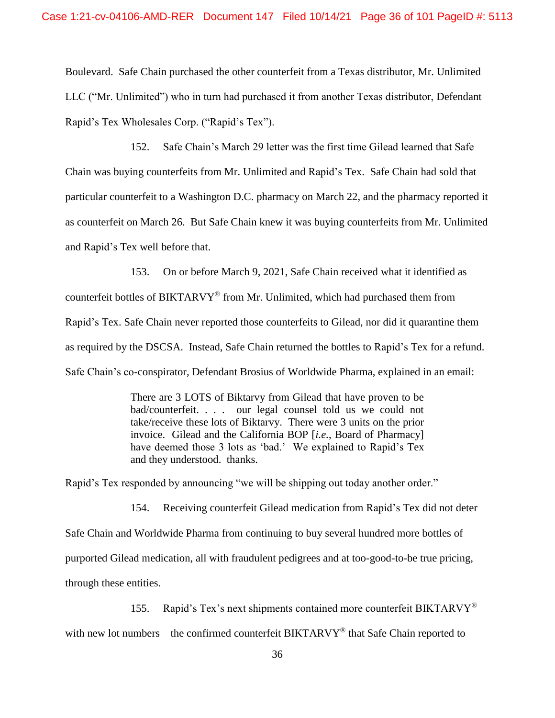Boulevard. Safe Chain purchased the other counterfeit from a Texas distributor, Mr. Unlimited LLC ("Mr. Unlimited") who in turn had purchased it from another Texas distributor, Defendant Rapid's Tex Wholesales Corp. ("Rapid's Tex").

152. Safe Chain's March 29 letter was the first time Gilead learned that Safe Chain was buying counterfeits from Mr. Unlimited and Rapid's Tex. Safe Chain had sold that particular counterfeit to a Washington D.C. pharmacy on March 22, and the pharmacy reported it as counterfeit on March 26. But Safe Chain knew it was buying counterfeits from Mr. Unlimited and Rapid's Tex well before that.

153. On or before March 9, 2021, Safe Chain received what it identified as counterfeit bottles of BIKTARVY® from Mr. Unlimited, which had purchased them from Rapid's Tex. Safe Chain never reported those counterfeits to Gilead, nor did it quarantine them as required by the DSCSA. Instead, Safe Chain returned the bottles to Rapid's Tex for a refund. Safe Chain's co-conspirator, Defendant Brosius of Worldwide Pharma, explained in an email:

> There are 3 LOTS of Biktarvy from Gilead that have proven to be bad/counterfeit. . . . our legal counsel told us we could not take/receive these lots of Biktarvy. There were 3 units on the prior invoice. Gilead and the California BOP [*i.e.*, Board of Pharmacy] have deemed those 3 lots as 'bad.' We explained to Rapid's Tex and they understood. thanks.

Rapid's Tex responded by announcing "we will be shipping out today another order."

154. Receiving counterfeit Gilead medication from Rapid's Tex did not deter Safe Chain and Worldwide Pharma from continuing to buy several hundred more bottles of purported Gilead medication, all with fraudulent pedigrees and at too-good-to-be true pricing, through these entities.

155. Rapid's Tex's next shipments contained more counterfeit BIKTARVY® with new lot numbers – the confirmed counterfeit  $BIKTARYY^*$  that Safe Chain reported to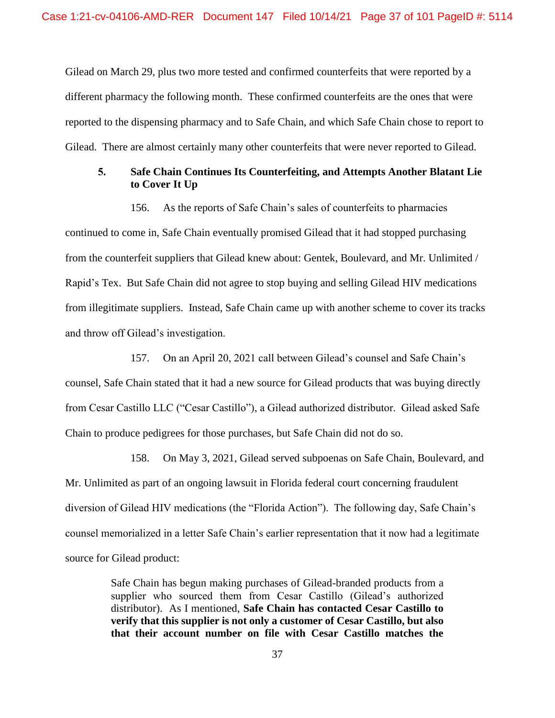Gilead on March 29, plus two more tested and confirmed counterfeits that were reported by a different pharmacy the following month. These confirmed counterfeits are the ones that were reported to the dispensing pharmacy and to Safe Chain, and which Safe Chain chose to report to Gilead. There are almost certainly many other counterfeits that were never reported to Gilead.

# **5. Safe Chain Continues Its Counterfeiting, and Attempts Another Blatant Lie to Cover It Up**

156. As the reports of Safe Chain's sales of counterfeits to pharmacies continued to come in, Safe Chain eventually promised Gilead that it had stopped purchasing from the counterfeit suppliers that Gilead knew about: Gentek, Boulevard, and Mr. Unlimited / Rapid's Tex. But Safe Chain did not agree to stop buying and selling Gilead HIV medications from illegitimate suppliers. Instead, Safe Chain came up with another scheme to cover its tracks and throw off Gilead's investigation.

157. On an April 20, 2021 call between Gilead's counsel and Safe Chain's counsel, Safe Chain stated that it had a new source for Gilead products that was buying directly from Cesar Castillo LLC ("Cesar Castillo"), a Gilead authorized distributor. Gilead asked Safe Chain to produce pedigrees for those purchases, but Safe Chain did not do so.

158. On May 3, 2021, Gilead served subpoenas on Safe Chain, Boulevard, and Mr. Unlimited as part of an ongoing lawsuit in Florida federal court concerning fraudulent diversion of Gilead HIV medications (the "Florida Action"). The following day, Safe Chain's counsel memorialized in a letter Safe Chain's earlier representation that it now had a legitimate source for Gilead product:

> Safe Chain has begun making purchases of Gilead-branded products from a supplier who sourced them from Cesar Castillo (Gilead's authorized distributor). As I mentioned, **Safe Chain has contacted Cesar Castillo to verify that this supplier is not only a customer of Cesar Castillo, but also that their account number on file with Cesar Castillo matches the**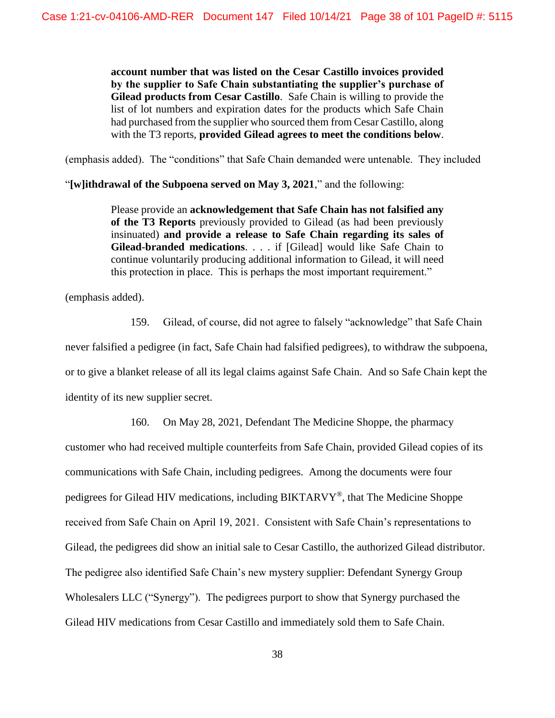**account number that was listed on the Cesar Castillo invoices provided by the supplier to Safe Chain substantiating the supplier's purchase of Gilead products from Cesar Castillo**. Safe Chain is willing to provide the list of lot numbers and expiration dates for the products which Safe Chain had purchased from the supplier who sourced them from Cesar Castillo, along with the T3 reports, **provided Gilead agrees to meet the conditions below**.

(emphasis added). The "conditions" that Safe Chain demanded were untenable. They included

"**[w]ithdrawal of the Subpoena served on May 3, 2021**," and the following:

Please provide an **acknowledgement that Safe Chain has not falsified any of the T3 Reports** previously provided to Gilead (as had been previously insinuated) **and provide a release to Safe Chain regarding its sales of Gilead-branded medications**. . . . if [Gilead] would like Safe Chain to continue voluntarily producing additional information to Gilead, it will need this protection in place. This is perhaps the most important requirement."

(emphasis added).

159. Gilead, of course, did not agree to falsely "acknowledge" that Safe Chain never falsified a pedigree (in fact, Safe Chain had falsified pedigrees), to withdraw the subpoena, or to give a blanket release of all its legal claims against Safe Chain. And so Safe Chain kept the identity of its new supplier secret.

160. On May 28, 2021, Defendant The Medicine Shoppe, the pharmacy customer who had received multiple counterfeits from Safe Chain, provided Gilead copies of its communications with Safe Chain, including pedigrees. Among the documents were four pedigrees for Gilead HIV medications, including BIKTARVY®, that The Medicine Shoppe received from Safe Chain on April 19, 2021. Consistent with Safe Chain's representations to Gilead, the pedigrees did show an initial sale to Cesar Castillo, the authorized Gilead distributor. The pedigree also identified Safe Chain's new mystery supplier: Defendant Synergy Group Wholesalers LLC ("Synergy"). The pedigrees purport to show that Synergy purchased the Gilead HIV medications from Cesar Castillo and immediately sold them to Safe Chain.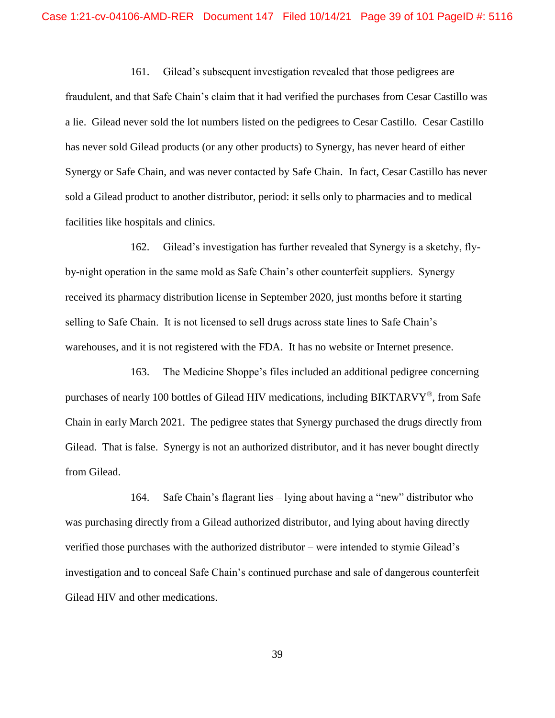161. Gilead's subsequent investigation revealed that those pedigrees are fraudulent, and that Safe Chain's claim that it had verified the purchases from Cesar Castillo was a lie. Gilead never sold the lot numbers listed on the pedigrees to Cesar Castillo. Cesar Castillo has never sold Gilead products (or any other products) to Synergy, has never heard of either Synergy or Safe Chain, and was never contacted by Safe Chain. In fact, Cesar Castillo has never sold a Gilead product to another distributor, period: it sells only to pharmacies and to medical facilities like hospitals and clinics.

162. Gilead's investigation has further revealed that Synergy is a sketchy, flyby-night operation in the same mold as Safe Chain's other counterfeit suppliers. Synergy received its pharmacy distribution license in September 2020, just months before it starting selling to Safe Chain. It is not licensed to sell drugs across state lines to Safe Chain's warehouses, and it is not registered with the FDA. It has no website or Internet presence.

163. The Medicine Shoppe's files included an additional pedigree concerning purchases of nearly 100 bottles of Gilead HIV medications, including BIKTARVY®, from Safe Chain in early March 2021. The pedigree states that Synergy purchased the drugs directly from Gilead. That is false. Synergy is not an authorized distributor, and it has never bought directly from Gilead.

164. Safe Chain's flagrant lies – lying about having a "new" distributor who was purchasing directly from a Gilead authorized distributor, and lying about having directly verified those purchases with the authorized distributor – were intended to stymie Gilead's investigation and to conceal Safe Chain's continued purchase and sale of dangerous counterfeit Gilead HIV and other medications.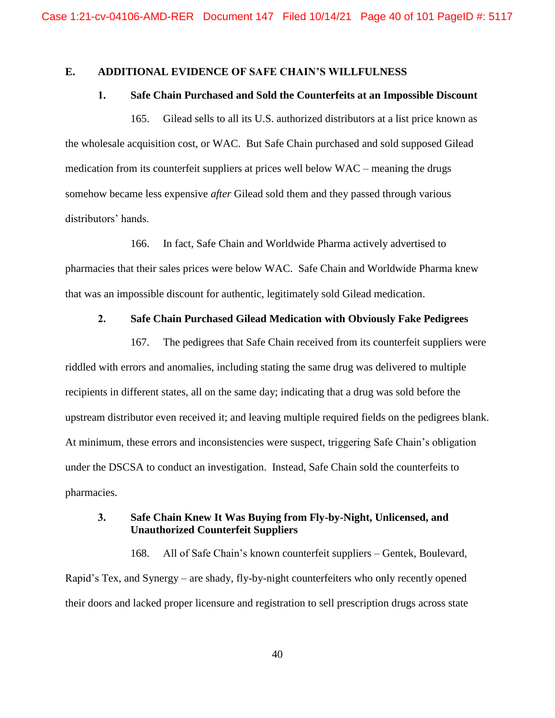## **E. ADDITIONAL EVIDENCE OF SAFE CHAIN'S WILLFULNESS**

#### **1. Safe Chain Purchased and Sold the Counterfeits at an Impossible Discount**

165. Gilead sells to all its U.S. authorized distributors at a list price known as the wholesale acquisition cost, or WAC. But Safe Chain purchased and sold supposed Gilead medication from its counterfeit suppliers at prices well below WAC – meaning the drugs somehow became less expensive *after* Gilead sold them and they passed through various distributors' hands.

166. In fact, Safe Chain and Worldwide Pharma actively advertised to pharmacies that their sales prices were below WAC. Safe Chain and Worldwide Pharma knew that was an impossible discount for authentic, legitimately sold Gilead medication.

### **2. Safe Chain Purchased Gilead Medication with Obviously Fake Pedigrees**

167. The pedigrees that Safe Chain received from its counterfeit suppliers were riddled with errors and anomalies, including stating the same drug was delivered to multiple recipients in different states, all on the same day; indicating that a drug was sold before the upstream distributor even received it; and leaving multiple required fields on the pedigrees blank. At minimum, these errors and inconsistencies were suspect, triggering Safe Chain's obligation under the DSCSA to conduct an investigation. Instead, Safe Chain sold the counterfeits to pharmacies.

# **3. Safe Chain Knew It Was Buying from Fly-by-Night, Unlicensed, and Unauthorized Counterfeit Suppliers**

168. All of Safe Chain's known counterfeit suppliers – Gentek, Boulevard, Rapid's Tex, and Synergy – are shady, fly-by-night counterfeiters who only recently opened their doors and lacked proper licensure and registration to sell prescription drugs across state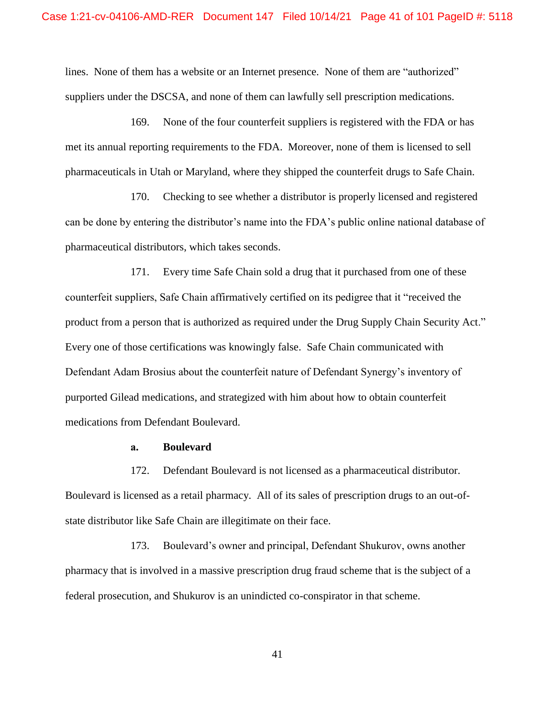lines. None of them has a website or an Internet presence. None of them are "authorized" suppliers under the DSCSA, and none of them can lawfully sell prescription medications.

169. None of the four counterfeit suppliers is registered with the FDA or has met its annual reporting requirements to the FDA. Moreover, none of them is licensed to sell pharmaceuticals in Utah or Maryland, where they shipped the counterfeit drugs to Safe Chain.

170. Checking to see whether a distributor is properly licensed and registered can be done by entering the distributor's name into the FDA's public online national database of pharmaceutical distributors, which takes seconds.

171. Every time Safe Chain sold a drug that it purchased from one of these counterfeit suppliers, Safe Chain affirmatively certified on its pedigree that it "received the product from a person that is authorized as required under the Drug Supply Chain Security Act." Every one of those certifications was knowingly false. Safe Chain communicated with Defendant Adam Brosius about the counterfeit nature of Defendant Synergy's inventory of purported Gilead medications, and strategized with him about how to obtain counterfeit medications from Defendant Boulevard.

#### **a. Boulevard**

172. Defendant Boulevard is not licensed as a pharmaceutical distributor. Boulevard is licensed as a retail pharmacy. All of its sales of prescription drugs to an out-ofstate distributor like Safe Chain are illegitimate on their face.

173. Boulevard's owner and principal, Defendant Shukurov, owns another pharmacy that is involved in a massive prescription drug fraud scheme that is the subject of a federal prosecution, and Shukurov is an unindicted co-conspirator in that scheme.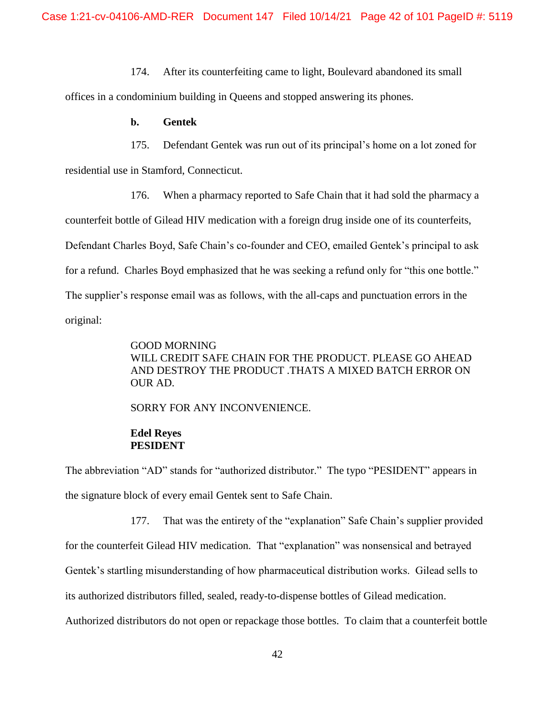174. After its counterfeiting came to light, Boulevard abandoned its small

offices in a condominium building in Queens and stopped answering its phones.

## **b. Gentek**

175. Defendant Gentek was run out of its principal's home on a lot zoned for

residential use in Stamford, Connecticut.

176. When a pharmacy reported to Safe Chain that it had sold the pharmacy a

counterfeit bottle of Gilead HIV medication with a foreign drug inside one of its counterfeits,

Defendant Charles Boyd, Safe Chain's co-founder and CEO, emailed Gentek's principal to ask

for a refund. Charles Boyd emphasized that he was seeking a refund only for "this one bottle."

The supplier's response email was as follows, with the all-caps and punctuation errors in the

original:

# GOOD MORNING WILL CREDIT SAFE CHAIN FOR THE PRODUCT. PLEASE GO AHEAD AND DESTROY THE PRODUCT .THATS A MIXED BATCH ERROR ON OUR AD.

SORRY FOR ANY INCONVENIENCE.

# **Edel Reyes PESIDENT**

The abbreviation "AD" stands for "authorized distributor." The typo "PESIDENT" appears in the signature block of every email Gentek sent to Safe Chain.

177. That was the entirety of the "explanation" Safe Chain's supplier provided

for the counterfeit Gilead HIV medication. That "explanation" was nonsensical and betrayed

Gentek's startling misunderstanding of how pharmaceutical distribution works. Gilead sells to

its authorized distributors filled, sealed, ready-to-dispense bottles of Gilead medication.

Authorized distributors do not open or repackage those bottles. To claim that a counterfeit bottle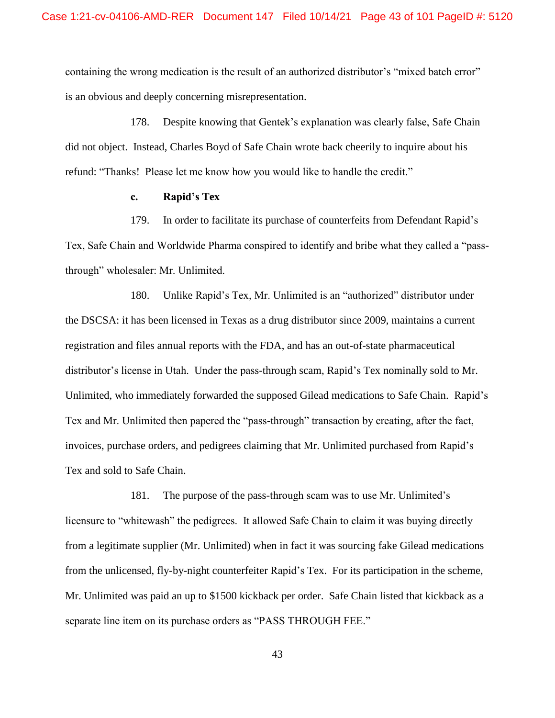containing the wrong medication is the result of an authorized distributor's "mixed batch error" is an obvious and deeply concerning misrepresentation.

178. Despite knowing that Gentek's explanation was clearly false, Safe Chain did not object. Instead, Charles Boyd of Safe Chain wrote back cheerily to inquire about his refund: "Thanks! Please let me know how you would like to handle the credit."

# **c. Rapid's Tex**

179. In order to facilitate its purchase of counterfeits from Defendant Rapid's Tex, Safe Chain and Worldwide Pharma conspired to identify and bribe what they called a "passthrough" wholesaler: Mr. Unlimited.

180. Unlike Rapid's Tex, Mr. Unlimited is an "authorized" distributor under the DSCSA: it has been licensed in Texas as a drug distributor since 2009, maintains a current registration and files annual reports with the FDA, and has an out-of-state pharmaceutical distributor's license in Utah. Under the pass-through scam, Rapid's Tex nominally sold to Mr. Unlimited, who immediately forwarded the supposed Gilead medications to Safe Chain. Rapid's Tex and Mr. Unlimited then papered the "pass-through" transaction by creating, after the fact, invoices, purchase orders, and pedigrees claiming that Mr. Unlimited purchased from Rapid's Tex and sold to Safe Chain.

181. The purpose of the pass-through scam was to use Mr. Unlimited's licensure to "whitewash" the pedigrees. It allowed Safe Chain to claim it was buying directly from a legitimate supplier (Mr. Unlimited) when in fact it was sourcing fake Gilead medications from the unlicensed, fly-by-night counterfeiter Rapid's Tex. For its participation in the scheme, Mr. Unlimited was paid an up to \$1500 kickback per order. Safe Chain listed that kickback as a separate line item on its purchase orders as "PASS THROUGH FEE."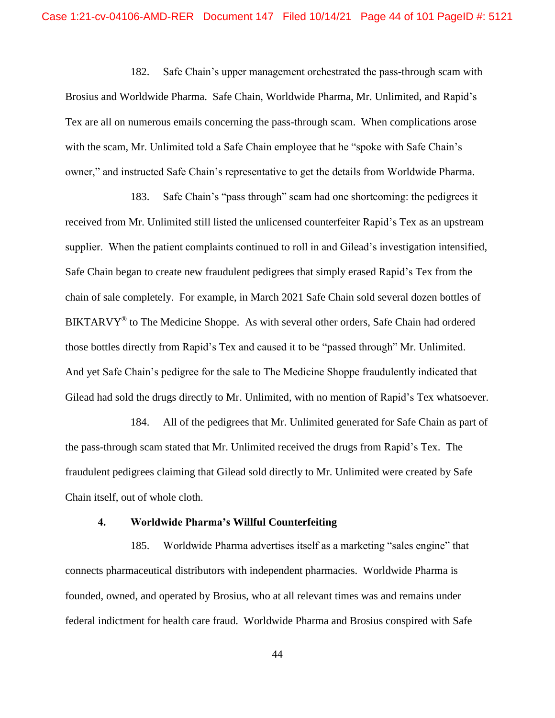182. Safe Chain's upper management orchestrated the pass-through scam with Brosius and Worldwide Pharma. Safe Chain, Worldwide Pharma, Mr. Unlimited, and Rapid's Tex are all on numerous emails concerning the pass-through scam. When complications arose with the scam, Mr. Unlimited told a Safe Chain employee that he "spoke with Safe Chain's owner," and instructed Safe Chain's representative to get the details from Worldwide Pharma.

183. Safe Chain's "pass through" scam had one shortcoming: the pedigrees it received from Mr. Unlimited still listed the unlicensed counterfeiter Rapid's Tex as an upstream supplier. When the patient complaints continued to roll in and Gilead's investigation intensified, Safe Chain began to create new fraudulent pedigrees that simply erased Rapid's Tex from the chain of sale completely. For example, in March 2021 Safe Chain sold several dozen bottles of BIKTARVY<sup>®</sup> to The Medicine Shoppe. As with several other orders, Safe Chain had ordered those bottles directly from Rapid's Tex and caused it to be "passed through" Mr. Unlimited. And yet Safe Chain's pedigree for the sale to The Medicine Shoppe fraudulently indicated that Gilead had sold the drugs directly to Mr. Unlimited, with no mention of Rapid's Tex whatsoever.

184. All of the pedigrees that Mr. Unlimited generated for Safe Chain as part of the pass-through scam stated that Mr. Unlimited received the drugs from Rapid's Tex. The fraudulent pedigrees claiming that Gilead sold directly to Mr. Unlimited were created by Safe Chain itself, out of whole cloth.

#### **4. Worldwide Pharma's Willful Counterfeiting**

185. Worldwide Pharma advertises itself as a marketing "sales engine" that connects pharmaceutical distributors with independent pharmacies. Worldwide Pharma is founded, owned, and operated by Brosius, who at all relevant times was and remains under federal indictment for health care fraud. Worldwide Pharma and Brosius conspired with Safe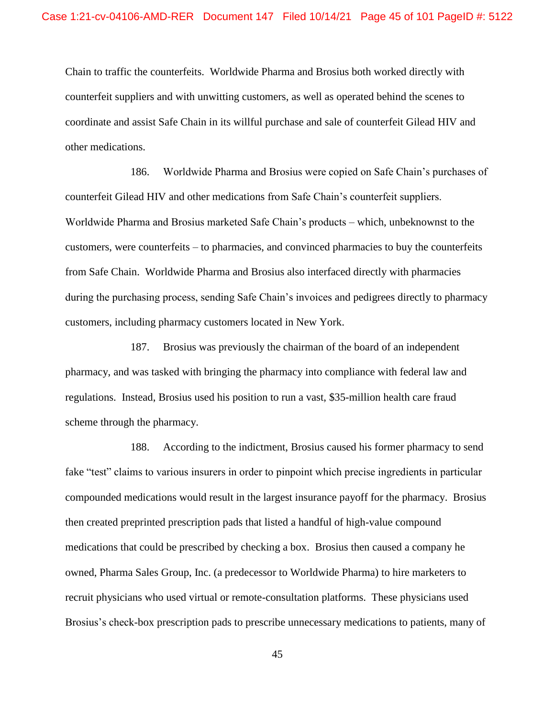Chain to traffic the counterfeits. Worldwide Pharma and Brosius both worked directly with counterfeit suppliers and with unwitting customers, as well as operated behind the scenes to coordinate and assist Safe Chain in its willful purchase and sale of counterfeit Gilead HIV and other medications.

186. Worldwide Pharma and Brosius were copied on Safe Chain's purchases of counterfeit Gilead HIV and other medications from Safe Chain's counterfeit suppliers. Worldwide Pharma and Brosius marketed Safe Chain's products – which, unbeknownst to the customers, were counterfeits – to pharmacies, and convinced pharmacies to buy the counterfeits from Safe Chain. Worldwide Pharma and Brosius also interfaced directly with pharmacies during the purchasing process, sending Safe Chain's invoices and pedigrees directly to pharmacy customers, including pharmacy customers located in New York.

187. Brosius was previously the chairman of the board of an independent pharmacy, and was tasked with bringing the pharmacy into compliance with federal law and regulations. Instead, Brosius used his position to run a vast, \$35-million health care fraud scheme through the pharmacy.

188. According to the indictment, Brosius caused his former pharmacy to send fake "test" claims to various insurers in order to pinpoint which precise ingredients in particular compounded medications would result in the largest insurance payoff for the pharmacy. Brosius then created preprinted prescription pads that listed a handful of high-value compound medications that could be prescribed by checking a box. Brosius then caused a company he owned, Pharma Sales Group, Inc. (a predecessor to Worldwide Pharma) to hire marketers to recruit physicians who used virtual or remote-consultation platforms. These physicians used Brosius's check-box prescription pads to prescribe unnecessary medications to patients, many of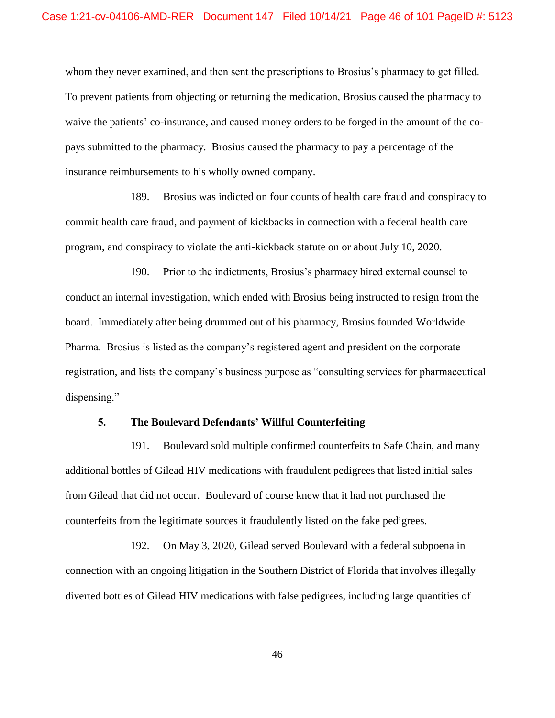whom they never examined, and then sent the prescriptions to Brosius's pharmacy to get filled. To prevent patients from objecting or returning the medication, Brosius caused the pharmacy to waive the patients' co-insurance, and caused money orders to be forged in the amount of the copays submitted to the pharmacy. Brosius caused the pharmacy to pay a percentage of the insurance reimbursements to his wholly owned company.

189. Brosius was indicted on four counts of health care fraud and conspiracy to commit health care fraud, and payment of kickbacks in connection with a federal health care program, and conspiracy to violate the anti-kickback statute on or about July 10, 2020.

190. Prior to the indictments, Brosius's pharmacy hired external counsel to conduct an internal investigation, which ended with Brosius being instructed to resign from the board. Immediately after being drummed out of his pharmacy, Brosius founded Worldwide Pharma. Brosius is listed as the company's registered agent and president on the corporate registration, and lists the company's business purpose as "consulting services for pharmaceutical dispensing."

#### **5. The Boulevard Defendants' Willful Counterfeiting**

191. Boulevard sold multiple confirmed counterfeits to Safe Chain, and many additional bottles of Gilead HIV medications with fraudulent pedigrees that listed initial sales from Gilead that did not occur. Boulevard of course knew that it had not purchased the counterfeits from the legitimate sources it fraudulently listed on the fake pedigrees.

192. On May 3, 2020, Gilead served Boulevard with a federal subpoena in connection with an ongoing litigation in the Southern District of Florida that involves illegally diverted bottles of Gilead HIV medications with false pedigrees, including large quantities of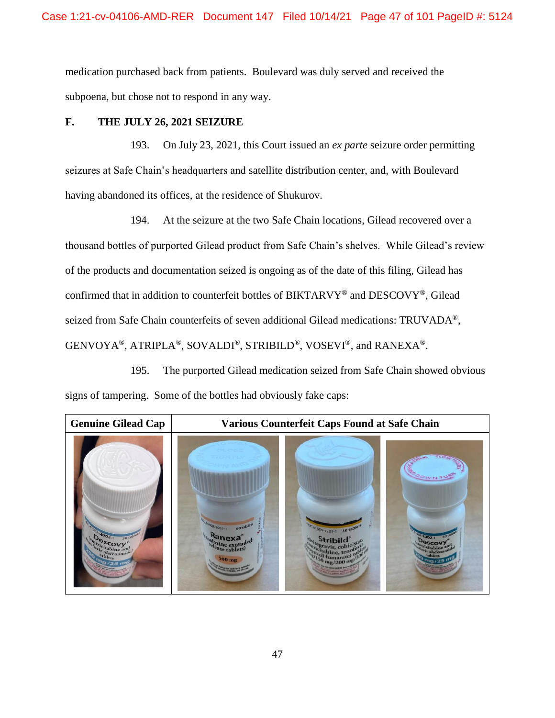medication purchased back from patients. Boulevard was duly served and received the subpoena, but chose not to respond in any way.

# **F. THE JULY 26, 2021 SEIZURE**

193. On July 23, 2021, this Court issued an *ex parte* seizure order permitting seizures at Safe Chain's headquarters and satellite distribution center, and, with Boulevard having abandoned its offices, at the residence of Shukurov.

194. At the seizure at the two Safe Chain locations, Gilead recovered over a thousand bottles of purported Gilead product from Safe Chain's shelves. While Gilead's review of the products and documentation seized is ongoing as of the date of this filing, Gilead has confirmed that in addition to counterfeit bottles of BIKTARVY® and DESCOVY®, Gilead seized from Safe Chain counterfeits of seven additional Gilead medications: TRUVADA®,  $\rm GENVOYA^{\circledast}, \rm ATRIPLA^{\circledast}, \rm SOVALDI^{\circledast}, \rm STRIBILD^{\circledast}, \rm VOSEVI^{\circledast},$  and  $\rm RANEXA^{\circledast}.$ 

195. The purported Gilead medication seized from Safe Chain showed obvious signs of tampering. Some of the bottles had obviously fake caps:

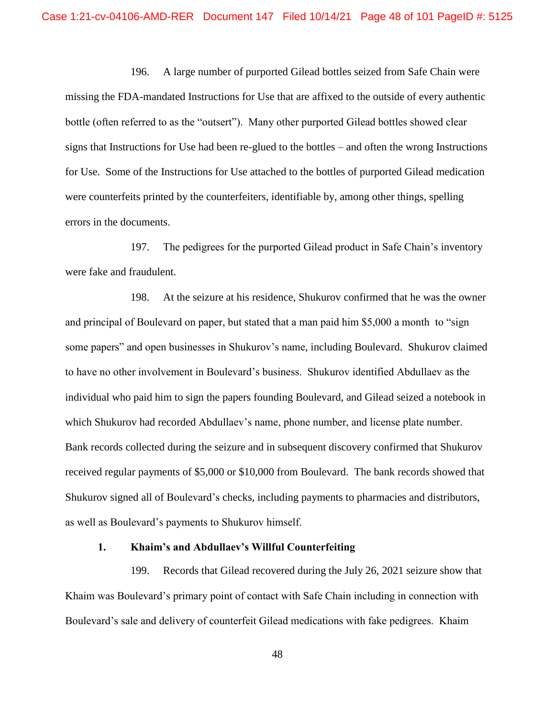196. A large number of purported Gilead bottles seized from Safe Chain were missing the FDA-mandated Instructions for Use that are affixed to the outside of every authentic bottle (often referred to as the "outsert"). Many other purported Gilead bottles showed clear signs that Instructions for Use had been re-glued to the bottles – and often the wrong Instructions for Use. Some of the Instructions for Use attached to the bottles of purported Gilead medication were counterfeits printed by the counterfeiters, identifiable by, among other things, spelling errors in the documents.

197. The pedigrees for the purported Gilead product in Safe Chain's inventory were fake and fraudulent.

198. At the seizure at his residence, Shukurov confirmed that he was the owner and principal of Boulevard on paper, but stated that a man paid him \$5,000 a month to "sign some papers" and open businesses in Shukurov's name, including Boulevard. Shukurov claimed to have no other involvement in Boulevard's business. Shukurov identified Abdullaev as the individual who paid him to sign the papers founding Boulevard, and Gilead seized a notebook in which Shukurov had recorded Abdullaev's name, phone number, and license plate number. Bank records collected during the seizure and in subsequent discovery confirmed that Shukurov received regular payments of \$5,000 or \$10,000 from Boulevard. The bank records showed that Shukurov signed all of Boulevard's checks, including payments to pharmacies and distributors, as well as Boulevard's payments to Shukurov himself.

### **1. Khaim's and Abdullaev's Willful Counterfeiting**

199. Records that Gilead recovered during the July 26, 2021 seizure show that Khaim was Boulevard's primary point of contact with Safe Chain including in connection with Boulevard's sale and delivery of counterfeit Gilead medications with fake pedigrees. Khaim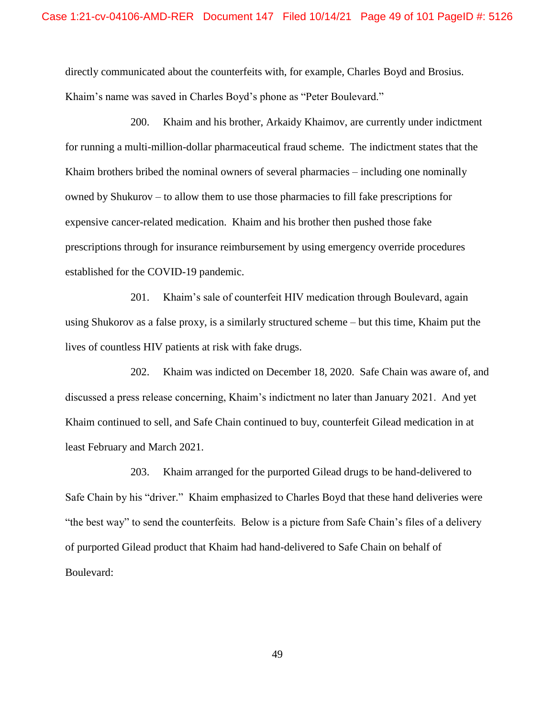directly communicated about the counterfeits with, for example, Charles Boyd and Brosius. Khaim's name was saved in Charles Boyd's phone as "Peter Boulevard."

200. Khaim and his brother, Arkaidy Khaimov, are currently under indictment for running a multi-million-dollar pharmaceutical fraud scheme. The indictment states that the Khaim brothers bribed the nominal owners of several pharmacies – including one nominally owned by Shukurov – to allow them to use those pharmacies to fill fake prescriptions for expensive cancer-related medication. Khaim and his brother then pushed those fake prescriptions through for insurance reimbursement by using emergency override procedures established for the COVID-19 pandemic.

201. Khaim's sale of counterfeit HIV medication through Boulevard, again using Shukorov as a false proxy, is a similarly structured scheme – but this time, Khaim put the lives of countless HIV patients at risk with fake drugs.

202. Khaim was indicted on December 18, 2020. Safe Chain was aware of, and discussed a press release concerning, Khaim's indictment no later than January 2021. And yet Khaim continued to sell, and Safe Chain continued to buy, counterfeit Gilead medication in at least February and March 2021.

203. Khaim arranged for the purported Gilead drugs to be hand-delivered to Safe Chain by his "driver." Khaim emphasized to Charles Boyd that these hand deliveries were "the best way" to send the counterfeits. Below is a picture from Safe Chain's files of a delivery of purported Gilead product that Khaim had hand-delivered to Safe Chain on behalf of Boulevard: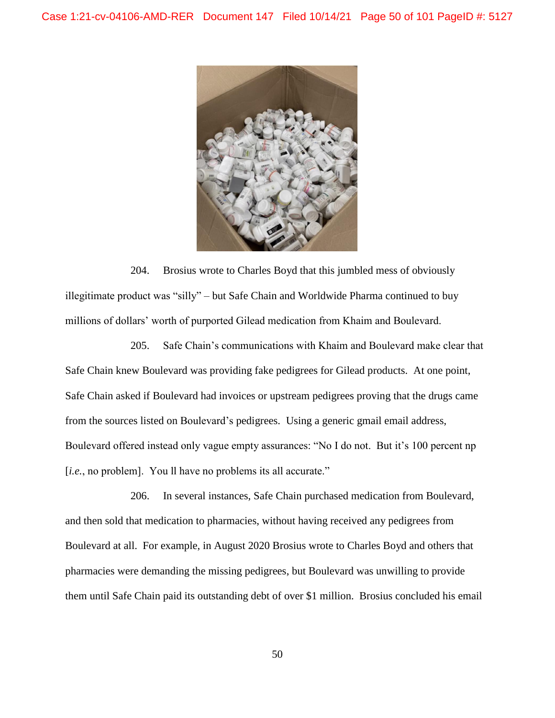

204. Brosius wrote to Charles Boyd that this jumbled mess of obviously illegitimate product was "silly" – but Safe Chain and Worldwide Pharma continued to buy millions of dollars' worth of purported Gilead medication from Khaim and Boulevard.

205. Safe Chain's communications with Khaim and Boulevard make clear that Safe Chain knew Boulevard was providing fake pedigrees for Gilead products. At one point, Safe Chain asked if Boulevard had invoices or upstream pedigrees proving that the drugs came from the sources listed on Boulevard's pedigrees. Using a generic gmail email address, Boulevard offered instead only vague empty assurances: "No I do not. But it's 100 percent np [*i.e.*, no problem]. You ll have no problems its all accurate."

206. In several instances, Safe Chain purchased medication from Boulevard, and then sold that medication to pharmacies, without having received any pedigrees from Boulevard at all. For example, in August 2020 Brosius wrote to Charles Boyd and others that pharmacies were demanding the missing pedigrees, but Boulevard was unwilling to provide them until Safe Chain paid its outstanding debt of over \$1 million. Brosius concluded his email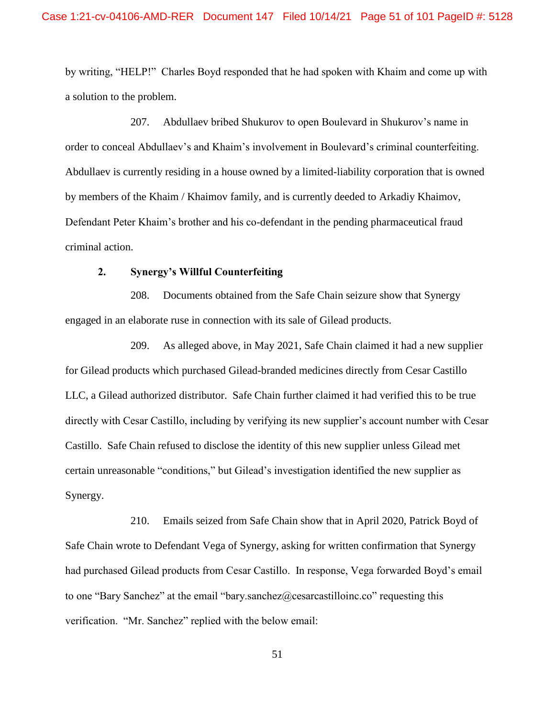by writing, "HELP!" Charles Boyd responded that he had spoken with Khaim and come up with a solution to the problem.

207. Abdullaev bribed Shukurov to open Boulevard in Shukurov's name in order to conceal Abdullaev's and Khaim's involvement in Boulevard's criminal counterfeiting. Abdullaev is currently residing in a house owned by a limited-liability corporation that is owned by members of the Khaim / Khaimov family, and is currently deeded to Arkadiy Khaimov, Defendant Peter Khaim's brother and his co-defendant in the pending pharmaceutical fraud criminal action.

# **2. Synergy's Willful Counterfeiting**

208. Documents obtained from the Safe Chain seizure show that Synergy engaged in an elaborate ruse in connection with its sale of Gilead products.

209. As alleged above, in May 2021, Safe Chain claimed it had a new supplier for Gilead products which purchased Gilead-branded medicines directly from Cesar Castillo LLC, a Gilead authorized distributor. Safe Chain further claimed it had verified this to be true directly with Cesar Castillo, including by verifying its new supplier's account number with Cesar Castillo. Safe Chain refused to disclose the identity of this new supplier unless Gilead met certain unreasonable "conditions," but Gilead's investigation identified the new supplier as Synergy.

210. Emails seized from Safe Chain show that in April 2020, Patrick Boyd of Safe Chain wrote to Defendant Vega of Synergy, asking for written confirmation that Synergy had purchased Gilead products from Cesar Castillo. In response, Vega forwarded Boyd's email to one "Bary Sanchez" at the email "bary.sanchez@cesarcastilloinc.co" requesting this verification. "Mr. Sanchez" replied with the below email: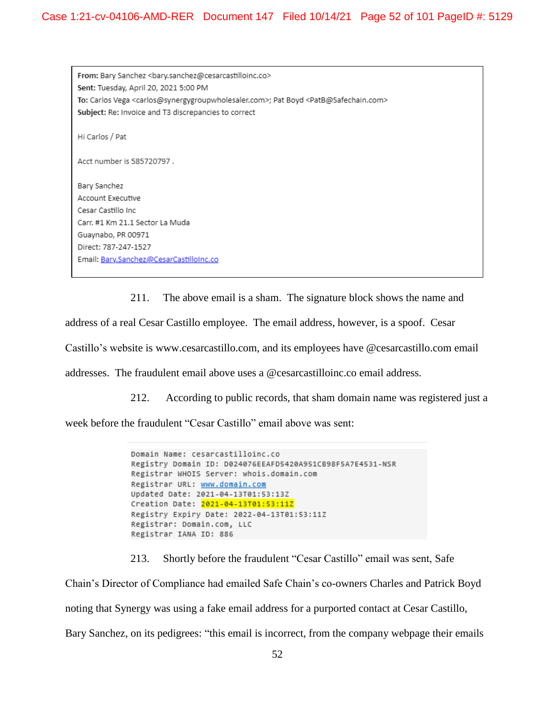From: Bary Sanchez <bary.sanchez@cesarcastilloinc.co> Sent: Tuesday, April 20, 2021 5:00 PM To: Carlos Vega <carlos@synergygroupwholesaler.com>; Pat Boyd <PatB@Safechain.com> Subject: Re: Invoice and T3 discrepancies to correct Hi Carlos / Pat Acct number is 585720797. Bary Sanchez Account Executive Cesar Castillo Inc Carr. #1 Km 21.1 Sector La Muda Guaynabo, PR 00971 Direct: 787-247-1527 Email: Bary.Sanchez@CesarCastilloInc.co

211. The above email is a sham. The signature block shows the name and

address of a real Cesar Castillo employee. The email address, however, is a spoof. Cesar

Castillo's website is www.cesarcastillo.com, and its employees have @cesarcastillo.com email

addresses. The fraudulent email above uses a @cesarcastilloinc.co email address.

212. According to public records, that sham domain name was registered just a

week before the fraudulent "Cesar Castillo" email above was sent:

```
Domain Name: cesarcastilloinc.co
Registry Domain ID: D024076EEAFD5420A951CB98F5A7E4531-NSR
Registrar WHOIS Server: whois.domain.com
Registrar URL: www.domain.com
Updated Date: 2021-04-13T01:53:13Z
Creation Date: 2021-04-13T01:53:11Z
Registry Expiry Date: 2022-04-13T01:53:11Z
Registrar: Domain.com, LLC
Registrar IANA ID: 886
```
213. Shortly before the fraudulent "Cesar Castillo" email was sent, Safe

Chain's Director of Compliance had emailed Safe Chain's co-owners Charles and Patrick Boyd noting that Synergy was using a fake email address for a purported contact at Cesar Castillo, Bary Sanchez, on its pedigrees: "this email is incorrect, from the company webpage their emails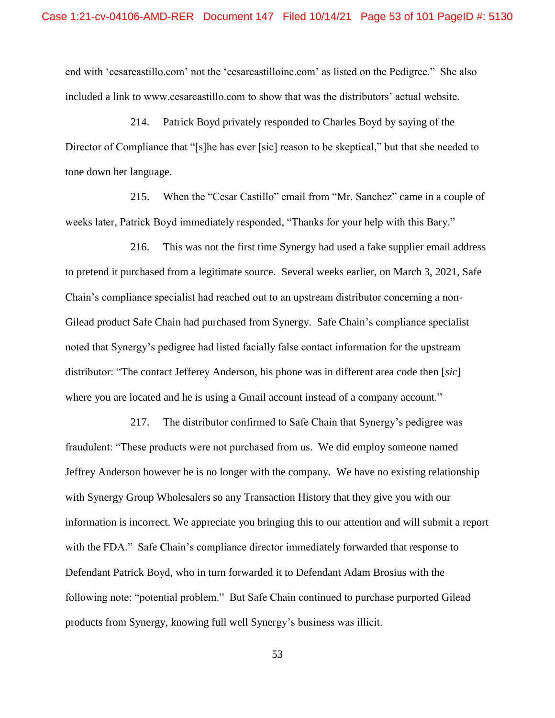end with 'cesarcastillo.com' not the 'cesarcastilloinc.com' as listed on the Pedigree." She also included a link to www.cesarcastillo.com to show that was the distributors' actual website.

214. Patrick Boyd privately responded to Charles Boyd by saying of the Director of Compliance that "[s]he has ever [sic] reason to be skeptical," but that she needed to tone down her language.

215. When the "Cesar Castillo" email from "Mr. Sanchez" came in a couple of weeks later, Patrick Boyd immediately responded, "Thanks for your help with this Bary."

216. This was not the first time Synergy had used a fake supplier email address to pretend it purchased from a legitimate source. Several weeks earlier, on March 3, 2021, Safe Chain's compliance specialist had reached out to an upstream distributor concerning a non-Gilead product Safe Chain had purchased from Synergy. Safe Chain's compliance specialist noted that Synergy's pedigree had listed facially false contact information for the upstream distributor: "The contact Jefferey Anderson, his phone was in different area code then [*sic*] where you are located and he is using a Gmail account instead of a company account."

217. The distributor confirmed to Safe Chain that Synergy's pedigree was fraudulent: "These products were not purchased from us. We did employ someone named Jeffrey Anderson however he is no longer with the company. We have no existing relationship with Synergy Group Wholesalers so any Transaction History that they give you with our information is incorrect. We appreciate you bringing this to our attention and will submit a report with the FDA." Safe Chain's compliance director immediately forwarded that response to Defendant Patrick Boyd, who in turn forwarded it to Defendant Adam Brosius with the following note: "potential problem." But Safe Chain continued to purchase purported Gilead products from Synergy, knowing full well Synergy's business was illicit.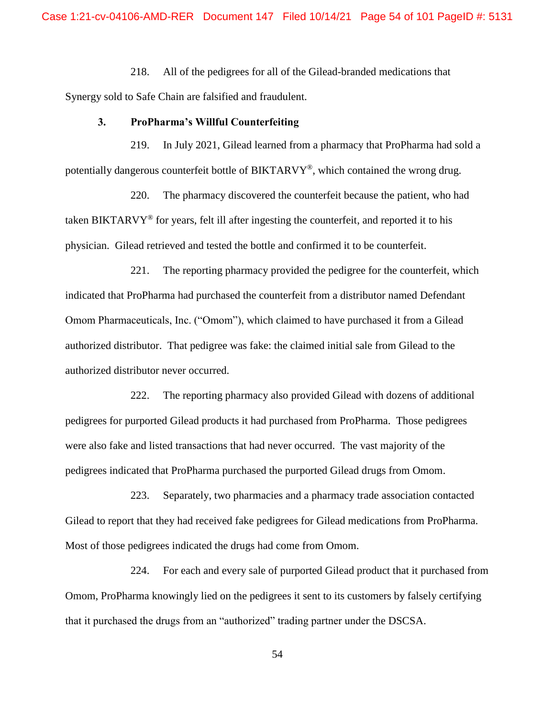218. All of the pedigrees for all of the Gilead-branded medications that Synergy sold to Safe Chain are falsified and fraudulent.

### **3. ProPharma's Willful Counterfeiting**

219. In July 2021, Gilead learned from a pharmacy that ProPharma had sold a potentially dangerous counterfeit bottle of BIKTARVY®, which contained the wrong drug.

220. The pharmacy discovered the counterfeit because the patient, who had taken BIKTARVY® for years, felt ill after ingesting the counterfeit, and reported it to his physician. Gilead retrieved and tested the bottle and confirmed it to be counterfeit.

221. The reporting pharmacy provided the pedigree for the counterfeit, which indicated that ProPharma had purchased the counterfeit from a distributor named Defendant Omom Pharmaceuticals, Inc. ("Omom"), which claimed to have purchased it from a Gilead authorized distributor. That pedigree was fake: the claimed initial sale from Gilead to the authorized distributor never occurred.

222. The reporting pharmacy also provided Gilead with dozens of additional pedigrees for purported Gilead products it had purchased from ProPharma. Those pedigrees were also fake and listed transactions that had never occurred. The vast majority of the pedigrees indicated that ProPharma purchased the purported Gilead drugs from Omom.

223. Separately, two pharmacies and a pharmacy trade association contacted Gilead to report that they had received fake pedigrees for Gilead medications from ProPharma. Most of those pedigrees indicated the drugs had come from Omom.

224. For each and every sale of purported Gilead product that it purchased from Omom, ProPharma knowingly lied on the pedigrees it sent to its customers by falsely certifying that it purchased the drugs from an "authorized" trading partner under the DSCSA.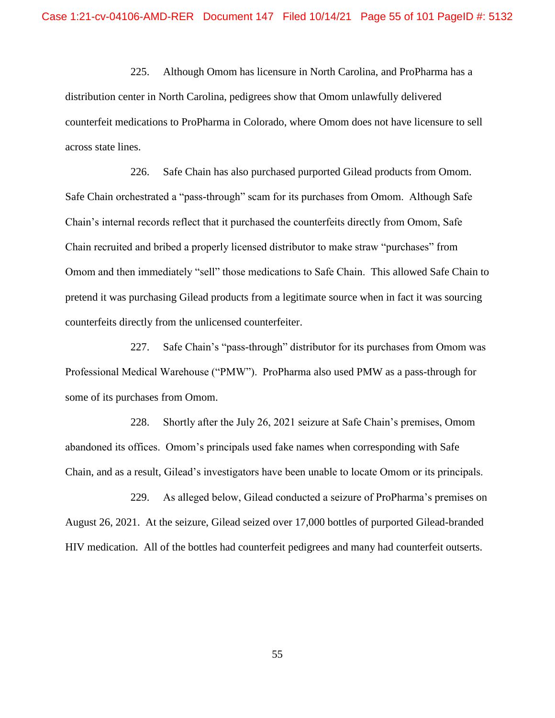225. Although Omom has licensure in North Carolina, and ProPharma has a distribution center in North Carolina, pedigrees show that Omom unlawfully delivered counterfeit medications to ProPharma in Colorado, where Omom does not have licensure to sell across state lines.

226. Safe Chain has also purchased purported Gilead products from Omom. Safe Chain orchestrated a "pass-through" scam for its purchases from Omom. Although Safe Chain's internal records reflect that it purchased the counterfeits directly from Omom, Safe Chain recruited and bribed a properly licensed distributor to make straw "purchases" from Omom and then immediately "sell" those medications to Safe Chain. This allowed Safe Chain to pretend it was purchasing Gilead products from a legitimate source when in fact it was sourcing counterfeits directly from the unlicensed counterfeiter.

227. Safe Chain's "pass-through" distributor for its purchases from Omom was Professional Medical Warehouse ("PMW"). ProPharma also used PMW as a pass-through for some of its purchases from Omom.

228. Shortly after the July 26, 2021 seizure at Safe Chain's premises, Omom abandoned its offices. Omom's principals used fake names when corresponding with Safe Chain, and as a result, Gilead's investigators have been unable to locate Omom or its principals.

229. As alleged below, Gilead conducted a seizure of ProPharma's premises on August 26, 2021. At the seizure, Gilead seized over 17,000 bottles of purported Gilead-branded HIV medication. All of the bottles had counterfeit pedigrees and many had counterfeit outserts.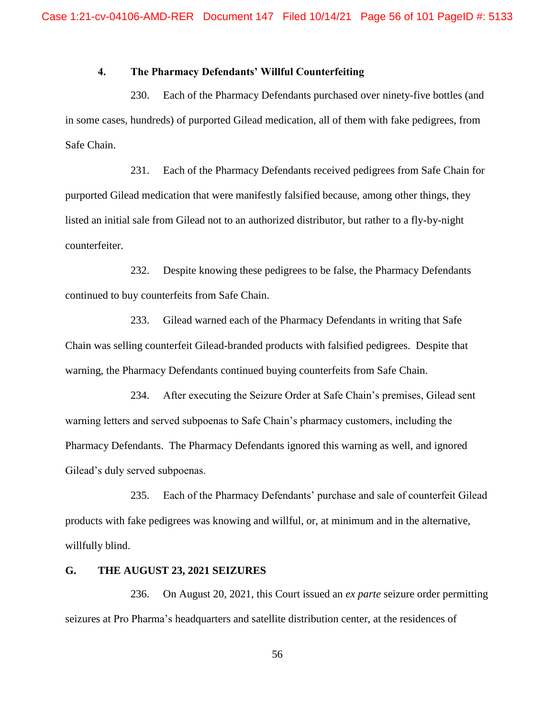# **4. The Pharmacy Defendants' Willful Counterfeiting**

230. Each of the Pharmacy Defendants purchased over ninety-five bottles (and in some cases, hundreds) of purported Gilead medication, all of them with fake pedigrees, from Safe Chain.

231. Each of the Pharmacy Defendants received pedigrees from Safe Chain for purported Gilead medication that were manifestly falsified because, among other things, they listed an initial sale from Gilead not to an authorized distributor, but rather to a fly-by-night counterfeiter.

232. Despite knowing these pedigrees to be false, the Pharmacy Defendants continued to buy counterfeits from Safe Chain.

233. Gilead warned each of the Pharmacy Defendants in writing that Safe Chain was selling counterfeit Gilead-branded products with falsified pedigrees. Despite that warning, the Pharmacy Defendants continued buying counterfeits from Safe Chain.

234. After executing the Seizure Order at Safe Chain's premises, Gilead sent warning letters and served subpoenas to Safe Chain's pharmacy customers, including the Pharmacy Defendants. The Pharmacy Defendants ignored this warning as well, and ignored Gilead's duly served subpoenas.

235. Each of the Pharmacy Defendants' purchase and sale of counterfeit Gilead products with fake pedigrees was knowing and willful, or, at minimum and in the alternative, willfully blind.

#### **G. THE AUGUST 23, 2021 SEIZURES**

236. On August 20, 2021, this Court issued an *ex parte* seizure order permitting seizures at Pro Pharma's headquarters and satellite distribution center, at the residences of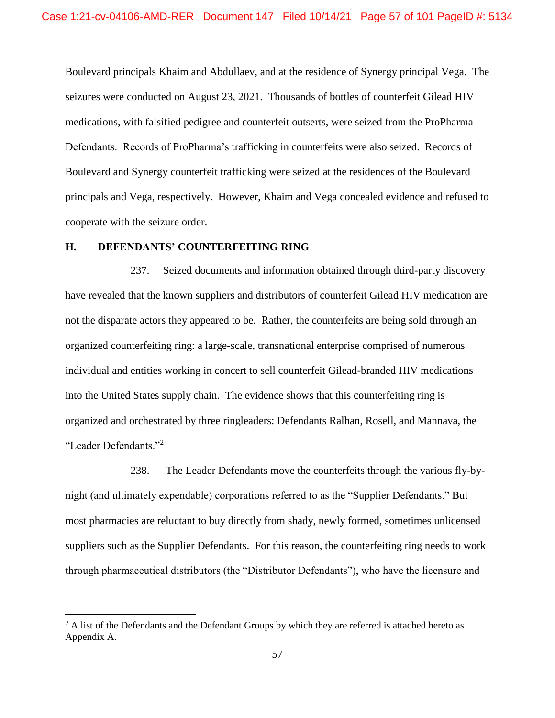Boulevard principals Khaim and Abdullaev, and at the residence of Synergy principal Vega. The seizures were conducted on August 23, 2021. Thousands of bottles of counterfeit Gilead HIV medications, with falsified pedigree and counterfeit outserts, were seized from the ProPharma Defendants. Records of ProPharma's trafficking in counterfeits were also seized. Records of Boulevard and Synergy counterfeit trafficking were seized at the residences of the Boulevard principals and Vega, respectively. However, Khaim and Vega concealed evidence and refused to cooperate with the seizure order.

# **H. DEFENDANTS' COUNTERFEITING RING**

 $\overline{a}$ 

237. Seized documents and information obtained through third-party discovery have revealed that the known suppliers and distributors of counterfeit Gilead HIV medication are not the disparate actors they appeared to be. Rather, the counterfeits are being sold through an organized counterfeiting ring: a large-scale, transnational enterprise comprised of numerous individual and entities working in concert to sell counterfeit Gilead-branded HIV medications into the United States supply chain. The evidence shows that this counterfeiting ring is organized and orchestrated by three ringleaders: Defendants Ralhan, Rosell, and Mannava, the "Leader Defendants."<sup>2</sup>

238. The Leader Defendants move the counterfeits through the various fly-bynight (and ultimately expendable) corporations referred to as the "Supplier Defendants." But most pharmacies are reluctant to buy directly from shady, newly formed, sometimes unlicensed suppliers such as the Supplier Defendants. For this reason, the counterfeiting ring needs to work through pharmaceutical distributors (the "Distributor Defendants"), who have the licensure and

<sup>&</sup>lt;sup>2</sup> A list of the Defendants and the Defendant Groups by which they are referred is attached hereto as Appendix A.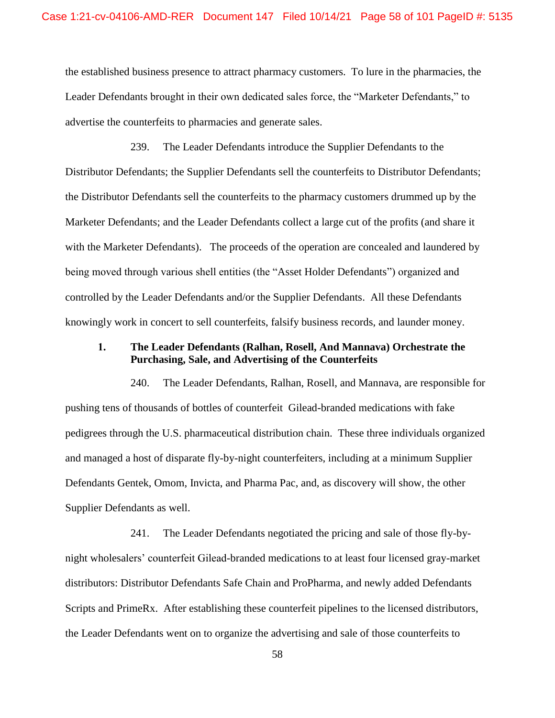the established business presence to attract pharmacy customers. To lure in the pharmacies, the Leader Defendants brought in their own dedicated sales force, the "Marketer Defendants," to advertise the counterfeits to pharmacies and generate sales.

239. The Leader Defendants introduce the Supplier Defendants to the Distributor Defendants; the Supplier Defendants sell the counterfeits to Distributor Defendants; the Distributor Defendants sell the counterfeits to the pharmacy customers drummed up by the Marketer Defendants; and the Leader Defendants collect a large cut of the profits (and share it with the Marketer Defendants). The proceeds of the operation are concealed and laundered by being moved through various shell entities (the "Asset Holder Defendants") organized and controlled by the Leader Defendants and/or the Supplier Defendants. All these Defendants knowingly work in concert to sell counterfeits, falsify business records, and launder money.

# **1. The Leader Defendants (Ralhan, Rosell, And Mannava) Orchestrate the Purchasing, Sale, and Advertising of the Counterfeits**

240. The Leader Defendants, Ralhan, Rosell, and Mannava, are responsible for pushing tens of thousands of bottles of counterfeit Gilead-branded medications with fake pedigrees through the U.S. pharmaceutical distribution chain. These three individuals organized and managed a host of disparate fly-by-night counterfeiters, including at a minimum Supplier Defendants Gentek, Omom, Invicta, and Pharma Pac, and, as discovery will show, the other Supplier Defendants as well.

241. The Leader Defendants negotiated the pricing and sale of those fly-bynight wholesalers' counterfeit Gilead-branded medications to at least four licensed gray-market distributors: Distributor Defendants Safe Chain and ProPharma, and newly added Defendants Scripts and PrimeRx. After establishing these counterfeit pipelines to the licensed distributors, the Leader Defendants went on to organize the advertising and sale of those counterfeits to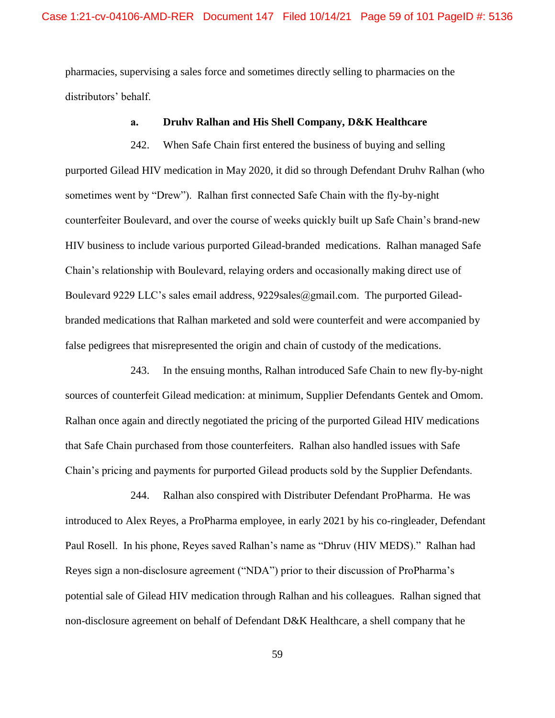pharmacies, supervising a sales force and sometimes directly selling to pharmacies on the distributors' behalf.

### **a. Druhv Ralhan and His Shell Company, D&K Healthcare**

242. When Safe Chain first entered the business of buying and selling purported Gilead HIV medication in May 2020, it did so through Defendant Druhv Ralhan (who sometimes went by "Drew"). Ralhan first connected Safe Chain with the fly-by-night counterfeiter Boulevard, and over the course of weeks quickly built up Safe Chain's brand-new HIV business to include various purported Gilead-branded medications. Ralhan managed Safe Chain's relationship with Boulevard, relaying orders and occasionally making direct use of Boulevard 9229 LLC's sales email address, 9229sales@gmail.com. The purported Gileadbranded medications that Ralhan marketed and sold were counterfeit and were accompanied by false pedigrees that misrepresented the origin and chain of custody of the medications.

243. In the ensuing months, Ralhan introduced Safe Chain to new fly-by-night sources of counterfeit Gilead medication: at minimum, Supplier Defendants Gentek and Omom. Ralhan once again and directly negotiated the pricing of the purported Gilead HIV medications that Safe Chain purchased from those counterfeiters. Ralhan also handled issues with Safe Chain's pricing and payments for purported Gilead products sold by the Supplier Defendants.

244. Ralhan also conspired with Distributer Defendant ProPharma. He was introduced to Alex Reyes, a ProPharma employee, in early 2021 by his co-ringleader, Defendant Paul Rosell. In his phone, Reyes saved Ralhan's name as "Dhruv (HIV MEDS)." Ralhan had Reyes sign a non-disclosure agreement ("NDA") prior to their discussion of ProPharma's potential sale of Gilead HIV medication through Ralhan and his colleagues. Ralhan signed that non-disclosure agreement on behalf of Defendant D&K Healthcare, a shell company that he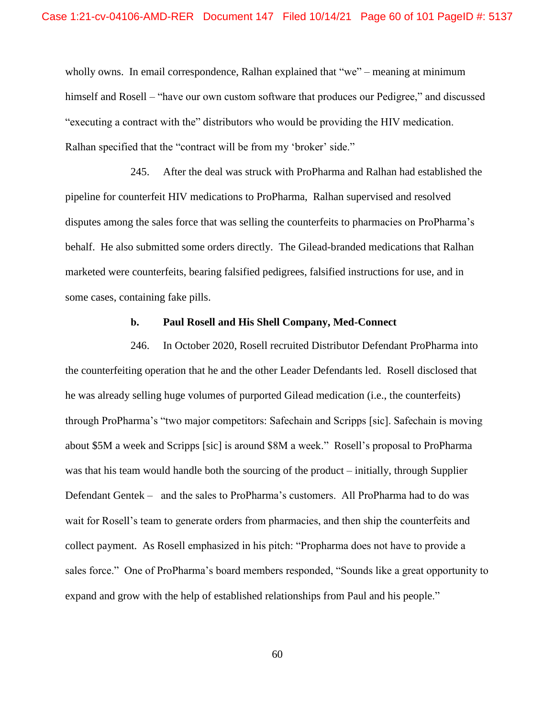wholly owns. In email correspondence, Ralhan explained that "we" – meaning at minimum himself and Rosell – "have our own custom software that produces our Pedigree," and discussed "executing a contract with the" distributors who would be providing the HIV medication. Ralhan specified that the "contract will be from my 'broker' side."

245. After the deal was struck with ProPharma and Ralhan had established the pipeline for counterfeit HIV medications to ProPharma, Ralhan supervised and resolved disputes among the sales force that was selling the counterfeits to pharmacies on ProPharma's behalf. He also submitted some orders directly. The Gilead-branded medications that Ralhan marketed were counterfeits, bearing falsified pedigrees, falsified instructions for use, and in some cases, containing fake pills.

#### **b. Paul Rosell and His Shell Company, Med-Connect**

246. In October 2020, Rosell recruited Distributor Defendant ProPharma into the counterfeiting operation that he and the other Leader Defendants led. Rosell disclosed that he was already selling huge volumes of purported Gilead medication (i.e., the counterfeits) through ProPharma's "two major competitors: Safechain and Scripps [sic]. Safechain is moving about \$5M a week and Scripps [sic] is around \$8M a week." Rosell's proposal to ProPharma was that his team would handle both the sourcing of the product – initially, through Supplier Defendant Gentek – and the sales to ProPharma's customers. All ProPharma had to do was wait for Rosell's team to generate orders from pharmacies, and then ship the counterfeits and collect payment. As Rosell emphasized in his pitch: "Propharma does not have to provide a sales force." One of ProPharma's board members responded, "Sounds like a great opportunity to expand and grow with the help of established relationships from Paul and his people."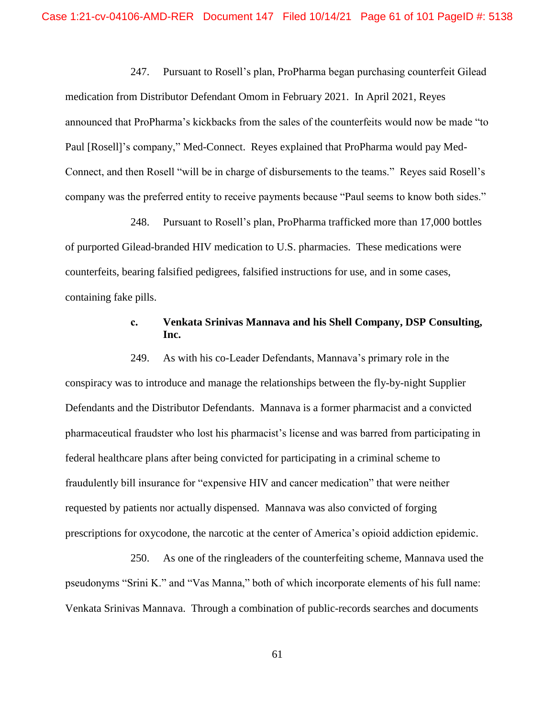247. Pursuant to Rosell's plan, ProPharma began purchasing counterfeit Gilead medication from Distributor Defendant Omom in February 2021. In April 2021, Reyes announced that ProPharma's kickbacks from the sales of the counterfeits would now be made "to Paul [Rosell]'s company," Med-Connect. Reyes explained that ProPharma would pay Med-Connect, and then Rosell "will be in charge of disbursements to the teams." Reyes said Rosell's company was the preferred entity to receive payments because "Paul seems to know both sides."

248. Pursuant to Rosell's plan, ProPharma trafficked more than 17,000 bottles of purported Gilead-branded HIV medication to U.S. pharmacies. These medications were counterfeits, bearing falsified pedigrees, falsified instructions for use, and in some cases, containing fake pills.

## **c. Venkata Srinivas Mannava and his Shell Company, DSP Consulting, Inc.**

249. As with his co-Leader Defendants, Mannava's primary role in the conspiracy was to introduce and manage the relationships between the fly-by-night Supplier Defendants and the Distributor Defendants. Mannava is a former pharmacist and a convicted pharmaceutical fraudster who lost his pharmacist's license and was barred from participating in federal healthcare plans after being convicted for participating in a criminal scheme to fraudulently bill insurance for "expensive HIV and cancer medication" that were neither requested by patients nor actually dispensed. Mannava was also convicted of forging prescriptions for oxycodone, the narcotic at the center of America's opioid addiction epidemic.

250. As one of the ringleaders of the counterfeiting scheme, Mannava used the pseudonyms "Srini K." and "Vas Manna," both of which incorporate elements of his full name: Venkata Srinivas Mannava. Through a combination of public-records searches and documents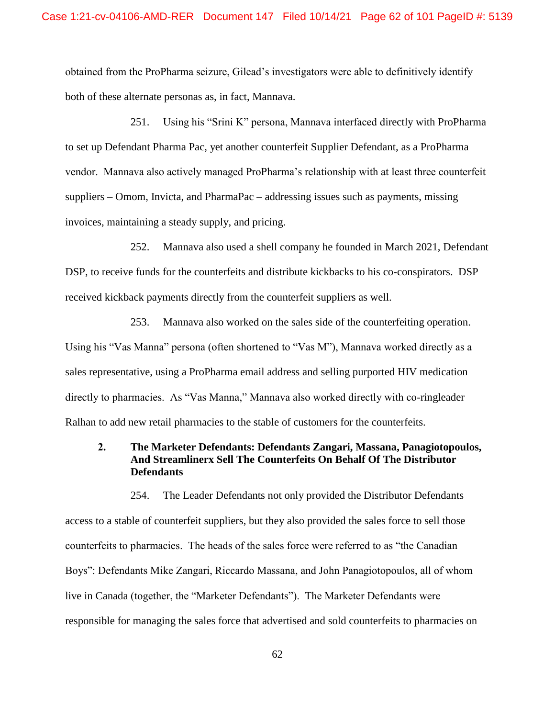obtained from the ProPharma seizure, Gilead's investigators were able to definitively identify both of these alternate personas as, in fact, Mannava.

251. Using his "Srini K" persona, Mannava interfaced directly with ProPharma to set up Defendant Pharma Pac, yet another counterfeit Supplier Defendant, as a ProPharma vendor. Mannava also actively managed ProPharma's relationship with at least three counterfeit suppliers – Omom, Invicta, and PharmaPac – addressing issues such as payments, missing invoices, maintaining a steady supply, and pricing.

252. Mannava also used a shell company he founded in March 2021, Defendant DSP, to receive funds for the counterfeits and distribute kickbacks to his co-conspirators. DSP received kickback payments directly from the counterfeit suppliers as well.

253. Mannava also worked on the sales side of the counterfeiting operation. Using his "Vas Manna" persona (often shortened to "Vas M"), Mannava worked directly as a sales representative, using a ProPharma email address and selling purported HIV medication directly to pharmacies. As "Vas Manna," Mannava also worked directly with co-ringleader Ralhan to add new retail pharmacies to the stable of customers for the counterfeits.

# **2. The Marketer Defendants: Defendants Zangari, Massana, Panagiotopoulos, And Streamlinerx Sell The Counterfeits On Behalf Of The Distributor Defendants**

254. The Leader Defendants not only provided the Distributor Defendants access to a stable of counterfeit suppliers, but they also provided the sales force to sell those counterfeits to pharmacies. The heads of the sales force were referred to as "the Canadian Boys": Defendants Mike Zangari, Riccardo Massana, and John Panagiotopoulos, all of whom live in Canada (together, the "Marketer Defendants"). The Marketer Defendants were responsible for managing the sales force that advertised and sold counterfeits to pharmacies on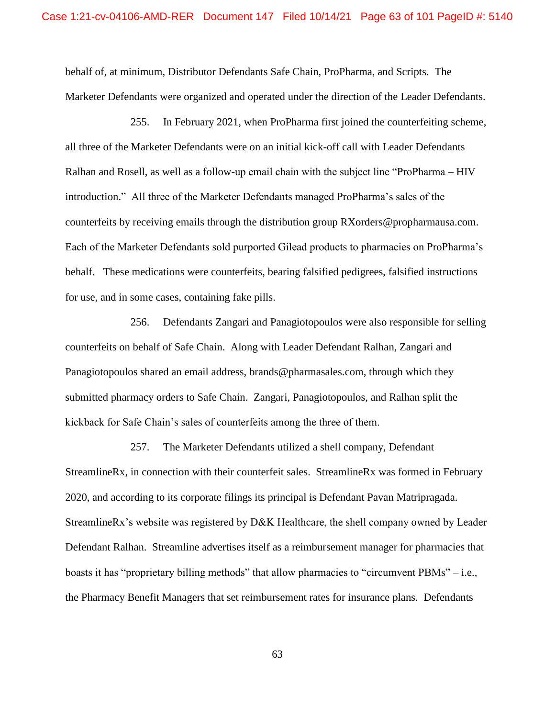behalf of, at minimum, Distributor Defendants Safe Chain, ProPharma, and Scripts. The Marketer Defendants were organized and operated under the direction of the Leader Defendants.

255. In February 2021, when ProPharma first joined the counterfeiting scheme, all three of the Marketer Defendants were on an initial kick-off call with Leader Defendants Ralhan and Rosell, as well as a follow-up email chain with the subject line "ProPharma – HIV introduction." All three of the Marketer Defendants managed ProPharma's sales of the counterfeits by receiving emails through the distribution group RXorders@propharmausa.com. Each of the Marketer Defendants sold purported Gilead products to pharmacies on ProPharma's behalf. These medications were counterfeits, bearing falsified pedigrees, falsified instructions for use, and in some cases, containing fake pills.

256. Defendants Zangari and Panagiotopoulos were also responsible for selling counterfeits on behalf of Safe Chain. Along with Leader Defendant Ralhan, Zangari and Panagiotopoulos shared an email address, brands@pharmasales.com, through which they submitted pharmacy orders to Safe Chain. Zangari, Panagiotopoulos, and Ralhan split the kickback for Safe Chain's sales of counterfeits among the three of them.

257. The Marketer Defendants utilized a shell company, Defendant StreamlineRx, in connection with their counterfeit sales. StreamlineRx was formed in February 2020, and according to its corporate filings its principal is Defendant Pavan Matripragada. StreamlineRx's website was registered by D&K Healthcare, the shell company owned by Leader Defendant Ralhan. Streamline advertises itself as a reimbursement manager for pharmacies that boasts it has "proprietary billing methods" that allow pharmacies to "circumvent PBMs" – i.e., the Pharmacy Benefit Managers that set reimbursement rates for insurance plans. Defendants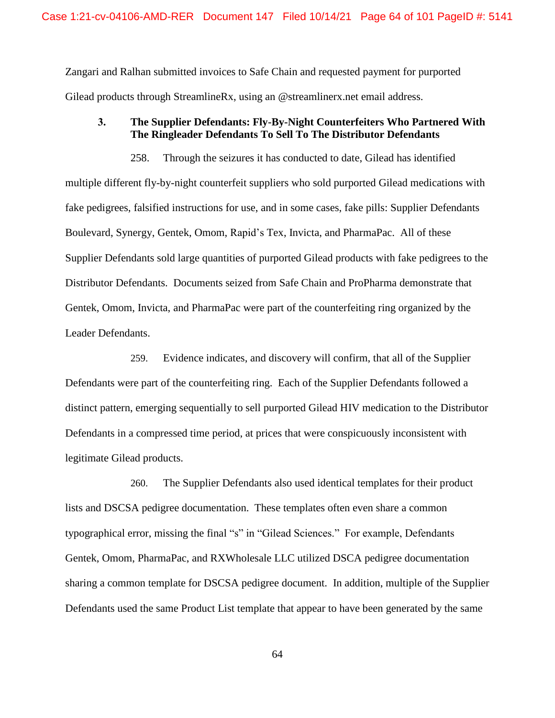Zangari and Ralhan submitted invoices to Safe Chain and requested payment for purported Gilead products through StreamlineRx, using an @streamlinerx.net email address.

# **3. The Supplier Defendants: Fly-By-Night Counterfeiters Who Partnered With The Ringleader Defendants To Sell To The Distributor Defendants**

258. Through the seizures it has conducted to date, Gilead has identified multiple different fly-by-night counterfeit suppliers who sold purported Gilead medications with fake pedigrees, falsified instructions for use, and in some cases, fake pills: Supplier Defendants Boulevard, Synergy, Gentek, Omom, Rapid's Tex, Invicta, and PharmaPac. All of these Supplier Defendants sold large quantities of purported Gilead products with fake pedigrees to the Distributor Defendants. Documents seized from Safe Chain and ProPharma demonstrate that Gentek, Omom, Invicta, and PharmaPac were part of the counterfeiting ring organized by the Leader Defendants.

259. Evidence indicates, and discovery will confirm, that all of the Supplier Defendants were part of the counterfeiting ring. Each of the Supplier Defendants followed a distinct pattern, emerging sequentially to sell purported Gilead HIV medication to the Distributor Defendants in a compressed time period, at prices that were conspicuously inconsistent with legitimate Gilead products.

260. The Supplier Defendants also used identical templates for their product lists and DSCSA pedigree documentation. These templates often even share a common typographical error, missing the final "s" in "Gilead Sciences." For example, Defendants Gentek, Omom, PharmaPac, and RXWholesale LLC utilized DSCA pedigree documentation sharing a common template for DSCSA pedigree document. In addition, multiple of the Supplier Defendants used the same Product List template that appear to have been generated by the same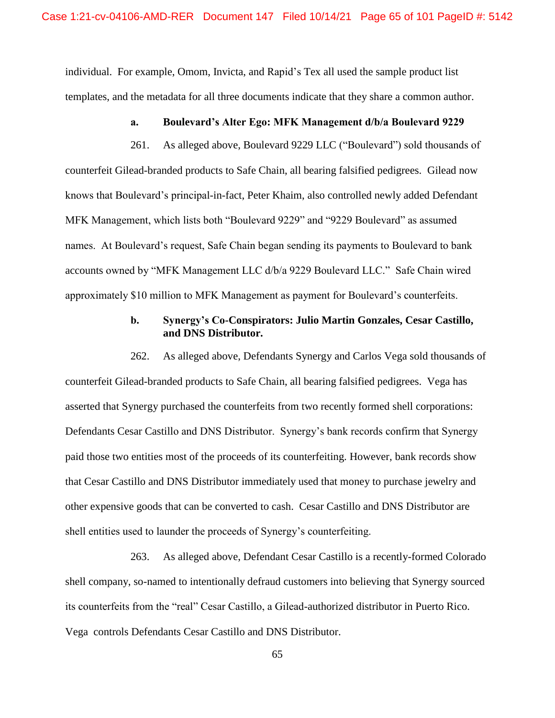individual. For example, Omom, Invicta, and Rapid's Tex all used the sample product list templates, and the metadata for all three documents indicate that they share a common author.

#### **a. Boulevard's Alter Ego: MFK Management d/b/a Boulevard 9229**

261. As alleged above, Boulevard 9229 LLC ("Boulevard") sold thousands of counterfeit Gilead-branded products to Safe Chain, all bearing falsified pedigrees. Gilead now knows that Boulevard's principal-in-fact, Peter Khaim, also controlled newly added Defendant MFK Management, which lists both "Boulevard 9229" and "9229 Boulevard" as assumed names. At Boulevard's request, Safe Chain began sending its payments to Boulevard to bank accounts owned by "MFK Management LLC d/b/a 9229 Boulevard LLC." Safe Chain wired approximately \$10 million to MFK Management as payment for Boulevard's counterfeits.

# **b. Synergy's Co-Conspirators: Julio Martin Gonzales, Cesar Castillo, and DNS Distributor.**

262. As alleged above, Defendants Synergy and Carlos Vega sold thousands of counterfeit Gilead-branded products to Safe Chain, all bearing falsified pedigrees. Vega has asserted that Synergy purchased the counterfeits from two recently formed shell corporations: Defendants Cesar Castillo and DNS Distributor. Synergy's bank records confirm that Synergy paid those two entities most of the proceeds of its counterfeiting. However, bank records show that Cesar Castillo and DNS Distributor immediately used that money to purchase jewelry and other expensive goods that can be converted to cash. Cesar Castillo and DNS Distributor are shell entities used to launder the proceeds of Synergy's counterfeiting.

263. As alleged above, Defendant Cesar Castillo is a recently-formed Colorado shell company, so-named to intentionally defraud customers into believing that Synergy sourced its counterfeits from the "real" Cesar Castillo, a Gilead-authorized distributor in Puerto Rico. Vega controls Defendants Cesar Castillo and DNS Distributor.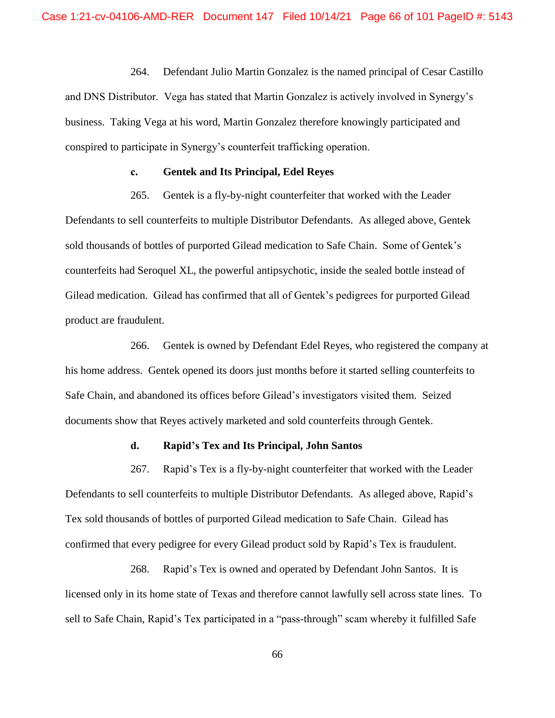264. Defendant Julio Martin Gonzalez is the named principal of Cesar Castillo and DNS Distributor. Vega has stated that Martin Gonzalez is actively involved in Synergy's business. Taking Vega at his word, Martin Gonzalez therefore knowingly participated and conspired to participate in Synergy's counterfeit trafficking operation.

### **c. Gentek and Its Principal, Edel Reyes**

265. Gentek is a fly-by-night counterfeiter that worked with the Leader Defendants to sell counterfeits to multiple Distributor Defendants. As alleged above, Gentek sold thousands of bottles of purported Gilead medication to Safe Chain. Some of Gentek's counterfeits had Seroquel XL, the powerful antipsychotic, inside the sealed bottle instead of Gilead medication. Gilead has confirmed that all of Gentek's pedigrees for purported Gilead product are fraudulent.

266. Gentek is owned by Defendant Edel Reyes, who registered the company at his home address. Gentek opened its doors just months before it started selling counterfeits to Safe Chain, and abandoned its offices before Gilead's investigators visited them. Seized documents show that Reyes actively marketed and sold counterfeits through Gentek.

### **d. Rapid's Tex and Its Principal, John Santos**

267. Rapid's Tex is a fly-by-night counterfeiter that worked with the Leader Defendants to sell counterfeits to multiple Distributor Defendants. As alleged above, Rapid's Tex sold thousands of bottles of purported Gilead medication to Safe Chain. Gilead has confirmed that every pedigree for every Gilead product sold by Rapid's Tex is fraudulent.

268. Rapid's Tex is owned and operated by Defendant John Santos. It is licensed only in its home state of Texas and therefore cannot lawfully sell across state lines. To sell to Safe Chain, Rapid's Tex participated in a "pass-through" scam whereby it fulfilled Safe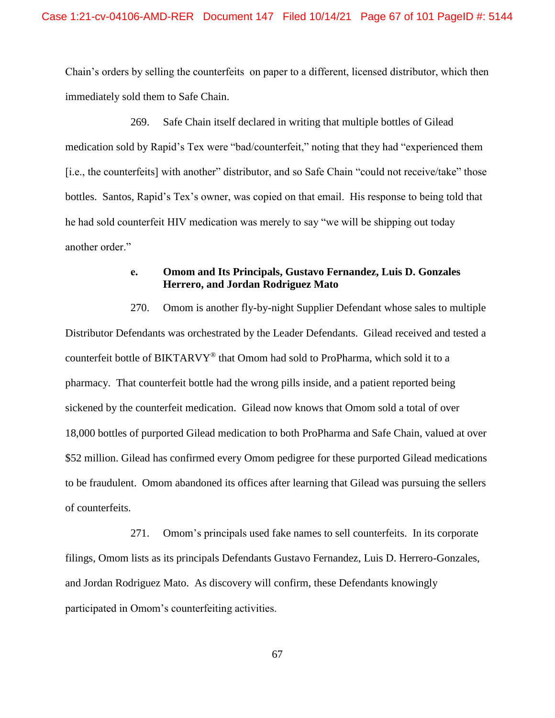Chain's orders by selling the counterfeits on paper to a different, licensed distributor, which then immediately sold them to Safe Chain.

269. Safe Chain itself declared in writing that multiple bottles of Gilead medication sold by Rapid's Tex were "bad/counterfeit," noting that they had "experienced them [i.e., the counterfeits] with another" distributor, and so Safe Chain "could not receive/take" those bottles. Santos, Rapid's Tex's owner, was copied on that email. His response to being told that he had sold counterfeit HIV medication was merely to say "we will be shipping out today another order."

# **e. Omom and Its Principals, Gustavo Fernandez, Luis D. Gonzales Herrero, and Jordan Rodriguez Mato**

270. Omom is another fly-by-night Supplier Defendant whose sales to multiple Distributor Defendants was orchestrated by the Leader Defendants. Gilead received and tested a counterfeit bottle of BIKTARVY® that Omom had sold to ProPharma, which sold it to a pharmacy. That counterfeit bottle had the wrong pills inside, and a patient reported being sickened by the counterfeit medication. Gilead now knows that Omom sold a total of over 18,000 bottles of purported Gilead medication to both ProPharma and Safe Chain, valued at over \$52 million. Gilead has confirmed every Omom pedigree for these purported Gilead medications to be fraudulent. Omom abandoned its offices after learning that Gilead was pursuing the sellers of counterfeits.

271. Omom's principals used fake names to sell counterfeits. In its corporate filings, Omom lists as its principals Defendants Gustavo Fernandez, Luis D. Herrero-Gonzales, and Jordan Rodriguez Mato. As discovery will confirm, these Defendants knowingly participated in Omom's counterfeiting activities.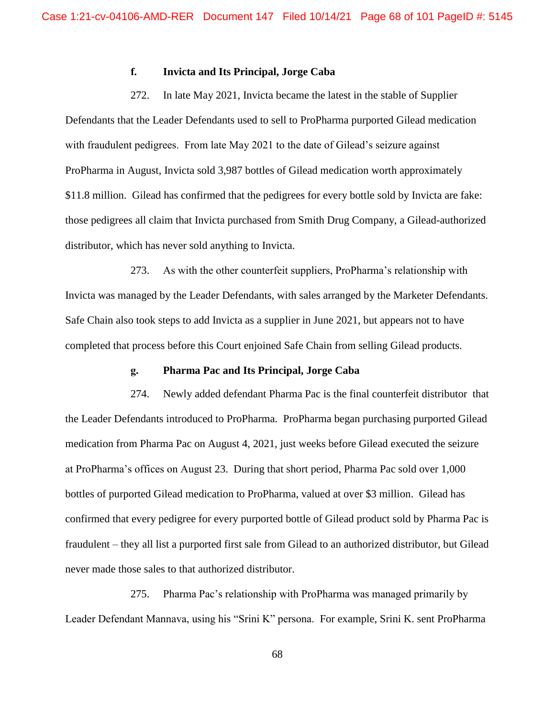# **f. Invicta and Its Principal, Jorge Caba**

272. In late May 2021, Invicta became the latest in the stable of Supplier Defendants that the Leader Defendants used to sell to ProPharma purported Gilead medication with fraudulent pedigrees. From late May 2021 to the date of Gilead's seizure against ProPharma in August, Invicta sold 3,987 bottles of Gilead medication worth approximately \$11.8 million. Gilead has confirmed that the pedigrees for every bottle sold by Invicta are fake: those pedigrees all claim that Invicta purchased from Smith Drug Company, a Gilead-authorized distributor, which has never sold anything to Invicta.

273. As with the other counterfeit suppliers, ProPharma's relationship with Invicta was managed by the Leader Defendants, with sales arranged by the Marketer Defendants. Safe Chain also took steps to add Invicta as a supplier in June 2021, but appears not to have completed that process before this Court enjoined Safe Chain from selling Gilead products.

# **g. Pharma Pac and Its Principal, Jorge Caba**

274. Newly added defendant Pharma Pac is the final counterfeit distributor that the Leader Defendants introduced to ProPharma. ProPharma began purchasing purported Gilead medication from Pharma Pac on August 4, 2021, just weeks before Gilead executed the seizure at ProPharma's offices on August 23. During that short period, Pharma Pac sold over 1,000 bottles of purported Gilead medication to ProPharma, valued at over \$3 million. Gilead has confirmed that every pedigree for every purported bottle of Gilead product sold by Pharma Pac is fraudulent – they all list a purported first sale from Gilead to an authorized distributor, but Gilead never made those sales to that authorized distributor.

275. Pharma Pac's relationship with ProPharma was managed primarily by Leader Defendant Mannava, using his "Srini K" persona. For example, Srini K. sent ProPharma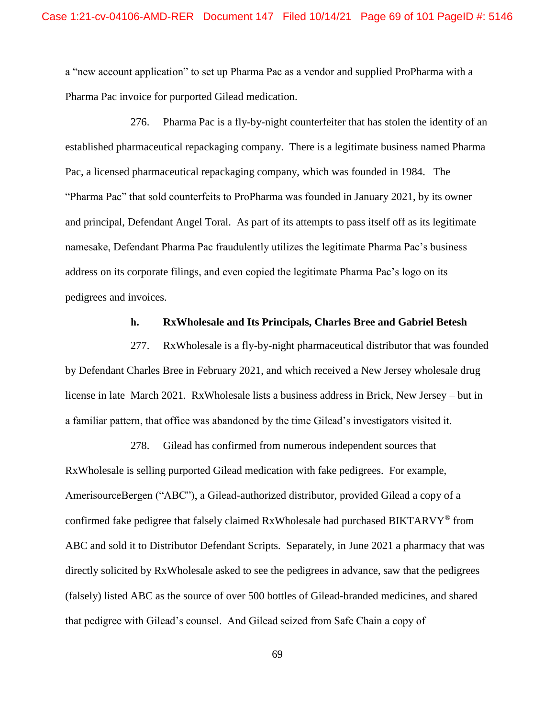a "new account application" to set up Pharma Pac as a vendor and supplied ProPharma with a Pharma Pac invoice for purported Gilead medication.

276. Pharma Pac is a fly-by-night counterfeiter that has stolen the identity of an established pharmaceutical repackaging company. There is a legitimate business named Pharma Pac, a licensed pharmaceutical repackaging company, which was founded in 1984. The "Pharma Pac" that sold counterfeits to ProPharma was founded in January 2021, by its owner and principal, Defendant Angel Toral. As part of its attempts to pass itself off as its legitimate namesake, Defendant Pharma Pac fraudulently utilizes the legitimate Pharma Pac's business address on its corporate filings, and even copied the legitimate Pharma Pac's logo on its pedigrees and invoices.

### **h. RxWholesale and Its Principals, Charles Bree and Gabriel Betesh**

277. RxWholesale is a fly-by-night pharmaceutical distributor that was founded by Defendant Charles Bree in February 2021, and which received a New Jersey wholesale drug license in late March 2021. RxWholesale lists a business address in Brick, New Jersey – but in a familiar pattern, that office was abandoned by the time Gilead's investigators visited it.

278. Gilead has confirmed from numerous independent sources that RxWholesale is selling purported Gilead medication with fake pedigrees. For example, AmerisourceBergen ("ABC"), a Gilead-authorized distributor, provided Gilead a copy of a confirmed fake pedigree that falsely claimed RxWholesale had purchased BIKTARVY® from ABC and sold it to Distributor Defendant Scripts. Separately, in June 2021 a pharmacy that was directly solicited by RxWholesale asked to see the pedigrees in advance, saw that the pedigrees (falsely) listed ABC as the source of over 500 bottles of Gilead-branded medicines, and shared that pedigree with Gilead's counsel. And Gilead seized from Safe Chain a copy of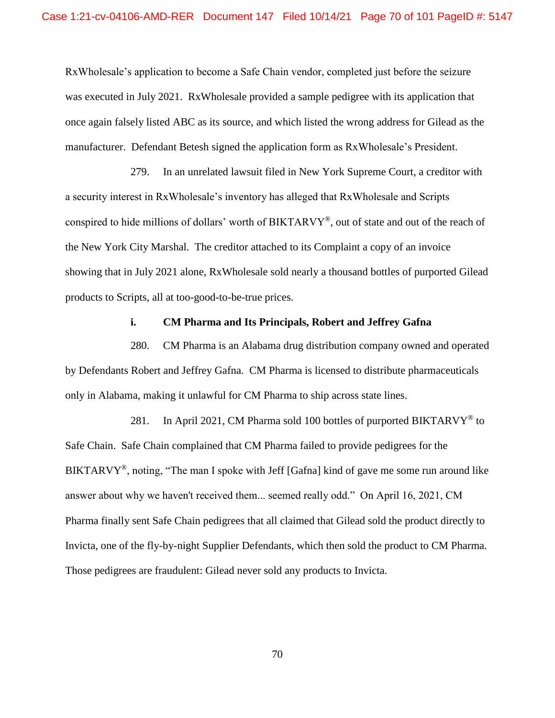RxWholesale's application to become a Safe Chain vendor, completed just before the seizure was executed in July 2021. RxWholesale provided a sample pedigree with its application that once again falsely listed ABC as its source, and which listed the wrong address for Gilead as the manufacturer. Defendant Betesh signed the application form as RxWholesale's President.

279. In an unrelated lawsuit filed in New York Supreme Court, a creditor with a security interest in RxWholesale's inventory has alleged that RxWholesale and Scripts conspired to hide millions of dollars' worth of BIKTARVY®, out of state and out of the reach of the New York City Marshal. The creditor attached to its Complaint a copy of an invoice showing that in July 2021 alone, RxWholesale sold nearly a thousand bottles of purported Gilead products to Scripts, all at too-good-to-be-true prices.

## **i. CM Pharma and Its Principals, Robert and Jeffrey Gafna**

280. CM Pharma is an Alabama drug distribution company owned and operated by Defendants Robert and Jeffrey Gafna. CM Pharma is licensed to distribute pharmaceuticals only in Alabama, making it unlawful for CM Pharma to ship across state lines.

281. In April 2021, CM Pharma sold 100 bottles of purported BIKTARVY<sup>®</sup> to Safe Chain. Safe Chain complained that CM Pharma failed to provide pedigrees for the BIKTARVY®, noting, "The man I spoke with Jeff [Gafna] kind of gave me some run around like answer about why we haven't received them... seemed really odd." On April 16, 2021, CM Pharma finally sent Safe Chain pedigrees that all claimed that Gilead sold the product directly to Invicta, one of the fly-by-night Supplier Defendants, which then sold the product to CM Pharma. Those pedigrees are fraudulent: Gilead never sold any products to Invicta.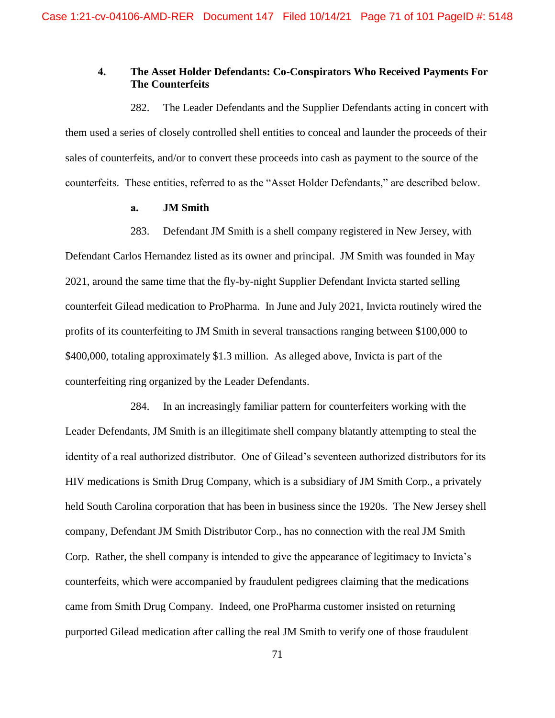# **4. The Asset Holder Defendants: Co-Conspirators Who Received Payments For The Counterfeits**

282. The Leader Defendants and the Supplier Defendants acting in concert with them used a series of closely controlled shell entities to conceal and launder the proceeds of their sales of counterfeits, and/or to convert these proceeds into cash as payment to the source of the counterfeits. These entities, referred to as the "Asset Holder Defendants," are described below.

### **a. JM Smith**

283. Defendant JM Smith is a shell company registered in New Jersey, with Defendant Carlos Hernandez listed as its owner and principal. JM Smith was founded in May 2021, around the same time that the fly-by-night Supplier Defendant Invicta started selling counterfeit Gilead medication to ProPharma. In June and July 2021, Invicta routinely wired the profits of its counterfeiting to JM Smith in several transactions ranging between \$100,000 to \$400,000, totaling approximately \$1.3 million. As alleged above, Invicta is part of the counterfeiting ring organized by the Leader Defendants.

284. In an increasingly familiar pattern for counterfeiters working with the Leader Defendants, JM Smith is an illegitimate shell company blatantly attempting to steal the identity of a real authorized distributor. One of Gilead's seventeen authorized distributors for its HIV medications is Smith Drug Company, which is a subsidiary of JM Smith Corp., a privately held South Carolina corporation that has been in business since the 1920s. The New Jersey shell company, Defendant JM Smith Distributor Corp., has no connection with the real JM Smith Corp. Rather, the shell company is intended to give the appearance of legitimacy to Invicta's counterfeits, which were accompanied by fraudulent pedigrees claiming that the medications came from Smith Drug Company. Indeed, one ProPharma customer insisted on returning purported Gilead medication after calling the real JM Smith to verify one of those fraudulent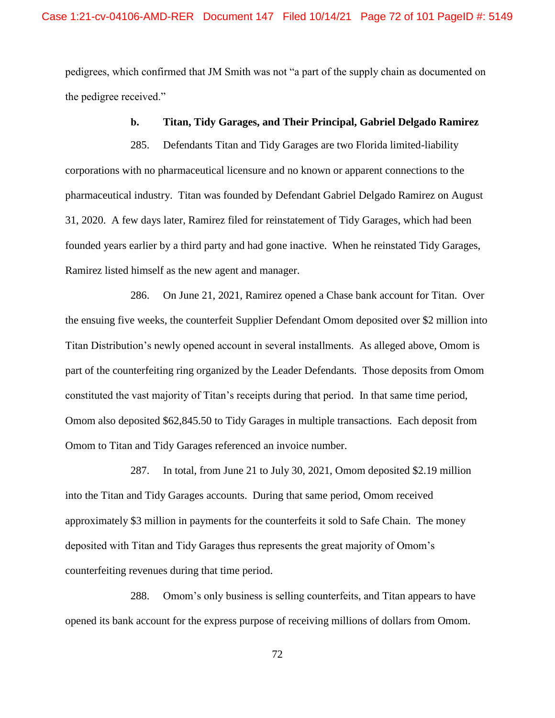pedigrees, which confirmed that JM Smith was not "a part of the supply chain as documented on the pedigree received."

# **b. Titan, Tidy Garages, and Their Principal, Gabriel Delgado Ramirez**

285. Defendants Titan and Tidy Garages are two Florida limited-liability corporations with no pharmaceutical licensure and no known or apparent connections to the pharmaceutical industry. Titan was founded by Defendant Gabriel Delgado Ramirez on August 31, 2020. A few days later, Ramirez filed for reinstatement of Tidy Garages, which had been founded years earlier by a third party and had gone inactive. When he reinstated Tidy Garages, Ramirez listed himself as the new agent and manager.

286. On June 21, 2021, Ramirez opened a Chase bank account for Titan. Over the ensuing five weeks, the counterfeit Supplier Defendant Omom deposited over \$2 million into Titan Distribution's newly opened account in several installments. As alleged above, Omom is part of the counterfeiting ring organized by the Leader Defendants. Those deposits from Omom constituted the vast majority of Titan's receipts during that period. In that same time period, Omom also deposited \$62,845.50 to Tidy Garages in multiple transactions. Each deposit from Omom to Titan and Tidy Garages referenced an invoice number.

287. In total, from June 21 to July 30, 2021, Omom deposited \$2.19 million into the Titan and Tidy Garages accounts. During that same period, Omom received approximately \$3 million in payments for the counterfeits it sold to Safe Chain. The money deposited with Titan and Tidy Garages thus represents the great majority of Omom's counterfeiting revenues during that time period.

288. Omom's only business is selling counterfeits, and Titan appears to have opened its bank account for the express purpose of receiving millions of dollars from Omom.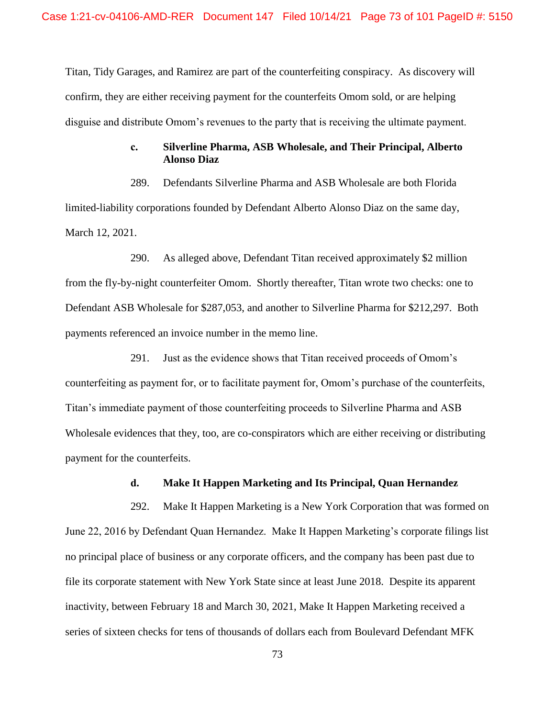Titan, Tidy Garages, and Ramirez are part of the counterfeiting conspiracy. As discovery will confirm, they are either receiving payment for the counterfeits Omom sold, or are helping disguise and distribute Omom's revenues to the party that is receiving the ultimate payment.

### **c. Silverline Pharma, ASB Wholesale, and Their Principal, Alberto Alonso Diaz**

289. Defendants Silverline Pharma and ASB Wholesale are both Florida limited-liability corporations founded by Defendant Alberto Alonso Diaz on the same day, March 12, 2021.

290. As alleged above, Defendant Titan received approximately \$2 million from the fly-by-night counterfeiter Omom. Shortly thereafter, Titan wrote two checks: one to Defendant ASB Wholesale for \$287,053, and another to Silverline Pharma for \$212,297. Both payments referenced an invoice number in the memo line.

291. Just as the evidence shows that Titan received proceeds of Omom's counterfeiting as payment for, or to facilitate payment for, Omom's purchase of the counterfeits, Titan's immediate payment of those counterfeiting proceeds to Silverline Pharma and ASB Wholesale evidences that they, too, are co-conspirators which are either receiving or distributing payment for the counterfeits.

#### **d. Make It Happen Marketing and Its Principal, Quan Hernandez**

292. Make It Happen Marketing is a New York Corporation that was formed on June 22, 2016 by Defendant Quan Hernandez. Make It Happen Marketing's corporate filings list no principal place of business or any corporate officers, and the company has been past due to file its corporate statement with New York State since at least June 2018. Despite its apparent inactivity, between February 18 and March 30, 2021, Make It Happen Marketing received a series of sixteen checks for tens of thousands of dollars each from Boulevard Defendant MFK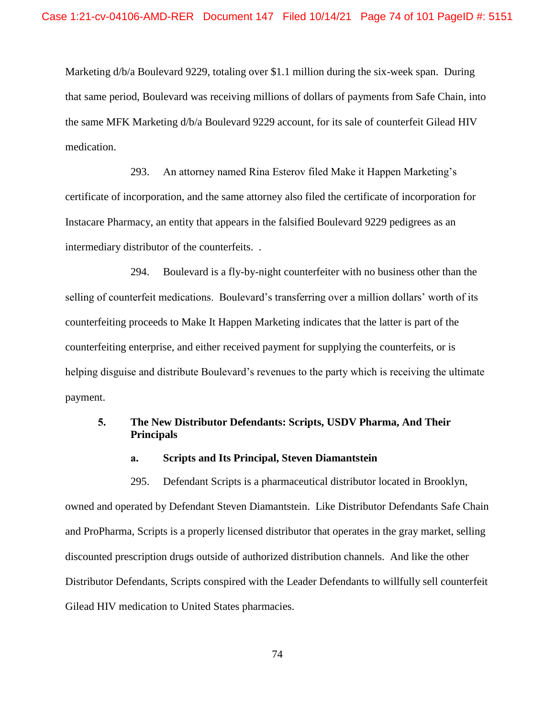Marketing d/b/a Boulevard 9229, totaling over \$1.1 million during the six-week span. During that same period, Boulevard was receiving millions of dollars of payments from Safe Chain, into the same MFK Marketing d/b/a Boulevard 9229 account, for its sale of counterfeit Gilead HIV medication.

293. An attorney named Rina Esterov filed Make it Happen Marketing's certificate of incorporation, and the same attorney also filed the certificate of incorporation for Instacare Pharmacy, an entity that appears in the falsified Boulevard 9229 pedigrees as an intermediary distributor of the counterfeits. .

294. Boulevard is a fly-by-night counterfeiter with no business other than the selling of counterfeit medications. Boulevard's transferring over a million dollars' worth of its counterfeiting proceeds to Make It Happen Marketing indicates that the latter is part of the counterfeiting enterprise, and either received payment for supplying the counterfeits, or is helping disguise and distribute Boulevard's revenues to the party which is receiving the ultimate payment.

# **5. The New Distributor Defendants: Scripts, USDV Pharma, And Their Principals**

#### **a. Scripts and Its Principal, Steven Diamantstein**

295. Defendant Scripts is a pharmaceutical distributor located in Brooklyn, owned and operated by Defendant Steven Diamantstein. Like Distributor Defendants Safe Chain and ProPharma, Scripts is a properly licensed distributor that operates in the gray market, selling discounted prescription drugs outside of authorized distribution channels. And like the other Distributor Defendants, Scripts conspired with the Leader Defendants to willfully sell counterfeit Gilead HIV medication to United States pharmacies.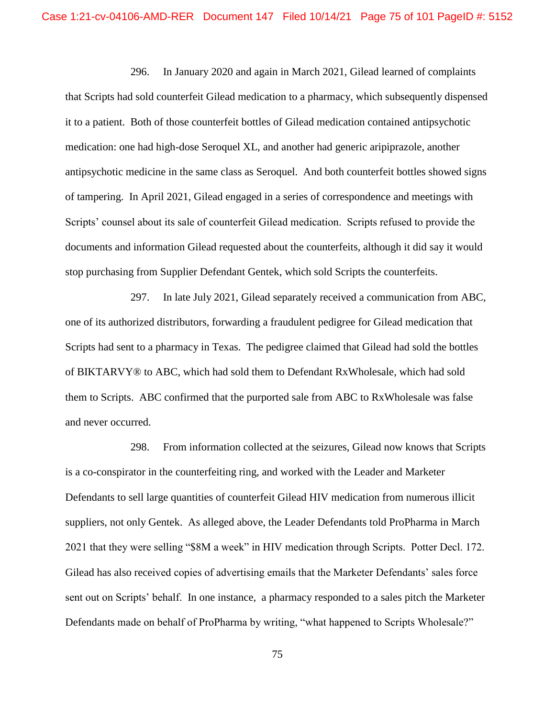296. In January 2020 and again in March 2021, Gilead learned of complaints that Scripts had sold counterfeit Gilead medication to a pharmacy, which subsequently dispensed it to a patient. Both of those counterfeit bottles of Gilead medication contained antipsychotic medication: one had high-dose Seroquel XL, and another had generic aripiprazole, another antipsychotic medicine in the same class as Seroquel. And both counterfeit bottles showed signs of tampering. In April 2021, Gilead engaged in a series of correspondence and meetings with Scripts' counsel about its sale of counterfeit Gilead medication. Scripts refused to provide the documents and information Gilead requested about the counterfeits, although it did say it would stop purchasing from Supplier Defendant Gentek, which sold Scripts the counterfeits.

297. In late July 2021, Gilead separately received a communication from ABC, one of its authorized distributors, forwarding a fraudulent pedigree for Gilead medication that Scripts had sent to a pharmacy in Texas. The pedigree claimed that Gilead had sold the bottles of BIKTARVY® to ABC, which had sold them to Defendant RxWholesale, which had sold them to Scripts. ABC confirmed that the purported sale from ABC to RxWholesale was false and never occurred.

298. From information collected at the seizures, Gilead now knows that Scripts is a co-conspirator in the counterfeiting ring, and worked with the Leader and Marketer Defendants to sell large quantities of counterfeit Gilead HIV medication from numerous illicit suppliers, not only Gentek. As alleged above, the Leader Defendants told ProPharma in March 2021 that they were selling "\$8M a week" in HIV medication through Scripts. Potter Decl. 172. Gilead has also received copies of advertising emails that the Marketer Defendants' sales force sent out on Scripts' behalf. In one instance, a pharmacy responded to a sales pitch the Marketer Defendants made on behalf of ProPharma by writing, "what happened to Scripts Wholesale?"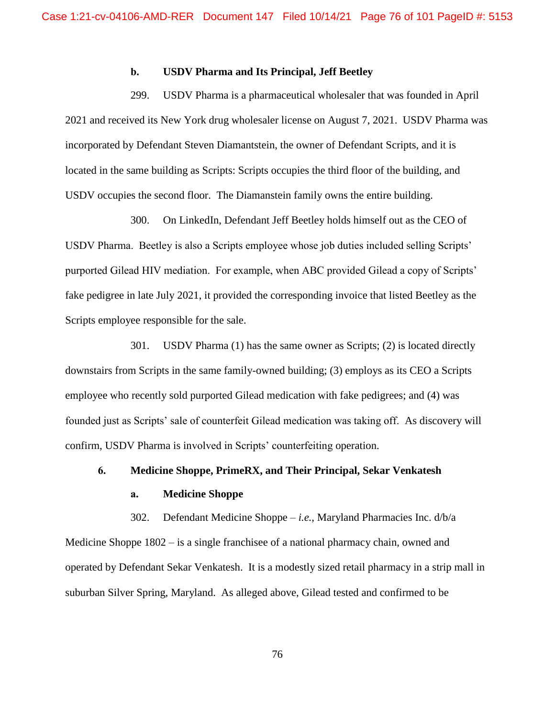#### **b. USDV Pharma and Its Principal, Jeff Beetley**

299. USDV Pharma is a pharmaceutical wholesaler that was founded in April 2021 and received its New York drug wholesaler license on August 7, 2021. USDV Pharma was incorporated by Defendant Steven Diamantstein, the owner of Defendant Scripts, and it is located in the same building as Scripts: Scripts occupies the third floor of the building, and USDV occupies the second floor. The Diamanstein family owns the entire building.

300. On LinkedIn, Defendant Jeff Beetley holds himself out as the CEO of USDV Pharma. Beetley is also a Scripts employee whose job duties included selling Scripts' purported Gilead HIV mediation. For example, when ABC provided Gilead a copy of Scripts' fake pedigree in late July 2021, it provided the corresponding invoice that listed Beetley as the Scripts employee responsible for the sale.

301. USDV Pharma (1) has the same owner as Scripts; (2) is located directly downstairs from Scripts in the same family-owned building; (3) employs as its CEO a Scripts employee who recently sold purported Gilead medication with fake pedigrees; and (4) was founded just as Scripts' sale of counterfeit Gilead medication was taking off. As discovery will confirm, USDV Pharma is involved in Scripts' counterfeiting operation.

#### **6. Medicine Shoppe, PrimeRX, and Their Principal, Sekar Venkatesh**

#### **a. Medicine Shoppe**

302. Defendant Medicine Shoppe – *i.e.*, Maryland Pharmacies Inc. d/b/a Medicine Shoppe 1802 – is a single franchisee of a national pharmacy chain, owned and operated by Defendant Sekar Venkatesh. It is a modestly sized retail pharmacy in a strip mall in suburban Silver Spring, Maryland. As alleged above, Gilead tested and confirmed to be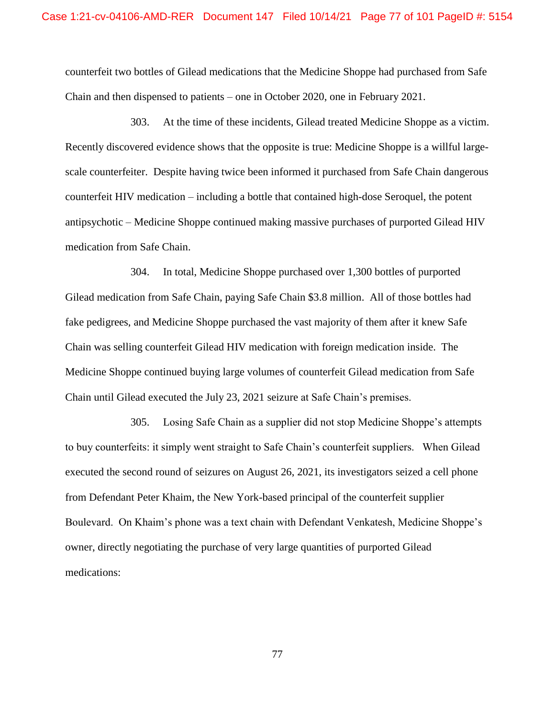counterfeit two bottles of Gilead medications that the Medicine Shoppe had purchased from Safe Chain and then dispensed to patients – one in October 2020, one in February 2021.

303. At the time of these incidents, Gilead treated Medicine Shoppe as a victim. Recently discovered evidence shows that the opposite is true: Medicine Shoppe is a willful largescale counterfeiter. Despite having twice been informed it purchased from Safe Chain dangerous counterfeit HIV medication – including a bottle that contained high-dose Seroquel, the potent antipsychotic – Medicine Shoppe continued making massive purchases of purported Gilead HIV medication from Safe Chain.

304. In total, Medicine Shoppe purchased over 1,300 bottles of purported Gilead medication from Safe Chain, paying Safe Chain \$3.8 million. All of those bottles had fake pedigrees, and Medicine Shoppe purchased the vast majority of them after it knew Safe Chain was selling counterfeit Gilead HIV medication with foreign medication inside. The Medicine Shoppe continued buying large volumes of counterfeit Gilead medication from Safe Chain until Gilead executed the July 23, 2021 seizure at Safe Chain's premises.

305. Losing Safe Chain as a supplier did not stop Medicine Shoppe's attempts to buy counterfeits: it simply went straight to Safe Chain's counterfeit suppliers. When Gilead executed the second round of seizures on August 26, 2021, its investigators seized a cell phone from Defendant Peter Khaim, the New York-based principal of the counterfeit supplier Boulevard. On Khaim's phone was a text chain with Defendant Venkatesh, Medicine Shoppe's owner, directly negotiating the purchase of very large quantities of purported Gilead medications: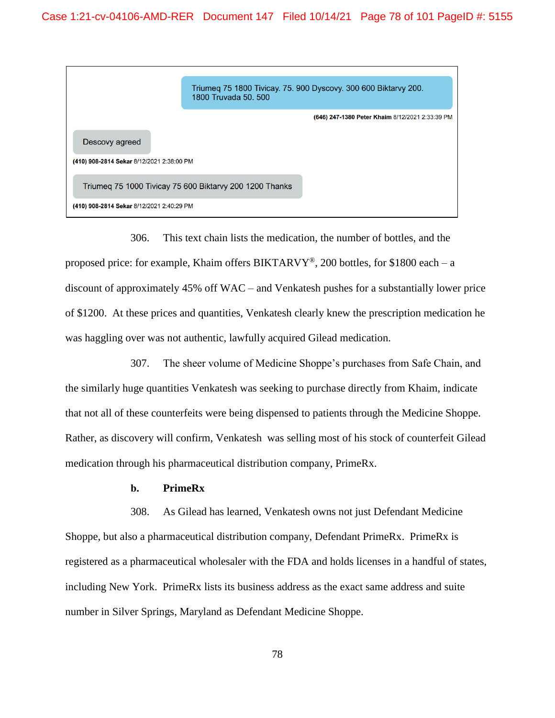|                                                        | Triumeg 75 1800 Tivicay. 75. 900 Dyscovy. 300 600 Biktary 200.<br>1800 Truvada 50, 500 |                                                 |  |
|--------------------------------------------------------|----------------------------------------------------------------------------------------|-------------------------------------------------|--|
|                                                        |                                                                                        | (646) 247-1380 Peter Khaim 8/12/2021 2:33:39 PM |  |
| Descovy agreed                                         |                                                                                        |                                                 |  |
| (410) 908-2814 Sekar 8/12/2021 2:38:00 PM              |                                                                                        |                                                 |  |
| Triumeg 75 1000 Tivicay 75 600 Biktary 200 1200 Thanks |                                                                                        |                                                 |  |
| (410) 908-2814 Sekar 8/12/2021 2:40:29 PM              |                                                                                        |                                                 |  |

306. This text chain lists the medication, the number of bottles, and the proposed price: for example, Khaim offers BIKTARVY®, 200 bottles, for \$1800 each – a discount of approximately 45% off WAC – and Venkatesh pushes for a substantially lower price of \$1200. At these prices and quantities, Venkatesh clearly knew the prescription medication he was haggling over was not authentic, lawfully acquired Gilead medication.

307. The sheer volume of Medicine Shoppe's purchases from Safe Chain, and the similarly huge quantities Venkatesh was seeking to purchase directly from Khaim, indicate that not all of these counterfeits were being dispensed to patients through the Medicine Shoppe. Rather, as discovery will confirm, Venkatesh was selling most of his stock of counterfeit Gilead medication through his pharmaceutical distribution company, PrimeRx.

#### **b. PrimeRx**

308. As Gilead has learned, Venkatesh owns not just Defendant Medicine Shoppe, but also a pharmaceutical distribution company, Defendant PrimeRx. PrimeRx is registered as a pharmaceutical wholesaler with the FDA and holds licenses in a handful of states, including New York. PrimeRx lists its business address as the exact same address and suite number in Silver Springs, Maryland as Defendant Medicine Shoppe.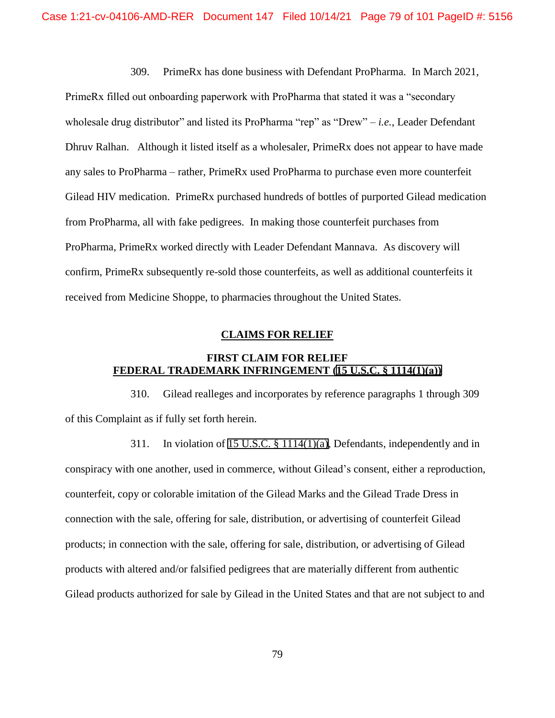309. PrimeRx has done business with Defendant ProPharma. In March 2021,

PrimeRx filled out onboarding paperwork with ProPharma that stated it was a "secondary wholesale drug distributor" and listed its ProPharma "rep" as "Drew" – *i.e.*, Leader Defendant Dhruv Ralhan. Although it listed itself as a wholesaler, PrimeRx does not appear to have made any sales to ProPharma – rather, PrimeRx used ProPharma to purchase even more counterfeit Gilead HIV medication. PrimeRx purchased hundreds of bottles of purported Gilead medication from ProPharma, all with fake pedigrees. In making those counterfeit purchases from ProPharma, PrimeRx worked directly with Leader Defendant Mannava. As discovery will confirm, PrimeRx subsequently re-sold those counterfeits, as well as additional counterfeits it received from Medicine Shoppe, to pharmacies throughout the United States.

#### **CLAIMS FOR RELIEF**

### **FIRST CLAIM FOR RELIEF FEDERAL TRADEMARK INFRINGEMENT (15 U.S.C. § 1114(1)(a))**

310. Gilead realleges and incorporates by reference paragraphs 1 through 309 of this Complaint as if fully set forth herein.

311. In violation of 15 U.S.C. § 1114(1)(a), Defendants, independently and in conspiracy with one another, used in commerce, without Gilead's consent, either a reproduction, counterfeit, copy or colorable imitation of the Gilead Marks and the Gilead Trade Dress in connection with the sale, offering for sale, distribution, or advertising of counterfeit Gilead products; in connection with the sale, offering for sale, distribution, or advertising of Gilead products with altered and/or falsified pedigrees that are materially different from authentic Gilead products authorized for sale by Gilead in the United States and that are not subject to and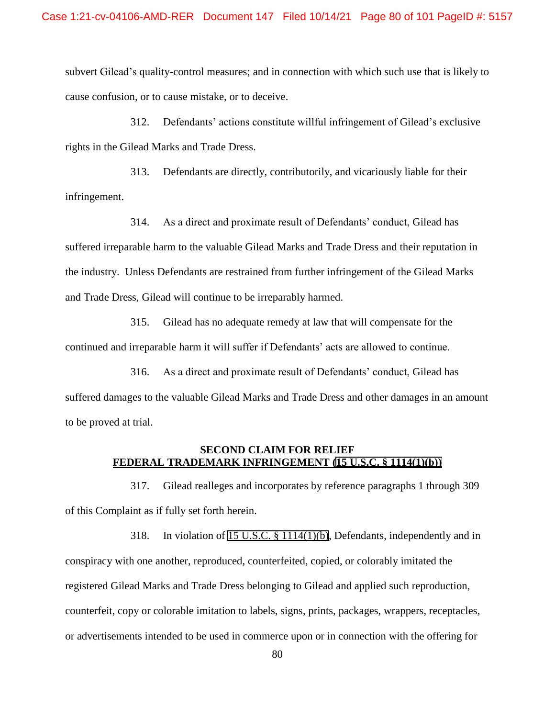subvert Gilead's quality-control measures; and in connection with which such use that is likely to cause confusion, or to cause mistake, or to deceive.

312. Defendants' actions constitute willful infringement of Gilead's exclusive rights in the Gilead Marks and Trade Dress.

313. Defendants are directly, contributorily, and vicariously liable for their infringement.

314. As a direct and proximate result of Defendants' conduct, Gilead has suffered irreparable harm to the valuable Gilead Marks and Trade Dress and their reputation in the industry. Unless Defendants are restrained from further infringement of the Gilead Marks and Trade Dress, Gilead will continue to be irreparably harmed.

315. Gilead has no adequate remedy at law that will compensate for the continued and irreparable harm it will suffer if Defendants' acts are allowed to continue.

316. As a direct and proximate result of Defendants' conduct, Gilead has suffered damages to the valuable Gilead Marks and Trade Dress and other damages in an amount to be proved at trial.

# **SECOND CLAIM FOR RELIEF FEDERAL TRADEMARK INFRINGEMENT (15 U.S.C. § 1114(1)(b))**

317. Gilead realleges and incorporates by reference paragraphs 1 through 309 of this Complaint as if fully set forth herein.

318. In violation of 15 U.S.C. § 1114(1)(b), Defendants, independently and in conspiracy with one another, reproduced, counterfeited, copied, or colorably imitated the registered Gilead Marks and Trade Dress belonging to Gilead and applied such reproduction, counterfeit, copy or colorable imitation to labels, signs, prints, packages, wrappers, receptacles, or advertisements intended to be used in commerce upon or in connection with the offering for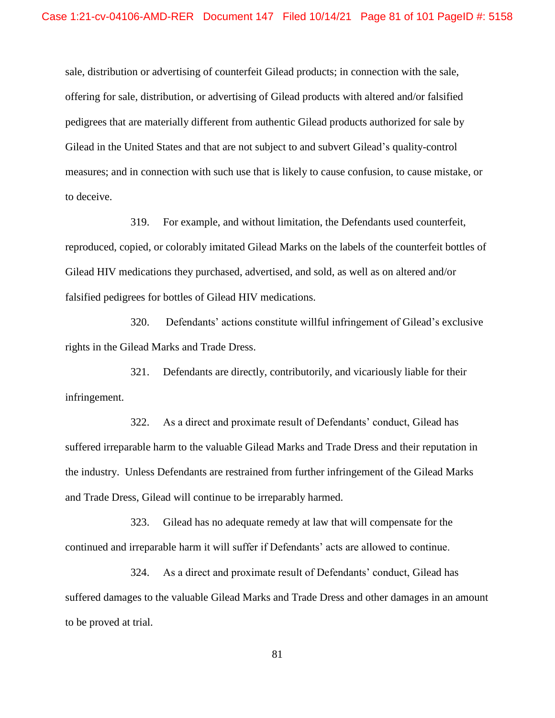sale, distribution or advertising of counterfeit Gilead products; in connection with the sale, offering for sale, distribution, or advertising of Gilead products with altered and/or falsified pedigrees that are materially different from authentic Gilead products authorized for sale by Gilead in the United States and that are not subject to and subvert Gilead's quality-control measures; and in connection with such use that is likely to cause confusion, to cause mistake, or to deceive.

319. For example, and without limitation, the Defendants used counterfeit, reproduced, copied, or colorably imitated Gilead Marks on the labels of the counterfeit bottles of Gilead HIV medications they purchased, advertised, and sold, as well as on altered and/or falsified pedigrees for bottles of Gilead HIV medications.

320. Defendants' actions constitute willful infringement of Gilead's exclusive rights in the Gilead Marks and Trade Dress.

321. Defendants are directly, contributorily, and vicariously liable for their infringement.

322. As a direct and proximate result of Defendants' conduct, Gilead has suffered irreparable harm to the valuable Gilead Marks and Trade Dress and their reputation in the industry. Unless Defendants are restrained from further infringement of the Gilead Marks and Trade Dress, Gilead will continue to be irreparably harmed.

323. Gilead has no adequate remedy at law that will compensate for the continued and irreparable harm it will suffer if Defendants' acts are allowed to continue.

324. As a direct and proximate result of Defendants' conduct, Gilead has suffered damages to the valuable Gilead Marks and Trade Dress and other damages in an amount to be proved at trial.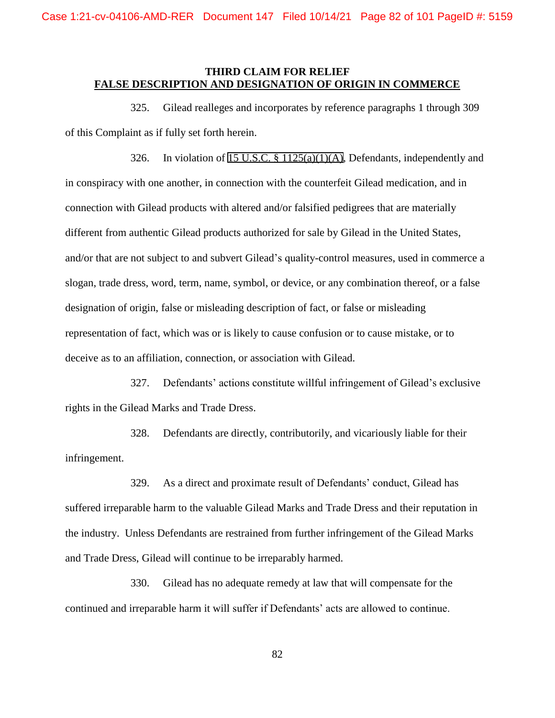#### **THIRD CLAIM FOR RELIEF FALSE DESCRIPTION AND DESIGNATION OF ORIGIN IN COMMERCE**

325. Gilead realleges and incorporates by reference paragraphs 1 through 309 of this Complaint as if fully set forth herein.

326. In violation of 15 U.S.C. § 1125(a)(1)(A), Defendants, independently and in conspiracy with one another, in connection with the counterfeit Gilead medication, and in connection with Gilead products with altered and/or falsified pedigrees that are materially different from authentic Gilead products authorized for sale by Gilead in the United States, and/or that are not subject to and subvert Gilead's quality-control measures, used in commerce a slogan, trade dress, word, term, name, symbol, or device, or any combination thereof, or a false designation of origin, false or misleading description of fact, or false or misleading representation of fact, which was or is likely to cause confusion or to cause mistake, or to deceive as to an affiliation, connection, or association with Gilead.

327. Defendants' actions constitute willful infringement of Gilead's exclusive rights in the Gilead Marks and Trade Dress.

328. Defendants are directly, contributorily, and vicariously liable for their infringement.

329. As a direct and proximate result of Defendants' conduct, Gilead has suffered irreparable harm to the valuable Gilead Marks and Trade Dress and their reputation in the industry. Unless Defendants are restrained from further infringement of the Gilead Marks and Trade Dress, Gilead will continue to be irreparably harmed.

330. Gilead has no adequate remedy at law that will compensate for the continued and irreparable harm it will suffer if Defendants' acts are allowed to continue.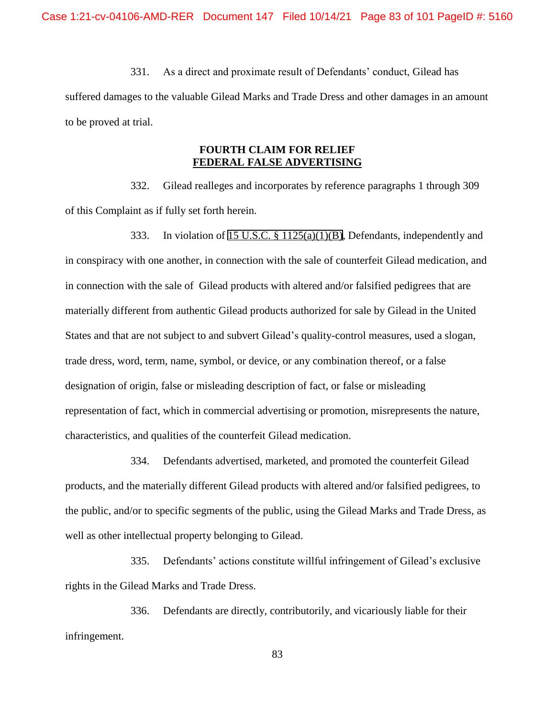331. As a direct and proximate result of Defendants' conduct, Gilead has suffered damages to the valuable Gilead Marks and Trade Dress and other damages in an amount to be proved at trial.

## **FOURTH CLAIM FOR RELIEF FEDERAL FALSE ADVERTISING**

332. Gilead realleges and incorporates by reference paragraphs 1 through 309 of this Complaint as if fully set forth herein.

333. In violation of 15 U.S.C. § 1125(a)(1)(B), Defendants, independently and in conspiracy with one another, in connection with the sale of counterfeit Gilead medication, and in connection with the sale of Gilead products with altered and/or falsified pedigrees that are materially different from authentic Gilead products authorized for sale by Gilead in the United States and that are not subject to and subvert Gilead's quality-control measures, used a slogan, trade dress, word, term, name, symbol, or device, or any combination thereof, or a false designation of origin, false or misleading description of fact, or false or misleading representation of fact, which in commercial advertising or promotion, misrepresents the nature, characteristics, and qualities of the counterfeit Gilead medication.

334. Defendants advertised, marketed, and promoted the counterfeit Gilead products, and the materially different Gilead products with altered and/or falsified pedigrees, to the public, and/or to specific segments of the public, using the Gilead Marks and Trade Dress, as well as other intellectual property belonging to Gilead.

335. Defendants' actions constitute willful infringement of Gilead's exclusive rights in the Gilead Marks and Trade Dress.

336. Defendants are directly, contributorily, and vicariously liable for their infringement.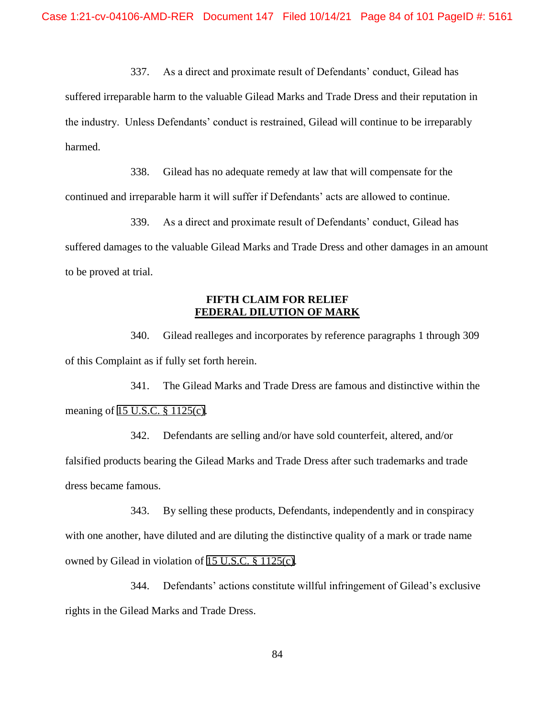337. As a direct and proximate result of Defendants' conduct, Gilead has suffered irreparable harm to the valuable Gilead Marks and Trade Dress and their reputation in the industry. Unless Defendants' conduct is restrained, Gilead will continue to be irreparably harmed.

338. Gilead has no adequate remedy at law that will compensate for the continued and irreparable harm it will suffer if Defendants' acts are allowed to continue.

339. As a direct and proximate result of Defendants' conduct, Gilead has suffered damages to the valuable Gilead Marks and Trade Dress and other damages in an amount to be proved at trial.

## **FIFTH CLAIM FOR RELIEF FEDERAL DILUTION OF MARK**

340. Gilead realleges and incorporates by reference paragraphs 1 through 309 of this Complaint as if fully set forth herein.

341. The Gilead Marks and Trade Dress are famous and distinctive within the meaning of 15 U.S.C. § 1125(c).

342. Defendants are selling and/or have sold counterfeit, altered, and/or falsified products bearing the Gilead Marks and Trade Dress after such trademarks and trade dress became famous.

343. By selling these products, Defendants, independently and in conspiracy with one another, have diluted and are diluting the distinctive quality of a mark or trade name owned by Gilead in violation of 15 U.S.C. § 1125(c).

344. Defendants' actions constitute willful infringement of Gilead's exclusive rights in the Gilead Marks and Trade Dress.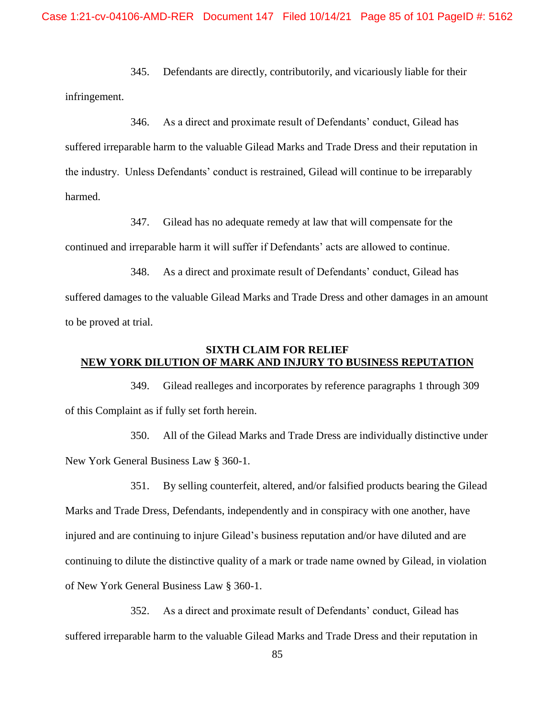345. Defendants are directly, contributorily, and vicariously liable for their infringement.

346. As a direct and proximate result of Defendants' conduct, Gilead has suffered irreparable harm to the valuable Gilead Marks and Trade Dress and their reputation in the industry. Unless Defendants' conduct is restrained, Gilead will continue to be irreparably harmed.

347. Gilead has no adequate remedy at law that will compensate for the continued and irreparable harm it will suffer if Defendants' acts are allowed to continue.

348. As a direct and proximate result of Defendants' conduct, Gilead has suffered damages to the valuable Gilead Marks and Trade Dress and other damages in an amount to be proved at trial.

# **SIXTH CLAIM FOR RELIEF NEW YORK DILUTION OF MARK AND INJURY TO BUSINESS REPUTATION**

349. Gilead realleges and incorporates by reference paragraphs 1 through 309 of this Complaint as if fully set forth herein.

350. All of the Gilead Marks and Trade Dress are individually distinctive under New York General Business Law § 360-1.

351. By selling counterfeit, altered, and/or falsified products bearing the Gilead Marks and Trade Dress, Defendants, independently and in conspiracy with one another, have injured and are continuing to injure Gilead's business reputation and/or have diluted and are continuing to dilute the distinctive quality of a mark or trade name owned by Gilead, in violation of New York General Business Law § 360-1.

352. As a direct and proximate result of Defendants' conduct, Gilead has suffered irreparable harm to the valuable Gilead Marks and Trade Dress and their reputation in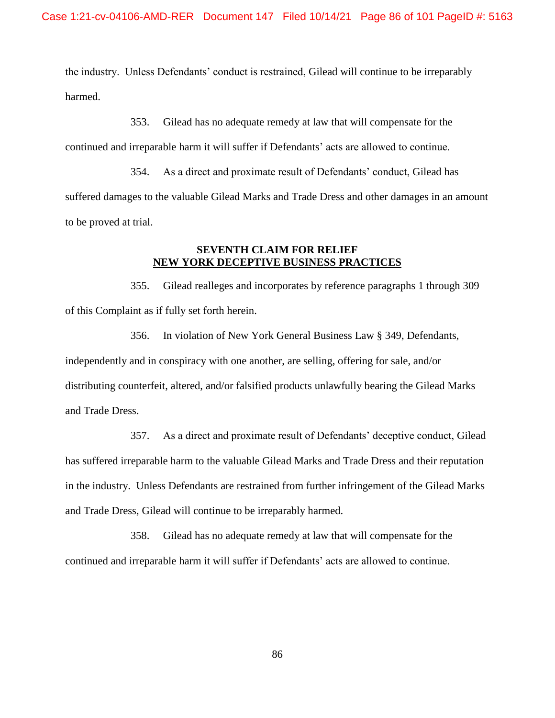the industry. Unless Defendants' conduct is restrained, Gilead will continue to be irreparably harmed.

353. Gilead has no adequate remedy at law that will compensate for the continued and irreparable harm it will suffer if Defendants' acts are allowed to continue.

354. As a direct and proximate result of Defendants' conduct, Gilead has suffered damages to the valuable Gilead Marks and Trade Dress and other damages in an amount to be proved at trial.

### **SEVENTH CLAIM FOR RELIEF NEW YORK DECEPTIVE BUSINESS PRACTICES**

355. Gilead realleges and incorporates by reference paragraphs 1 through 309 of this Complaint as if fully set forth herein.

356. In violation of New York General Business Law § 349, Defendants, independently and in conspiracy with one another, are selling, offering for sale, and/or distributing counterfeit, altered, and/or falsified products unlawfully bearing the Gilead Marks and Trade Dress.

357. As a direct and proximate result of Defendants' deceptive conduct, Gilead has suffered irreparable harm to the valuable Gilead Marks and Trade Dress and their reputation in the industry. Unless Defendants are restrained from further infringement of the Gilead Marks and Trade Dress, Gilead will continue to be irreparably harmed.

358. Gilead has no adequate remedy at law that will compensate for the continued and irreparable harm it will suffer if Defendants' acts are allowed to continue.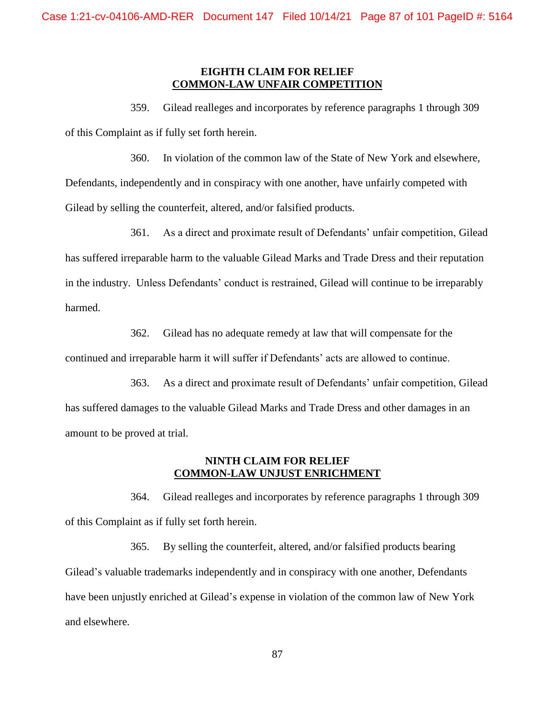#### **EIGHTH CLAIM FOR RELIEF COMMON-LAW UNFAIR COMPETITION**

359. Gilead realleges and incorporates by reference paragraphs 1 through 309 of this Complaint as if fully set forth herein.

360. In violation of the common law of the State of New York and elsewhere, Defendants, independently and in conspiracy with one another, have unfairly competed with Gilead by selling the counterfeit, altered, and/or falsified products.

361. As a direct and proximate result of Defendants' unfair competition, Gilead has suffered irreparable harm to the valuable Gilead Marks and Trade Dress and their reputation in the industry. Unless Defendants' conduct is restrained, Gilead will continue to be irreparably harmed.

362. Gilead has no adequate remedy at law that will compensate for the

continued and irreparable harm it will suffer if Defendants' acts are allowed to continue.

363. As a direct and proximate result of Defendants' unfair competition, Gilead has suffered damages to the valuable Gilead Marks and Trade Dress and other damages in an amount to be proved at trial.

#### **NINTH CLAIM FOR RELIEF COMMON-LAW UNJUST ENRICHMENT**

364. Gilead realleges and incorporates by reference paragraphs 1 through 309 of this Complaint as if fully set forth herein.

365. By selling the counterfeit, altered, and/or falsified products bearing Gilead's valuable trademarks independently and in conspiracy with one another, Defendants have been unjustly enriched at Gilead's expense in violation of the common law of New York and elsewhere.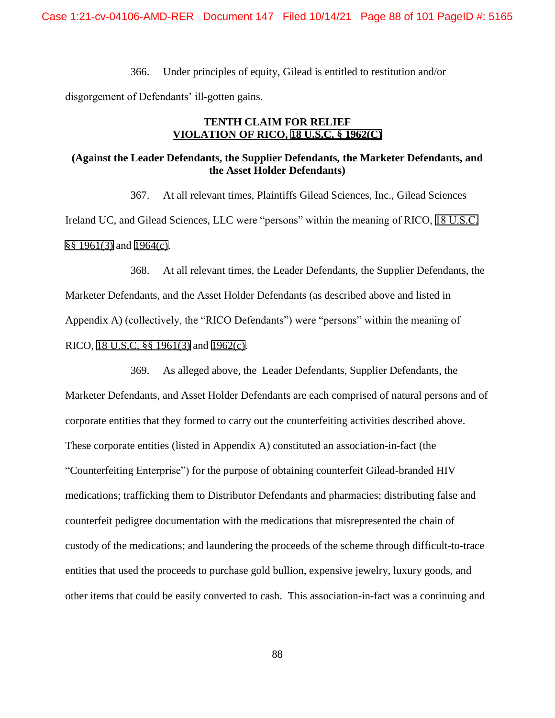366. Under principles of equity, Gilead is entitled to restitution and/or

disgorgement of Defendants' ill-gotten gains.

#### **TENTH CLAIM FOR RELIEF VIOLATION OF RICO, 18 U.S.C. § 1962(C)**

#### **(Against the Leader Defendants, the Supplier Defendants, the Marketer Defendants, and the Asset Holder Defendants)**

367. At all relevant times, Plaintiffs Gilead Sciences, Inc., Gilead Sciences Ireland UC, and Gilead Sciences, LLC were "persons" within the meaning of RICO, 18 U.S.C. §§ 1961(3) and 1964(c).

368. At all relevant times, the Leader Defendants, the Supplier Defendants, the Marketer Defendants, and the Asset Holder Defendants (as described above and listed in Appendix A) (collectively, the "RICO Defendants") were "persons" within the meaning of RICO, 18 U.S.C. §§ 1961(3) and 1962(c).

369. As alleged above, the Leader Defendants, Supplier Defendants, the Marketer Defendants, and Asset Holder Defendants are each comprised of natural persons and of corporate entities that they formed to carry out the counterfeiting activities described above. These corporate entities (listed in Appendix A) constituted an association-in-fact (the "Counterfeiting Enterprise") for the purpose of obtaining counterfeit Gilead-branded HIV medications; trafficking them to Distributor Defendants and pharmacies; distributing false and counterfeit pedigree documentation with the medications that misrepresented the chain of custody of the medications; and laundering the proceeds of the scheme through difficult-to-trace entities that used the proceeds to purchase gold bullion, expensive jewelry, luxury goods, and other items that could be easily converted to cash. This association-in-fact was a continuing and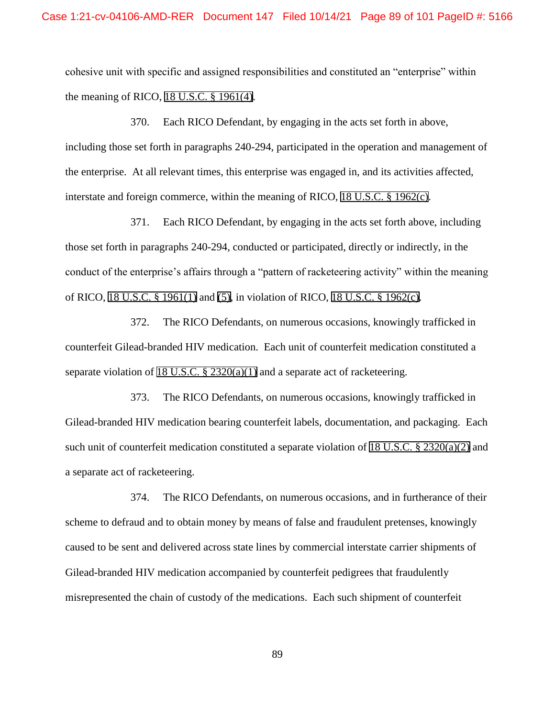cohesive unit with specific and assigned responsibilities and constituted an "enterprise" within the meaning of RICO, 18 U.S.C. § 1961(4).

370. Each RICO Defendant, by engaging in the acts set forth in above, including those set forth in paragraphs 240-294, participated in the operation and management of the enterprise. At all relevant times, this enterprise was engaged in, and its activities affected, interstate and foreign commerce, within the meaning of RICO, 18 U.S.C. § 1962(c).

371. Each RICO Defendant, by engaging in the acts set forth above, including those set forth in paragraphs 240-294, conducted or participated, directly or indirectly, in the conduct of the enterprise's affairs through a "pattern of racketeering activity" within the meaning of RICO, 18 U.S.C. § 1961(1) and (5), in violation of RICO, 18 U.S.C. § 1962(c).

372. The RICO Defendants, on numerous occasions, knowingly trafficked in counterfeit Gilead-branded HIV medication. Each unit of counterfeit medication constituted a separate violation of 18 U.S.C.  $\S$  2320(a)(1) and a separate act of racketeering.

373. The RICO Defendants, on numerous occasions, knowingly trafficked in Gilead-branded HIV medication bearing counterfeit labels, documentation, and packaging. Each such unit of counterfeit medication constituted a separate violation of 18 U.S.C. § 2320(a)(2) and a separate act of racketeering.

374. The RICO Defendants, on numerous occasions, and in furtherance of their scheme to defraud and to obtain money by means of false and fraudulent pretenses, knowingly caused to be sent and delivered across state lines by commercial interstate carrier shipments of Gilead-branded HIV medication accompanied by counterfeit pedigrees that fraudulently misrepresented the chain of custody of the medications. Each such shipment of counterfeit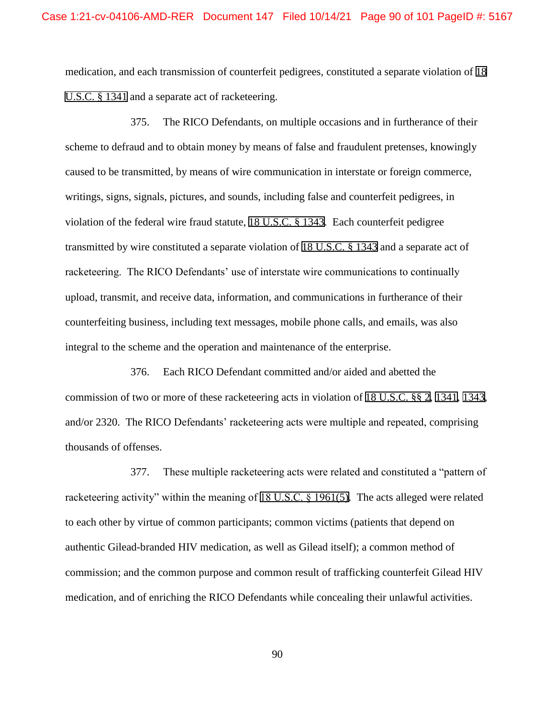medication, and each transmission of counterfeit pedigrees, constituted a separate violation of 18 U.S.C. § 1341 and a separate act of racketeering.

375. The RICO Defendants, on multiple occasions and in furtherance of their scheme to defraud and to obtain money by means of false and fraudulent pretenses, knowingly caused to be transmitted, by means of wire communication in interstate or foreign commerce, writings, signs, signals, pictures, and sounds, including false and counterfeit pedigrees, in violation of the federal wire fraud statute, 18 U.S.C. § 1343. Each counterfeit pedigree transmitted by wire constituted a separate violation of 18 U.S.C. § 1343 and a separate act of racketeering. The RICO Defendants' use of interstate wire communications to continually upload, transmit, and receive data, information, and communications in furtherance of their counterfeiting business, including text messages, mobile phone calls, and emails, was also integral to the scheme and the operation and maintenance of the enterprise.

376. Each RICO Defendant committed and/or aided and abetted the commission of two or more of these racketeering acts in violation of 18 U.S.C. §§ 2, 1341, 1343, and/or 2320. The RICO Defendants' racketeering acts were multiple and repeated, comprising thousands of offenses.

377. These multiple racketeering acts were related and constituted a "pattern of racketeering activity" within the meaning of 18 U.S.C. § 1961(5). The acts alleged were related to each other by virtue of common participants; common victims (patients that depend on authentic Gilead-branded HIV medication, as well as Gilead itself); a common method of commission; and the common purpose and common result of trafficking counterfeit Gilead HIV medication, and of enriching the RICO Defendants while concealing their unlawful activities.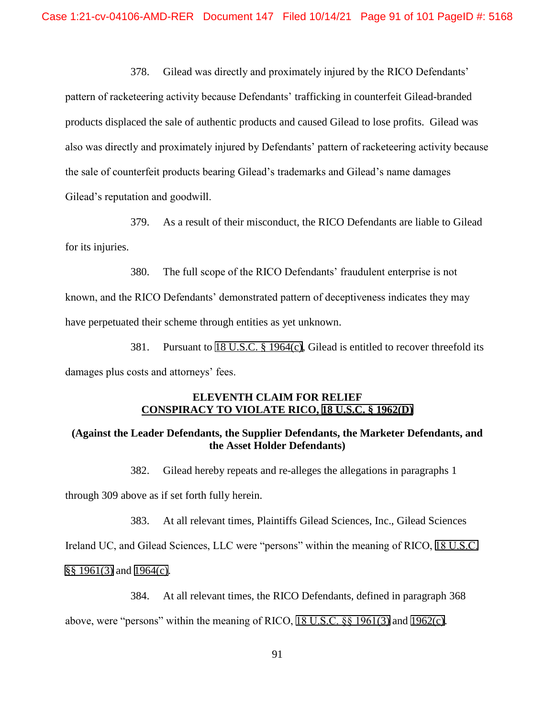378. Gilead was directly and proximately injured by the RICO Defendants'

pattern of racketeering activity because Defendants' trafficking in counterfeit Gilead-branded products displaced the sale of authentic products and caused Gilead to lose profits. Gilead was also was directly and proximately injured by Defendants' pattern of racketeering activity because the sale of counterfeit products bearing Gilead's trademarks and Gilead's name damages Gilead's reputation and goodwill.

379. As a result of their misconduct, the RICO Defendants are liable to Gilead for its injuries.

380. The full scope of the RICO Defendants' fraudulent enterprise is not known, and the RICO Defendants' demonstrated pattern of deceptiveness indicates they may have perpetuated their scheme through entities as yet unknown.

381. Pursuant to 18 U.S.C. § 1964(c), Gilead is entitled to recover threefold its damages plus costs and attorneys' fees.

# **ELEVENTH CLAIM FOR RELIEF CONSPIRACY TO VIOLATE RICO, 18 U.S.C. § 1962(D)**

### **(Against the Leader Defendants, the Supplier Defendants, the Marketer Defendants, and the Asset Holder Defendants)**

382. Gilead hereby repeats and re-alleges the allegations in paragraphs 1

through 309 above as if set forth fully herein.

383. At all relevant times, Plaintiffs Gilead Sciences, Inc., Gilead Sciences

Ireland UC, and Gilead Sciences, LLC were "persons" within the meaning of RICO, 18 U.S.C.

§§ 1961(3) and 1964(c).

384. At all relevant times, the RICO Defendants, defined in paragraph 368

above, were "persons" within the meaning of RICO, 18 U.S.C. §§ 1961(3) and 1962(c).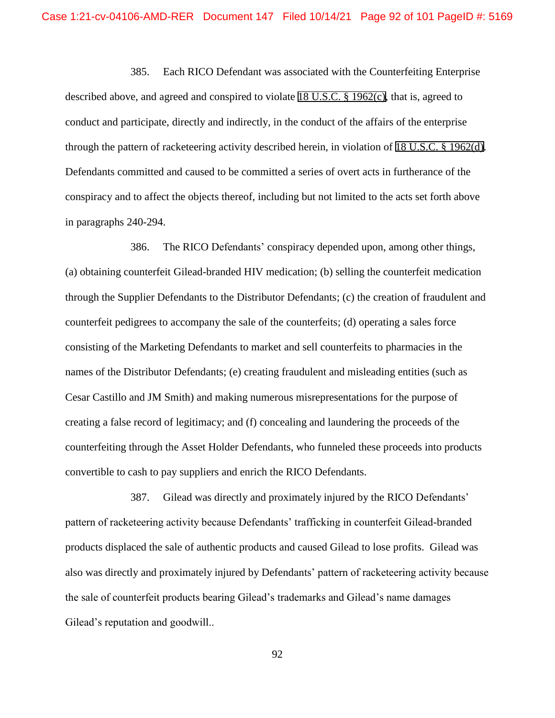385. Each RICO Defendant was associated with the Counterfeiting Enterprise described above, and agreed and conspired to violate 18 U.S.C. § 1962(c), that is, agreed to conduct and participate, directly and indirectly, in the conduct of the affairs of the enterprise through the pattern of racketeering activity described herein, in violation of 18 U.S.C. § 1962(d). Defendants committed and caused to be committed a series of overt acts in furtherance of the conspiracy and to affect the objects thereof, including but not limited to the acts set forth above in paragraphs 240-294.

386. The RICO Defendants' conspiracy depended upon, among other things, (a) obtaining counterfeit Gilead-branded HIV medication; (b) selling the counterfeit medication through the Supplier Defendants to the Distributor Defendants; (c) the creation of fraudulent and counterfeit pedigrees to accompany the sale of the counterfeits; (d) operating a sales force consisting of the Marketing Defendants to market and sell counterfeits to pharmacies in the names of the Distributor Defendants; (e) creating fraudulent and misleading entities (such as Cesar Castillo and JM Smith) and making numerous misrepresentations for the purpose of creating a false record of legitimacy; and (f) concealing and laundering the proceeds of the counterfeiting through the Asset Holder Defendants, who funneled these proceeds into products convertible to cash to pay suppliers and enrich the RICO Defendants.

387. Gilead was directly and proximately injured by the RICO Defendants' pattern of racketeering activity because Defendants' trafficking in counterfeit Gilead-branded products displaced the sale of authentic products and caused Gilead to lose profits. Gilead was also was directly and proximately injured by Defendants' pattern of racketeering activity because the sale of counterfeit products bearing Gilead's trademarks and Gilead's name damages Gilead's reputation and goodwill..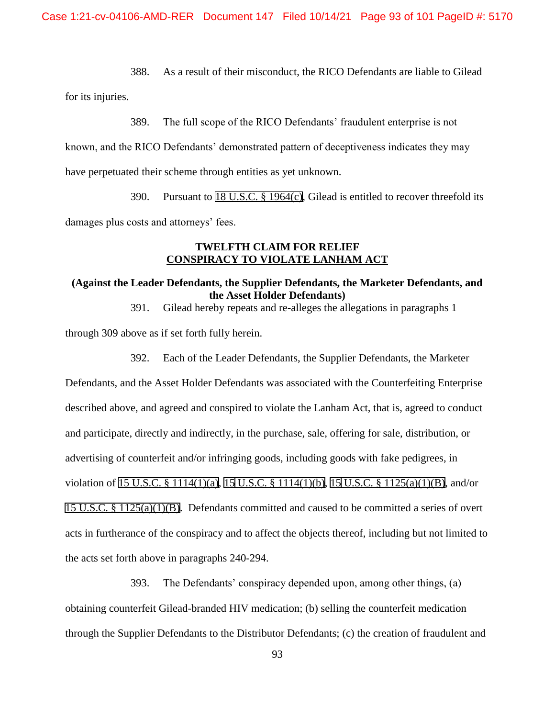388. As a result of their misconduct, the RICO Defendants are liable to Gilead

for its injuries.

389. The full scope of the RICO Defendants' fraudulent enterprise is not

known, and the RICO Defendants' demonstrated pattern of deceptiveness indicates they may

have perpetuated their scheme through entities as yet unknown.

390. Pursuant to 18 U.S.C. § 1964(c), Gilead is entitled to recover threefold its damages plus costs and attorneys' fees.

### **TWELFTH CLAIM FOR RELIEF CONSPIRACY TO VIOLATE LANHAM ACT**

# **(Against the Leader Defendants, the Supplier Defendants, the Marketer Defendants, and the Asset Holder Defendants)**

391. Gilead hereby repeats and re-alleges the allegations in paragraphs 1

through 309 above as if set forth fully herein.

392. Each of the Leader Defendants, the Supplier Defendants, the Marketer

Defendants, and the Asset Holder Defendants was associated with the Counterfeiting Enterprise described above, and agreed and conspired to violate the Lanham Act, that is, agreed to conduct and participate, directly and indirectly, in the purchase, sale, offering for sale, distribution, or advertising of counterfeit and/or infringing goods, including goods with fake pedigrees, in violation of 15 U.S.C. § 1114(1)(a), 15 U.S.C. § 1114(1)(b), 15 U.S.C. § 1125(a)(1)(B), and/or 15 U.S.C. § 1125(a)(1)(B). Defendants committed and caused to be committed a series of overt acts in furtherance of the conspiracy and to affect the objects thereof, including but not limited to the acts set forth above in paragraphs 240-294.

393. The Defendants' conspiracy depended upon, among other things, (a) obtaining counterfeit Gilead-branded HIV medication; (b) selling the counterfeit medication through the Supplier Defendants to the Distributor Defendants; (c) the creation of fraudulent and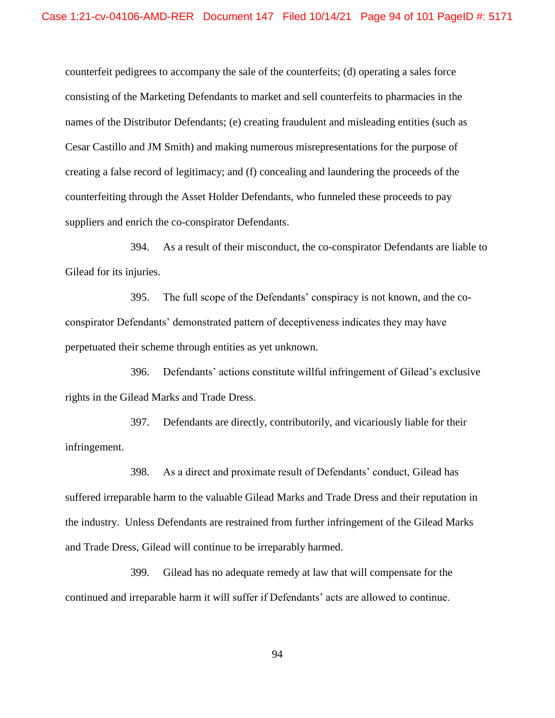counterfeit pedigrees to accompany the sale of the counterfeits; (d) operating a sales force consisting of the Marketing Defendants to market and sell counterfeits to pharmacies in the names of the Distributor Defendants; (e) creating fraudulent and misleading entities (such as Cesar Castillo and JM Smith) and making numerous misrepresentations for the purpose of creating a false record of legitimacy; and (f) concealing and laundering the proceeds of the counterfeiting through the Asset Holder Defendants, who funneled these proceeds to pay suppliers and enrich the co-conspirator Defendants.

394. As a result of their misconduct, the co-conspirator Defendants are liable to Gilead for its injuries.

395. The full scope of the Defendants' conspiracy is not known, and the coconspirator Defendants' demonstrated pattern of deceptiveness indicates they may have perpetuated their scheme through entities as yet unknown.

396. Defendants' actions constitute willful infringement of Gilead's exclusive rights in the Gilead Marks and Trade Dress.

397. Defendants are directly, contributorily, and vicariously liable for their infringement.

398. As a direct and proximate result of Defendants' conduct, Gilead has suffered irreparable harm to the valuable Gilead Marks and Trade Dress and their reputation in the industry. Unless Defendants are restrained from further infringement of the Gilead Marks and Trade Dress, Gilead will continue to be irreparably harmed.

399. Gilead has no adequate remedy at law that will compensate for the continued and irreparable harm it will suffer if Defendants' acts are allowed to continue.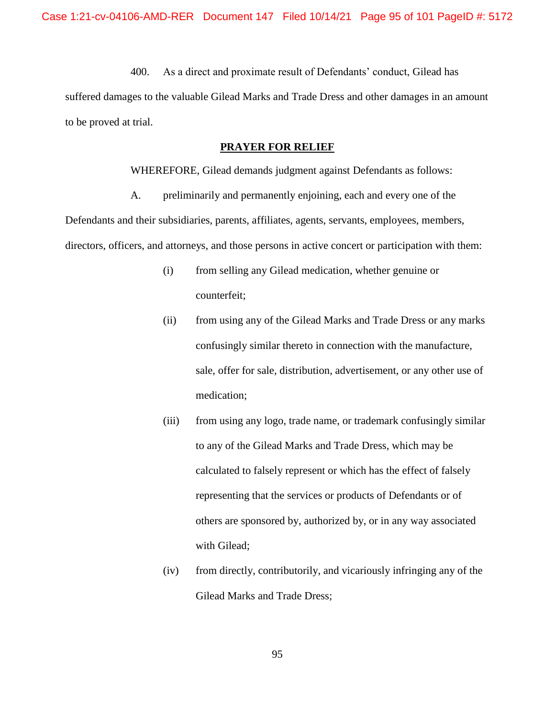400. As a direct and proximate result of Defendants' conduct, Gilead has

suffered damages to the valuable Gilead Marks and Trade Dress and other damages in an amount to be proved at trial.

#### **PRAYER FOR RELIEF**

WHEREFORE, Gilead demands judgment against Defendants as follows:

A. preliminarily and permanently enjoining, each and every one of the

Defendants and their subsidiaries, parents, affiliates, agents, servants, employees, members, directors, officers, and attorneys, and those persons in active concert or participation with them:

- (i) from selling any Gilead medication, whether genuine or counterfeit;
- (ii) from using any of the Gilead Marks and Trade Dress or any marks confusingly similar thereto in connection with the manufacture, sale, offer for sale, distribution, advertisement, or any other use of medication;
- (iii) from using any logo, trade name, or trademark confusingly similar to any of the Gilead Marks and Trade Dress, which may be calculated to falsely represent or which has the effect of falsely representing that the services or products of Defendants or of others are sponsored by, authorized by, or in any way associated with Gilead;
- (iv) from directly, contributorily, and vicariously infringing any of the Gilead Marks and Trade Dress;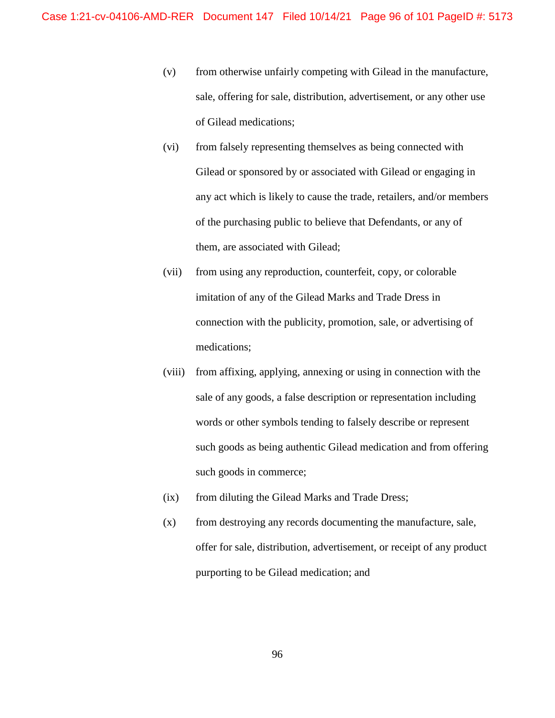- (v) from otherwise unfairly competing with Gilead in the manufacture, sale, offering for sale, distribution, advertisement, or any other use of Gilead medications;
- (vi) from falsely representing themselves as being connected with Gilead or sponsored by or associated with Gilead or engaging in any act which is likely to cause the trade, retailers, and/or members of the purchasing public to believe that Defendants, or any of them, are associated with Gilead;
- (vii) from using any reproduction, counterfeit, copy, or colorable imitation of any of the Gilead Marks and Trade Dress in connection with the publicity, promotion, sale, or advertising of medications;
- (viii) from affixing, applying, annexing or using in connection with the sale of any goods, a false description or representation including words or other symbols tending to falsely describe or represent such goods as being authentic Gilead medication and from offering such goods in commerce;
- (ix) from diluting the Gilead Marks and Trade Dress;
- (x) from destroying any records documenting the manufacture, sale, offer for sale, distribution, advertisement, or receipt of any product purporting to be Gilead medication; and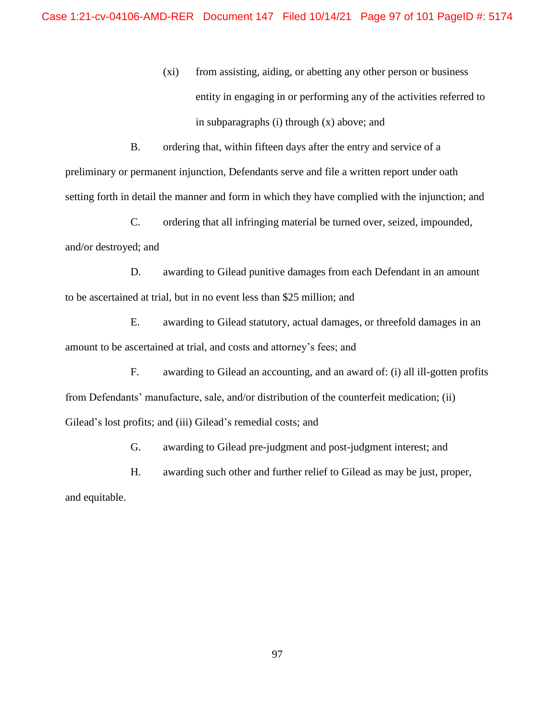(xi) from assisting, aiding, or abetting any other person or business entity in engaging in or performing any of the activities referred to in subparagraphs (i) through (x) above; and

B. ordering that, within fifteen days after the entry and service of a preliminary or permanent injunction, Defendants serve and file a written report under oath setting forth in detail the manner and form in which they have complied with the injunction; and

C. ordering that all infringing material be turned over, seized, impounded, and/or destroyed; and

D. awarding to Gilead punitive damages from each Defendant in an amount to be ascertained at trial, but in no event less than \$25 million; and

E. awarding to Gilead statutory, actual damages, or threefold damages in an amount to be ascertained at trial, and costs and attorney's fees; and

F. awarding to Gilead an accounting, and an award of: (i) all ill-gotten profits from Defendants' manufacture, sale, and/or distribution of the counterfeit medication; (ii) Gilead's lost profits; and (iii) Gilead's remedial costs; and

G. awarding to Gilead pre-judgment and post-judgment interest; and

H. awarding such other and further relief to Gilead as may be just, proper,

and equitable.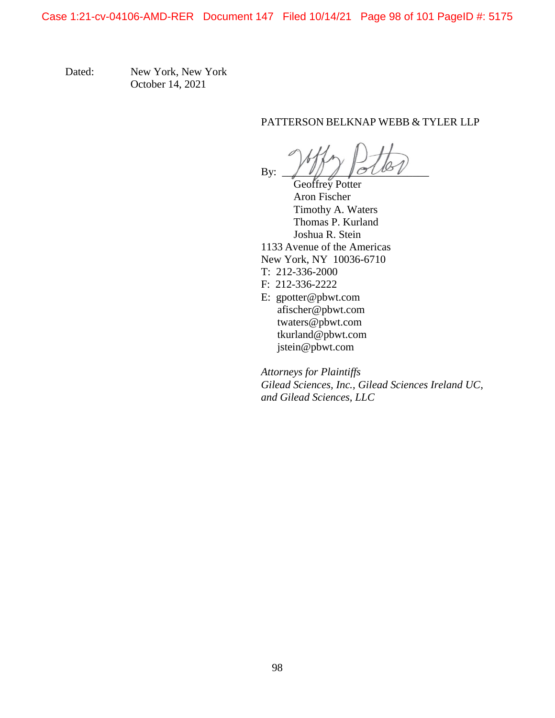Dated: New York, New York October 14, 2021

#### PATTERSON BELKNAP WEBB & TYLER LLP

 $By:$ 

Geoffrey Potter Aron Fischer Timothy A. Waters Thomas P. Kurland Joshua R. Stein 1133 Avenue of the Americas New York, NY 10036-6710 T: 212-336-2000 F: 212-336-2222 E: gpotter@pbwt.com afischer@pbwt.com twaters@pbwt.com

 tkurland@pbwt.com jstein@pbwt.com

*Attorneys for Plaintiffs Gilead Sciences, Inc., Gilead Sciences Ireland UC, and Gilead Sciences, LLC*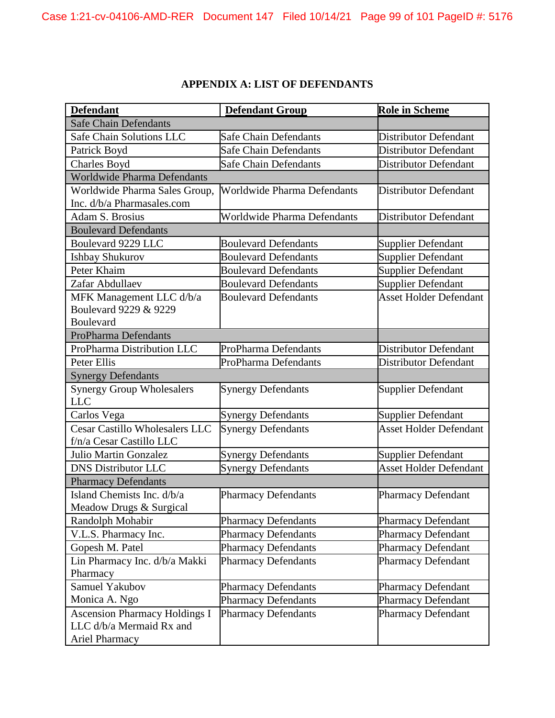| <b>Defendant</b>                      | <b>Defendant Group</b>      | <b>Role in Scheme</b>         |
|---------------------------------------|-----------------------------|-------------------------------|
| <b>Safe Chain Defendants</b>          |                             |                               |
| <b>Safe Chain Solutions LLC</b>       | Safe Chain Defendants       | Distributor Defendant         |
| Patrick Boyd                          | Safe Chain Defendants       | Distributor Defendant         |
| <b>Charles Boyd</b>                   | Safe Chain Defendants       | <b>Distributor Defendant</b>  |
| Worldwide Pharma Defendants           |                             |                               |
| Worldwide Pharma Sales Group,         | Worldwide Pharma Defendants | <b>Distributor Defendant</b>  |
| Inc. d/b/a Pharmasales.com            |                             |                               |
| Adam S. Brosius                       | Worldwide Pharma Defendants | Distributor Defendant         |
| <b>Boulevard Defendants</b>           |                             |                               |
| Boulevard 9229 LLC                    | <b>Boulevard Defendants</b> | <b>Supplier Defendant</b>     |
| <b>Ishbay Shukurov</b>                | <b>Boulevard Defendants</b> | <b>Supplier Defendant</b>     |
| Peter Khaim                           | <b>Boulevard Defendants</b> | <b>Supplier Defendant</b>     |
| Zafar Abdullaev                       | <b>Boulevard Defendants</b> | <b>Supplier Defendant</b>     |
| MFK Management LLC d/b/a              | <b>Boulevard Defendants</b> | <b>Asset Holder Defendant</b> |
| Boulevard 9229 & 9229                 |                             |                               |
| Boulevard                             |                             |                               |
| ProPharma Defendants                  |                             |                               |
| ProPharma Distribution LLC            | ProPharma Defendants        | Distributor Defendant         |
| Peter Ellis                           | ProPharma Defendants        | Distributor Defendant         |
| <b>Synergy Defendants</b>             |                             |                               |
| <b>Synergy Group Wholesalers</b>      | <b>Synergy Defendants</b>   | <b>Supplier Defendant</b>     |
| <b>LLC</b>                            |                             |                               |
| Carlos Vega                           | <b>Synergy Defendants</b>   | <b>Supplier Defendant</b>     |
| <b>Cesar Castillo Wholesalers LLC</b> | <b>Synergy Defendants</b>   | <b>Asset Holder Defendant</b> |
| f/n/a Cesar Castillo LLC              |                             |                               |
| Julio Martin Gonzalez                 | <b>Synergy Defendants</b>   | <b>Supplier Defendant</b>     |
| <b>DNS Distributor LLC</b>            | <b>Synergy Defendants</b>   | <b>Asset Holder Defendant</b> |
| <b>Pharmacy Defendants</b>            |                             |                               |
| Island Chemists Inc. d/b/a            | <b>Pharmacy Defendants</b>  | <b>Pharmacy Defendant</b>     |
| Meadow Drugs & Surgical               |                             |                               |
| Randolph Mohabir                      | <b>Pharmacy Defendants</b>  | <b>Pharmacy Defendant</b>     |
| V.L.S. Pharmacy Inc.                  | <b>Pharmacy Defendants</b>  | <b>Pharmacy Defendant</b>     |
| Gopesh M. Patel                       | <b>Pharmacy Defendants</b>  | Pharmacy Defendant            |
| Lin Pharmacy Inc. d/b/a Makki         | <b>Pharmacy Defendants</b>  | <b>Pharmacy Defendant</b>     |
| Pharmacy                              |                             |                               |
| Samuel Yakubov                        | <b>Pharmacy Defendants</b>  | <b>Pharmacy Defendant</b>     |
| Monica A. Ngo                         | <b>Pharmacy Defendants</b>  | <b>Pharmacy Defendant</b>     |
| <b>Ascension Pharmacy Holdings I</b>  | <b>Pharmacy Defendants</b>  | Pharmacy Defendant            |
| LLC d/b/a Mermaid Rx and              |                             |                               |
| Ariel Pharmacy                        |                             |                               |

# **APPENDIX A: LIST OF DEFENDANTS**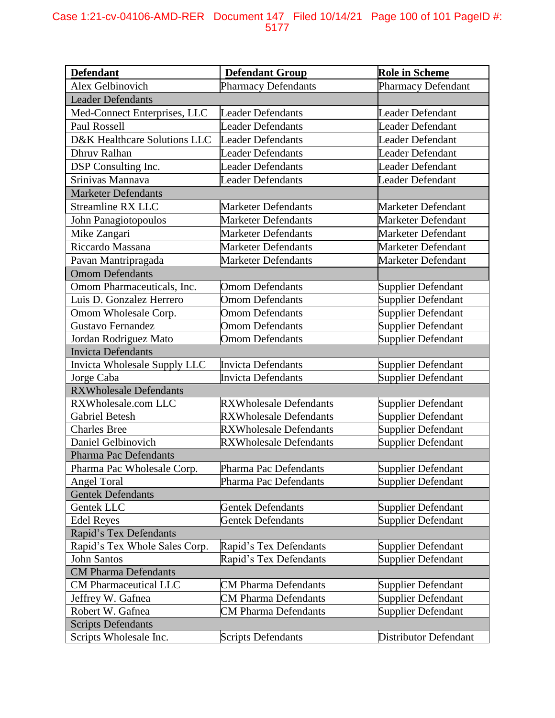| <b>Defendant</b>              | <b>Defendant Group</b>        | <b>Role in Scheme</b>     |  |  |
|-------------------------------|-------------------------------|---------------------------|--|--|
| Alex Gelbinovich              | <b>Pharmacy Defendants</b>    | Pharmacy Defendant        |  |  |
| <b>Leader Defendants</b>      |                               |                           |  |  |
| Med-Connect Enterprises, LLC  | <b>Leader Defendants</b>      | Leader Defendant          |  |  |
| Paul Rossell                  | <b>Leader Defendants</b>      | Leader Defendant          |  |  |
| D&K Healthcare Solutions LLC  | <b>Leader Defendants</b>      | Leader Defendant          |  |  |
| Dhruv Ralhan                  | <b>Leader Defendants</b>      | Leader Defendant          |  |  |
| DSP Consulting Inc.           | <b>Leader Defendants</b>      | Leader Defendant          |  |  |
| Srinivas Mannava              | <b>Leader Defendants</b>      | Leader Defendant          |  |  |
| <b>Marketer Defendants</b>    |                               |                           |  |  |
| <b>Streamline RX LLC</b>      | <b>Marketer Defendants</b>    | Marketer Defendant        |  |  |
| John Panagiotopoulos          | <b>Marketer Defendants</b>    | Marketer Defendant        |  |  |
| Mike Zangari                  | <b>Marketer Defendants</b>    | Marketer Defendant        |  |  |
| Riccardo Massana              | <b>Marketer Defendants</b>    | Marketer Defendant        |  |  |
| Pavan Mantripragada           | <b>Marketer Defendants</b>    | <b>Marketer Defendant</b> |  |  |
| <b>Omom Defendants</b>        |                               |                           |  |  |
| Omom Pharmaceuticals, Inc.    | <b>Omom Defendants</b>        | Supplier Defendant        |  |  |
| Luis D. Gonzalez Herrero      | <b>Omom Defendants</b>        | <b>Supplier Defendant</b> |  |  |
| Omom Wholesale Corp.          | <b>Omom Defendants</b>        | <b>Supplier Defendant</b> |  |  |
| <b>Gustavo Fernandez</b>      | <b>Omom Defendants</b>        | <b>Supplier Defendant</b> |  |  |
| Jordan Rodriguez Mato         | <b>Omom Defendants</b>        | Supplier Defendant        |  |  |
| <b>Invicta Defendants</b>     |                               |                           |  |  |
| Invicta Wholesale Supply LLC  | <b>Invicta Defendants</b>     | Supplier Defendant        |  |  |
| Jorge Caba                    | <b>Invicta Defendants</b>     | <b>Supplier Defendant</b> |  |  |
| <b>RXWholesale Defendants</b> |                               |                           |  |  |
| RXWholesale.com LLC           | <b>RXWholesale Defendants</b> | <b>Supplier Defendant</b> |  |  |
| <b>Gabriel Betesh</b>         | <b>RXWholesale Defendants</b> | <b>Supplier Defendant</b> |  |  |
| <b>Charles Bree</b>           | <b>RXWholesale Defendants</b> | <b>Supplier Defendant</b> |  |  |
| Daniel Gelbinovich            | <b>RXWholesale Defendants</b> | Supplier Defendant        |  |  |
| Pharma Pac Defendants         |                               |                           |  |  |
| Pharma Pac Wholesale Corp.    | Pharma Pac Defendants         | <b>Supplier Defendant</b> |  |  |
| <b>Angel Toral</b>            | Pharma Pac Defendants         | <b>Supplier Defendant</b> |  |  |
| <b>Gentek Defendants</b>      |                               |                           |  |  |
| Gentek LLC                    | <b>Gentek Defendants</b>      | <b>Supplier Defendant</b> |  |  |
| <b>Edel Reyes</b>             | <b>Gentek Defendants</b>      | Supplier Defendant        |  |  |
| Rapid's Tex Defendants        |                               |                           |  |  |
| Rapid's Tex Whole Sales Corp. | Rapid's Tex Defendants        | <b>Supplier Defendant</b> |  |  |
| <b>John Santos</b>            | Rapid's Tex Defendants        | Supplier Defendant        |  |  |
| <b>CM Pharma Defendants</b>   |                               |                           |  |  |
| <b>CM</b> Pharmaceutical LLC  | <b>CM Pharma Defendants</b>   | Supplier Defendant        |  |  |
| Jeffrey W. Gafnea             | <b>CM Pharma Defendants</b>   | <b>Supplier Defendant</b> |  |  |
| Robert W. Gafnea              | <b>CM Pharma Defendants</b>   | Supplier Defendant        |  |  |
| <b>Scripts Defendants</b>     |                               |                           |  |  |
| Scripts Wholesale Inc.        | <b>Scripts Defendants</b>     | Distributor Defendant     |  |  |